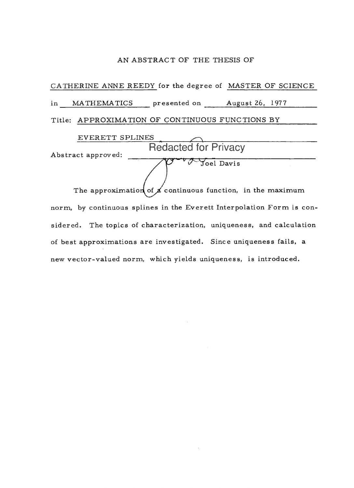#### AN ABSTRACT OF THE THESIS OF

CATHERINE ANNE REEDY for the degree of MASTER OF SCIENCE in MATHEMATICS presented on August 26, 1977 Title: APPROXIMATION OF CONTINUOUS FUNCTIONS BY

| <b>EVERETT SPLINES</b> |                                                                  |
|------------------------|------------------------------------------------------------------|
| Abstract approved:     | <b>Redacted for Privacy</b>                                      |
|                        | Joel Davis                                                       |
|                        | The approximation of $\n  A$ continuous function, in the maximum |

norm, by continuous splines in the Everett Interpolation Form is considered. The topics of characterization, uniqueness, and calculation of best approximations are investigated. Since uniqueness fails, a new vector-valued norm, which yields uniqueness, is introduced.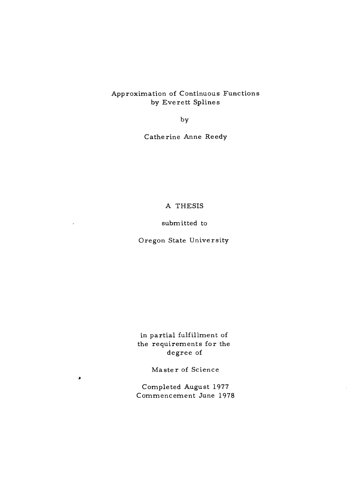# Approximation of Continuous Functions by Everett Splines

by

Catherine Anne Reedy

### A THESIS

# submitted to

# Oregon State University

in partial fulfillment of the requirements for the degree of

Master of Science

٠þ

Completed August 1977 Commencement June 1978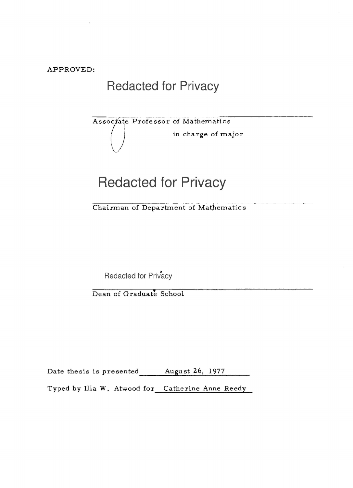APPROVED:

# Redacted for Privacy

# Assoc ate Professor of Mathematics in charge of major

# Redacted for Privacy

Chairman of Department of Mathematics

Redacted for Privacy

Dean of Graduate School

Date thesis is presented August 26, 1977

Typed by Illa W. Atwood for Catherine Anne Reedy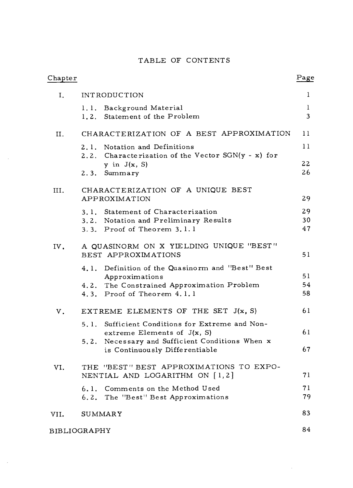# TABLE OF CONTENTS

| Chapter |                                                                                     | Page           |
|---------|-------------------------------------------------------------------------------------|----------------|
| Ι.      | <b>INTRODUCTION</b>                                                                 | 1              |
|         | 1.1. Background Material                                                            | 1              |
|         | 1.2. Statement of the Problem                                                       | $\overline{3}$ |
| II.     | CHARACTERIZATION OF A BEST APPROXIMATION                                            | 11             |
|         | 2.1. Notation and Definitions<br>2.2. Characterization of the Vector SGN(y - x) for | 11             |
|         | y in $J(x, S)$                                                                      | 22             |
|         | 2.3. Summary                                                                        | 26             |
| III.    | CHARACTERIZATION OF A UNIQUE BEST                                                   |                |
|         | APPROXIMATION                                                                       | 29             |
|         | 3.1. Statement of Characterization                                                  | 29             |
|         | 3.2. Notation and Preliminary Results                                               | 30             |
|         | $3.3.$ Proof of Theorem $3.1.1$                                                     | 47             |
| IV.     | A QUASINORM ON X YIELDING UNIQUE "BEST"                                             |                |
|         | BEST APPROXIMATIONS                                                                 | 51             |
|         | 4.1. Definition of the Quasinorm and "Best" Best                                    |                |
|         | Approximations                                                                      | 51             |
|         | 4.2. The Constrained Approximation Problem                                          | 54             |
|         | 4.3. Proof of Theorem 4.1.1                                                         | 58             |
| V.      | EXTREME ELEMENTS OF THE SET J(x, S)                                                 | 61             |
|         | 5.1. Sufficient Conditions for Extreme and Non-                                     |                |
|         | extreme Elements of $J(x, S)$                                                       | 61             |
|         | 5.2. Necessary and Sufficient Conditions When x                                     |                |
|         | is Continuously Differentiable                                                      | 67             |
| VI.     | THE "BEST" BEST APPROXIMATIONS TO EXPO-                                             |                |
|         | NENTIAL AND LOGARITHM ON [1,2]                                                      | 71             |
|         | 6.1. Comments on the Method Used                                                    | 71             |
|         | 6.2. The "Best" Best Approximations                                                 | 79             |
| VII.    | <b>SUMMARY</b>                                                                      | 83             |
|         | <b>BIBLIOGRAPHY</b>                                                                 | 84             |

 $\sim$   $\sim$ 

 $\sim$ 

 $\sim$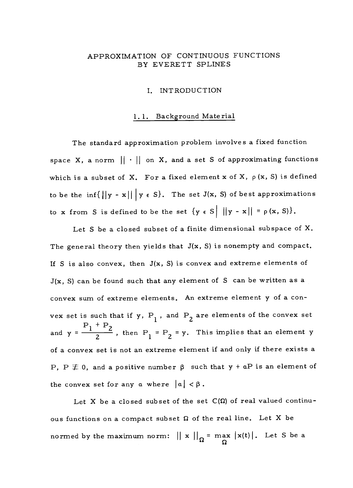# APPROXIMATION OF CONTINUOUS FUNCTIONS BY EVERETT SPLINES

#### I. INTRODUCTION

#### 1. 1. Background Material

The standard approximation problem involves a fixed function space X, a norm  $|| \cdot ||$  on X, and a set S of approximating functions which is a subset of X. For a fixed element x of X,  $\rho$  (x, S) is defined to be the inf{ $\left|\left|y - x\right|\right| \leq s$ . The set J(x, S) of best approximations to x from S is defined to be the set  $\{y \in S \mid ||y - x|| = p(x, S)\}.$ 

Let S be a closed subset of a finite dimensional subspace of  $X$ . The general theory then yields that  $J(x, S)$  is nonempty and compact. If S is also convex, then  $J(x, S)$  is convex and extreme elements of  $J(x, S)$  can be found such that any element of S can be written as a convex sum of extreme elements. An extreme element y of a convex set is such that if y,  $P_1$ , and  $P_2$  are elements of the convex set  $P_1 + P_2$ and  $y = \frac{1}{2}$ , then  $P_1 = P_2 = y$ . This implies that an element y of a convex set is not an extreme element if and only if there exists a P, P  $\neq$  0, and a positive number  $\beta$  such that  $y + aP$  is an element of the convex set for any a where  $|a| < \beta$ .

Let X be a closed subset of the set  $C(\Omega)$  of real valued continuous functions on a compact subset  $\Omega$  of the real line. Let X be normed by the maximum norm:  $||x||_{\Omega}$  = max  $|x(t)|$ . Let S be a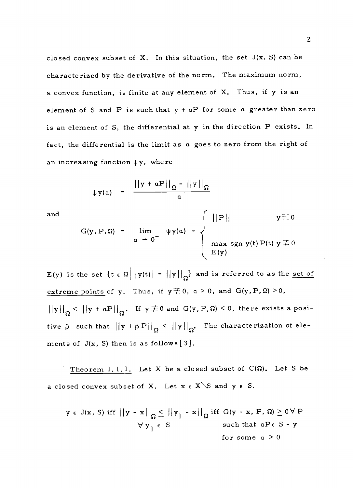closed convex subset of X. In this situation, the set  $J(x, S)$  can be characterized by the derivative of the norm. The maximum norm, a convex function, is finite at any element of X. Thus, if y is an element of S and P is such that  $y + aP$  for some a greater than zero is an element of S, the differential at y in the direction P exists. In fact, the differential is the limit as a goes to zero from the right of an increasing function  $\psi y$ , where

$$
\psi y(a) = \frac{||y + aP||_{\Omega} - ||y||_{\Omega}}{a}
$$

and  

$$
G(y, P, \Omega) = \lim_{\alpha \to 0^+} \psi y(\alpha) = \begin{cases} ||P|| & y \equiv 0 \\ \max \text{sgn } y(t) P(t) & y \not\equiv 0 \\ E(y) \end{cases}
$$

E(y) is the set  $\{t \in \Omega \mid |y(t)| = ||y||_{\Omega} \}$  and is referred to as the set of extreme points of y. Thus, if  $y \not\equiv 0$ ,  $a > 0$ , and  $G(y, P, \Omega) > 0$ ,  $||y||_{\Omega}$  <  $||y + aP||_{\Omega}$ . If  $y \not\equiv 0$  and  $G(y,P,\Omega)$  < 0, there exists a positive  $\beta$  such that  $||y + \beta P||_{\Omega} < ||y||_{\Omega}$ . The characterization of elements of  $J(x, S)$  then is as follows  $[3]$ .

Theorem 1.1.1. Let X be a closed subset of  $C(\Omega)$ . Let S be a closed convex subset of X. Let  $x \in X \setminus S$  and  $y \in S$ .

$$
y \in J(x, S)
$$
 iff  $||y - x||_{\Omega} \le ||y_1 - x||_{\Omega}$  iff  $G(y - x, P, \Omega) \ge 0 \forall P$   
 $\forall y_1 \in S$  such that  $aP \in S - y$   
for some  $a > 0$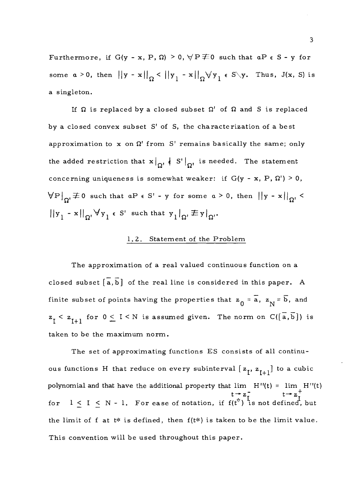Furthermore, if  $G(y - x, P, \Omega) > 0$ ,  $\forall P \not\equiv 0$  such that  $aP \in S - y$  for some  $a > 0$ , then  $||y - x||_{\Omega} < ||y_1 - x||_{\Omega} \forall y_1 \in S \setminus y$ . Thus,  $J(x, S)$  is a singleton.

If  $\Omega$  is replaced by a closed subset  $\Omega'$  of  $\Omega$  and S is replaced by a closed convex subset S' of S, the characterization of a best approximation to x on  $\Omega'$  from S' remains basically the same; only the added restriction that  $x|_{\Omega}$   $\leftarrow$  S'  $|_{\Omega}$  is needed. The statement concerning uniqueness is somewhat weaker: if  $G(y - x, P, \Omega') \ge 0$ ,  $\bigtriangledown P\big|_{\Omega'}\not\equiv 0$  such that  $aP\;\epsilon\;S'$  - y for some  $a\geq 0$ , then  $\bigl|\bigl|y-x\bigr|\bigr|_{\Omega'}<\infty$  $||y_1 - x||_{\Omega}$ ,  $\forall y_1 \in S'$  such that  $y_1 |_{\Omega} \not\equiv y|_{\Omega}$ .

# 1.2. Statement of the Problem

The approximation of a real valued continuous function on a closed subset  $\left[\overline{a},\overline{b}\right]$  of the real line is considered in this paper. A finite subset of points having the properties that  $\mathbf{z}_0 = \mathbf{\overline{a}}, \ \mathbf{z}_N = \mathbf{\overline{b}}, \ \text{and}$  $z_{\overline{I}} < z_{\overline{I+1}}$  for  $0 \leq I \leq N$  is assumed given. The norm on  $C([\overline{a}, \overline{b}])$  is taken to be the maximum norm.

The set of approximating functions ES consists of all continuous functions H that reduce on every subinterval  $[z_1, z_{I+1}]$  to a cubic polynomial and that have the additional property that  $\lim_{M \to \infty} H''(t) = \lim_{M \to \infty} H''(t)$  $t \rightarrow z_{\tau}^{-}$   $t \rightarrow z_{\tau}^{+}$ for  $1 \le I \le N - 1$ . For ease of notation, if  $f(t^*)$  is not defined, but the limit of f at t\* is defined, then  $f(t*)$  is taken to be the limit value. This convention will be used throughout this paper.

3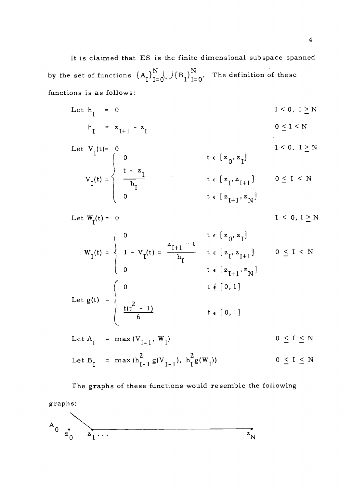It is claimed that ES is the finite dimensional subspace spanned by the set of functions  ${A_I \brack I=0}^N\{B_I \bigr\}_{I=0}^N.$  The definition of these functions is as follows:

Let  $h_{I} = 0$  $I < 0, I \geq N$ 

$$
h_{I} = z_{I+1} - z_{I} \qquad \qquad 0 \leq I < N
$$

Let 
$$
V_I(t) = 0
$$
  
\n
$$
V_I(t) = \begin{cases}\n0 & t \in [z_0, z_1] \\
t - z_1 & t \in [z_1, z_{I+1}] \\
0 & t \in [z_1, z_{I+1}] \\
0 & t \in [z_{I+1}, z_N]\n\end{cases}
$$
\n $I < 0, I \ge N$ 

Let  $W_r(t) = 0$  $I \leq 0, I \geq N$ 

$$
W_{I}(t) = \begin{cases} 0 & t \in [z_{0}, z_{I}] \\ 1 - V_{I}(t) = \frac{z_{I+1} - t}{h_{I}} & t \in [z_{I}, z_{I+1}] \\ 0 & t \in [z_{I+1}, z_{N}] \end{cases} \quad 0 \leq I \leq N
$$
  
Let  $g(t) = \begin{cases} 0 & t \notin [0, 1] \\ \frac{t(t^{2} - 1)}{6} & t \in [0, 1] \end{cases}$ 

Let 
$$
A_{I} = \max(V_{I-1}, W_{I})
$$
 0 < I < N

Let B<sup>I</sup> <sup>=</sup> I )) 0 < I < N max (hI-1 g(VI- 1 ), h<sup>I</sup> g(W

The graphs of these functions would resemble the following graphs:

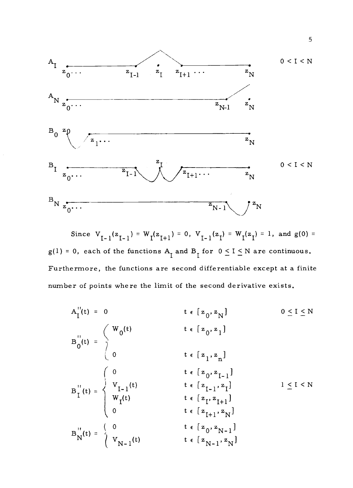

Since  $V_{I-1}(z_{I-1}) = W_I(z_{I+1}) = 0$ ,  $V_{I-1}(z_I) = W_I(z_I) = 1$ , and  $g(0) =$  $g(1) = 0$ , each of the functions  $A_I$  and  $B_I$  for  $0 \le I \le N$  are continuous. Furthermore, the functions are second differentiable except at a finite number of points where the limit of the second derivative exists.

$$
A_{I}^{"}(t) = 0 \t t \epsilon [z_{0}, z_{N}] \t 0 \le I \le N
$$
\n
$$
B_{0}^{"}(t) = \begin{cases} W_{0}(t) & t \epsilon [z_{0}, z_{1}] \\ 0 & t \epsilon [z_{1}, z_{n}] \end{cases}
$$
\n
$$
B_{I}^{"}(t) = \begin{cases} 0 & t \epsilon [z_{1}, z_{1}] \\ V_{I-1}(t) & t \epsilon [z_{I-1}, z_{I}] \\ W_{I}(t) & t \epsilon [z_{I}, z_{I+1}] \\ 0 & t \epsilon [z_{I}, z_{I+1}] \end{cases}
$$
\n
$$
B_{N}^{"}(t) = \begin{cases} 0 & t \epsilon [z_{0}, z_{N-1}] \\ V_{N-1}(t) & t \epsilon [z_{N-1}, z_{N}] \end{cases}
$$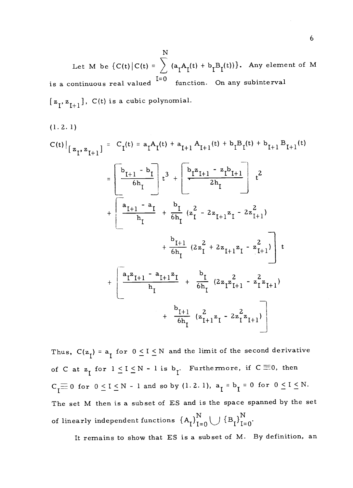Let M be  $\{C(t)\big|C(t) = \int |(a_{\tau}A_{\tau}(t))|^2\}$ is a continuous real valued  $\begin{bmatrix} \text{I=0} & \text{function.} \end{bmatrix}$  on any subinterval N  $a_I A_I(t) + b_I B_I(t))$ . Any element of M  $[z_1, z_{l+1}], C(t)$  is a cubic polynomial.

(1.2. 1)

$$
C(t)\Big|_{z_{I}, z_{I+1}} = C_{I}(t) = a_{I}A_{I}(t) + a_{I+1}A_{I+1}(t) + b_{I}B_{I}(t) + b_{I+1}B_{I+1}(t)
$$
\n
$$
= \left[\frac{b_{I+1} - b_{I}}{6h_{I}}\right]_{t}^{3} + \left[\frac{b_{I}z_{I+1} - z_{I}b_{I+1}}{2h_{I}}\right]_{t}^{2}
$$
\n
$$
+ \left[\frac{a_{I+1} - a_{I}}{h_{I}} + \frac{b_{I}}{6h_{I}}(z_{I}^{2} - 2z_{I+1}z_{I} - 2z_{I+1}^{2}) + \frac{b_{I+1}}{6h_{I}}(2z_{I}^{2} + 2z_{I+1}z_{I} - z_{I+1}^{2})\right]_{t}^{2}
$$
\n
$$
+ \left[\frac{a_{I}z_{I+1} - a_{I+1}z_{I}}{h_{I}} + \frac{b_{I}}{6h_{I}}(2z_{I}z_{I+1}^{2} - z_{I}^{2}z_{I+1}) + \frac{b_{I+1}}{6h_{I}}(z_{I+1}^{2}z_{I} - 2z_{I}^{2}z_{I+1})\right]
$$

Thus,  $C(z_1) = a_1$  for  $0 \le I \le N$  and the limit of the second derivative of C at  $z_1$  for  $1 \leq I \leq N - 1$  is  $b_1$ . Furthermore, if  $C \equiv 0$ , then  $C_{\mathbf{I}} \equiv 0$  for  $0 \leq I \leq N - 1$  and so by (1.2.1),  $a_{\mathbf{I}} = b_{\mathbf{I}} = 0$  for  $0 \leq I \leq N$ . The set M then is a subset of ES and is the space spanned by the set of linearly independent functions  $\left\{ \mathbf{A}_{\mathbf{I}} \right\}_{\mathbf{I}=\mathbf{0}}^{\mathbf{N}} \bigcup \left\{ \mathbf{B}_{\mathbf{I}} \right\}_{\mathbf{I}=\mathbf{0}}^{\mathbf{N}}.$ 

It remains to show that ES is a subset of M. By definition, an

6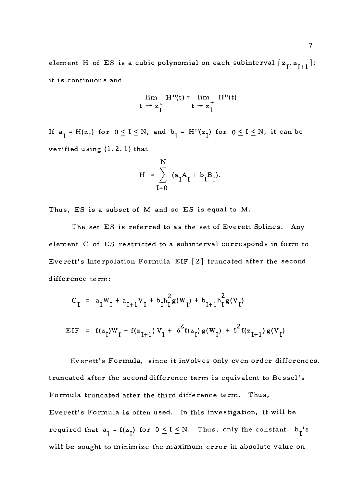element H of ES is a cubic polynomial on each subinterval  $[\, \mathsf{z}_\mathsf{I},\mathsf{z}_{\mathsf{I}+1} \,]$ ; it is continuous and

$$
\lim_{t \to z_{\text{I}}^-} H''(t) = \lim_{t \to z_{\text{I}}^+} H''(t).
$$

If  $a_I = H(z_I)$  for  $0 \le I \le N$ , and  $b_I = H''(z_I)$  for  $0 \le I \le N$ , it can be verified using (1.2. 1) that

$$
H = \sum_{I=0}^{N} (a_{I}A_{I} + b_{I}B_{I}).
$$

Thus, ES is a subset of M and so ES is equal to M.

The set ES is referred to as the set of Everett Splines. Any element C of ES restricted to a subinterval corresponds in form to Everett's Interpolation Formula EIF [2] truncated after the second difference term:

$$
C_{I} = a_{I}W_{I} + a_{I+1}V_{I} + b_{I}h_{I}^{2}g(W_{I}) + b_{I+1}h_{I}^{2}g(V_{I})
$$
  
EIF = f(z<sub>I</sub>)W<sub>I</sub> + f(z<sub>I+1</sub>)V<sub>I</sub> +  $\delta^{2}f(z_{I})g(W_{I}) + \delta^{2}f(z_{I+1})g(V_{I})$ 

Everett's Formula, since it involves only even order differences, truncated after the second difference term is equivalent to Bessel's Formula truncated after the third difference term. Thus, Everett's Formula is often used. In this investigation, it will be required that  $a_T = f(z_T)$  for  $0 \le I \le N$ . Thus, only the constant  $b_T$ 's will be sought to minimize the maximum error in absolute value on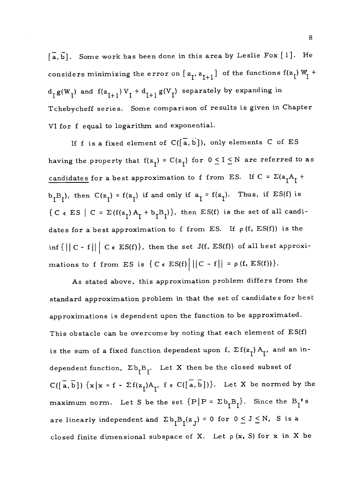$\lceil \overline{a}, \overline{b} \rceil$ . Some work has been done in this area by Leslie Fox  $\lceil 1 \rceil$ . He considers minimizing the error on  $[ z_{I}^{}, z_{I+1}^{}]$  of the functions  $f(z_I^{})$  W<sub>I</sub> +  $d_I g(W_I)$  and  $f(z_{I+1}) V_I + d_{I+1} g(V_I)$  separately by expanding in Tchebycheff series. Some comparison of results is given in Chapter VI for f equal to logarithm and exponential.

If f is a fixed element of  $C([\overline{a}, \overline{b}])$ , only elements C of ES having the property that  $f(z_1) = C(z_1)$  for  $0 \le I \le N$  are referred to as candidates for a best approximation to f from ES. If  $C = \Sigma(a_1A_1 +$  $b_{T}B_{T}$ ), then  $C(z_{T}) = f(z_{T})$  if and only if  $a_{T} = f(z_{T})$ . Thus, if ES(f) is  ${C \in ES \mid C = \Sigma(f(z_1) A_1 + b_1 B_1)},$  then  $ES(f)$  is the set of all candidates for a best approximation to f from ES. If  $\rho$  (f, ES(f)) is the inf  $\{||C - f|| \mid C \in ES(f)\}$ , then the set  $J(f, ES(f))$  of all best approximations to f from ES is  $\{ C \in ES(f) \mid ||C - f|| = \rho (f, ES(f)) \}.$ 

As stated above, this approximation problem differs from the standard approximation problem in that the set of candidates for best approximations is dependent upon the function to be approximated. This obstacle can be overcome by noting that each element of ES(f) is the sum of a fixed function dependent upon f,  $\Sigma f(z_I) A_I$ , and an independent function,  $\Sigma b_{I}B_{I}$ . Let X then be the closed subset of  $C([\overline{a},\overline{b}]) \{x | x = f - \Sigma f(z_1)A_1, f \in C([\overline{a},\overline{b}])\}.$  Let X be normed by the maximum norm. Let S be the set  $\{P|P = \Sigma b_{I}B_{I}\}\$ . Since the  $B_{I}$ 's are linearly independent and  $\sum b_{\tilde{l}}B_{\tilde{l}}(z_{\tilde{J}}) = 0$  for  $0 \le J \le N$ , S is a closed finite dimensional subspace of X. Let  $\rho(x, S)$  for x in X be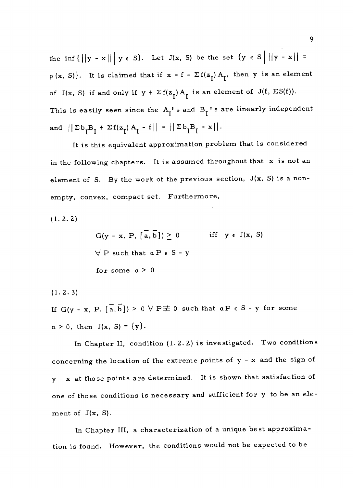the inf  $\{||y - x|| \mid y \in S\}$ . Let  $J(x, S)$  be the set  $\{y \in S \mid ||y - x|| =$  $p(x, S)$ . It is claimed that if  $x = f - \Sigma f(z_1) A_1$ , then y is an element of J(x, S) if and only if  $y + \Sigma f(z_1) A_1$  is an element of J(f, ES(f)). This is easily seen since the  $A_I^{\dagger}$  s and  $B_I^{\dagger}$  s are linearly independent and  $||\Sigma b_I B_I + \Sigma f(z_I) A_I - f|| = ||\Sigma b_I B_I - x||.$ 

It is this equivalent approximation problem that is considered in the following chapters. It is assumed throughout that x is not an element of S. By the work of the previous section, J(x, S) is a nonempty, convex, compact set. Furthermore,

(1. 2. 2)

 $G(y - x, P, [\overline{a}, \overline{b}]) > 0$  iff  $y \in J(x, S)$  $\forall$  P such that  $a P \in S - y$ for some  $a > 0$ 

(1. 2. 3)

If  $G(y - x, P, [\overline{a}, \overline{b}]) > 0 \forall P \not\equiv 0$  such that  $a P \in S - y$  for some  $a > 0$ , then  $J(x, S) = {y}.$ 

In Chapter II, condition (1. 2. 2) is investigated. Two conditions concerning the location of the extreme points of y - x and the sign of y - x at those points are determined. It is shown that satisfaction of one of those conditions is necessary and sufficient for y to be an element of  $J(x, S)$ .

In Chapter III, a characterization of a unique best approximation is found. However, the conditions would not be expected to be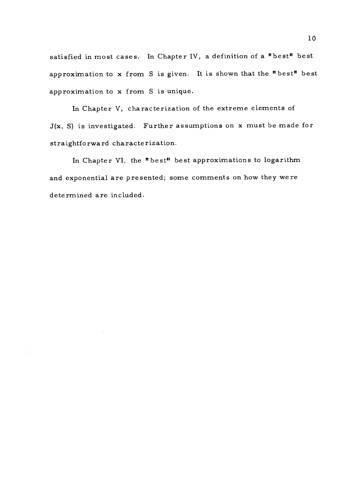satisfied in most cases. In Chapter IV, a definition of a "best" best approximation to x from S is given. It is shown that the "best" best approximation to x from S is unique.

In Chapter V, characterization of the extreme elements of J(x, S) is investigated. Further assumptions on x must be made for straightforward characterization.

In Chapter VI, the "best" best approximations to logarithm and exponential are presented; some comments on how they were determined are included.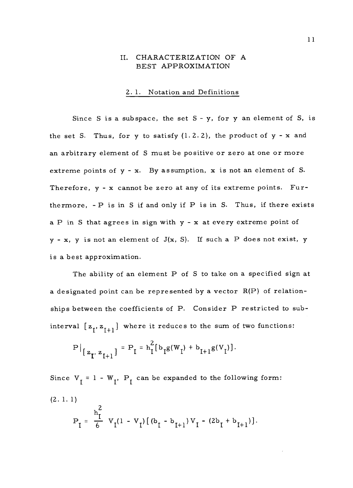#### II. CHARACTERIZATION OF A BEST APPROXIMATION

#### 2. 1. Notation and Definitions

Since S is a subspace, the set  $S - y$ , for y an element of S, is the set S. Thus, for y to satisfy  $(1.2.2)$ , the product of y - x and an arbitrary element of S must be positive or zero at one or more extreme points of y - x. By assumption, x is not an element of S. Therefore, y - x cannot be zero at any of its extreme points. Furthermore, - P is in S if and only if P is in S. Thus, if there exists a P in S that agrees in sign with y - x at every extreme point of  $y - x$ , y is not an element of  $J(x, S)$ . If such a P does not exist, y is a best approximation.

The ability of an element P of S to take on a specified sign at a designated point can be represented by a vector R(P) of relationships between the coefficients of P. Consider P restricted to subinterval  $[z_1, z_{1+1}]$  where it reduces to the sum of two functions:

$$
P|_{[z_I, z_{I+1}]} = P_I = h_I^2 [b_I g(W_I) + b_{I+1} g(V_I)].
$$

Since  $V_I = 1 - W_I$ ,  $P_I$  can be expanded to the following form: (2. 1. 1)  $h_\tau^2$  $P_I = \frac{1}{6} V_I(1 - V_I) [(b_I - b_{I+1}) V_I - (2b_I + b_{I+1})].$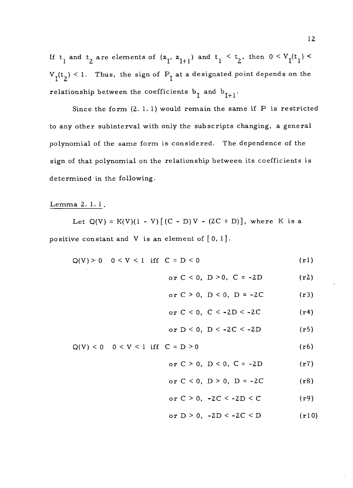If  $t_1$  and  $t_2$  are elements of  $(z_1, z_{I+1})$  and  $t_1 < t_2$ , then  $0 < V_I(t_1) <$  $V_I(t_2) < 1$ . Thus, the sign of  $P_I$  at a designated point depends on the relationship between the coefficients  $b_I$  and  $b_{I+1}$ .

Since the form  $(2. 1. 1)$  would remain the same if P is restricted to any other subinterval with only the subscripts changing, a general polynomial of the same form is considered. The dependence of the sign of that polynomial on the relationship between its coefficients is determined in the following.

#### Lemma 2. 1.1

Let  $Q(V) = K(V)(1 - V) [(C - D)V - (2C + D)],$  where K is a positive constant and V is an element of  $[0, 1]$ .

$$
Q(V) > 0 \t 0 < V < 1 \t if C = D < 0 \t (r1)
$$

or 
$$
C < 0
$$
,  $D > 0$ ,  $C = -2D$  (r2)

or 
$$
C > 0
$$
,  $D < 0$ ,  $D = -2C$  (r3)

$$
\text{or } C < 0, \ C < -2D < -2C \tag{r4}
$$

or D < 0, D < -2C < -2D (r5)

### $Q(V) < 0 \quad 0 < V < 1 \text{ iff } C = D > 0$  (r6)

or 
$$
C > 0
$$
,  $D < 0$ ,  $C = -2D$  (r7)

or 
$$
C < 0
$$
,  $D > 0$ ,  $D = -2C$  (r8)

or 
$$
C > 0
$$
,  $-2C < -2D < C$  (r9)

# or  $D > 0$ ,  $-2D < -2C < D$  (r10)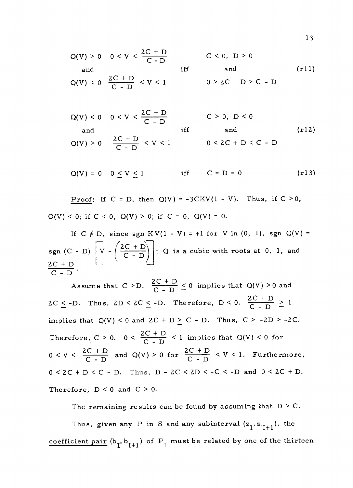Q(V) > 0 0 < V 
$$
\frac{2C + D}{C - D}
$$
  
\nand if f and  
\nQ(V) < 0  $\frac{2C + D}{C - D} < V < 1$   
\n $0 > 2C + D > C - D$   
\n(f11)

Q(V) < 0 0 < V < 
$$
\frac{2C + D}{C - D}
$$
  
\nand if f and inf  
\nQ(V) > 0  $\frac{2C + D}{C - D} < V < 1$   
\n $0 < 2C + D < C - D$   
\n(t12)

 $Q(V) = 0 \quad 0 \le V \le 1$  iff  $C = D = 0$ (r13)

Proof: If  $C = D$ , then  $Q(V) = -3CKV(1 - V)$ . Thus, if  $C > 0$ ,  $Q(V) < 0$ ; if  $C < 0$ ,  $Q(V) > 0$ ; if  $C = 0$ ,  $Q(V) = 0$ .

If  $C \neq D$ , since sgn  $KV(1 - V) = +1$  for V in (0, 1), sgn  $Q(V) =$ sgn (C - D)  $V - \left(\frac{2C + D}{C - D}\right)$  ; Q is a cub- $2C + D$  $\frac{2C + D}{2}$ .  $V - \left(\frac{2C + D}{C - D}\right)$ ; Q is a cubic with roots at 0, 1, and

Assume that  $C > D$ .  $\frac{2C + D}{C - D} \le 0$  implies that  $Q(V) > 0$  and  $2C \le -D$ . Thus,  $2D \le 2C \le -D$ . Therefore,  $D \le 0$ .  $\frac{2C + D}{C - D} \ge 1$ implies that  $Q(V) < 0$  and  $2C + D \ge C - D$ . Thus,  $C \ge -2D > -2C$ . Therefore,  $C > 0$ .  $0 < \frac{2C + D}{C - D} < 1$  implies that  $Q(V) < 0$  for  $0 < V < \frac{2C + D}{C - D}$  and  $Q(V) > 0$  for  $\frac{2C + D}{C - D} < V < 1$ .  $\frac{C+D}{C-D}$  and  $Q(V) > 0$  for  $\frac{2C+D}{C-D} < V < 1$ . Furthermore,  $0 < 2C + D < C$  - D. Thus,  $D - 2C < 2D < -C < -D$  and  $0 < 2C + D$ . Therefore,  $D < 0$  and  $C > 0$ .

The remaining results can be found by assuming that  $D > C$ . Thus, given any P in S and any subinterval  $(z_{I}, z_{I+1})$ , the coefficient pair  $(b_7, b_{1+1})$  of  $P_7$  must be related by one of the thirteen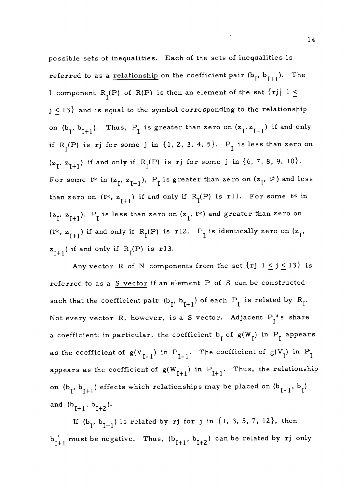possible sets of inequalities. Each of the sets of inequalities is referred to as a relationship on the coefficient pair  $(b_1, b_{1+1})$ . The I component R<sub>I</sub>(P) of R(P) is then an element of the set  $\{rj \mid 1 \leq$  $j \leq 13$ } and is equal to the symbol corresponding to the relationship on  $(b_i, b_{i+1})$ . Thus,  $P_i$  is greater than zero on  $(z_i, z_{i+1})$  if and only if  $R_I(P)$  is rj for some j in  $\{1, 2, 3, 4, 5\}$ .  $P_I$  is less than zero on  $(z_1, z_{1+1})$  if and only if  $R_1(P)$  is rj for some j in  $\{6, 7, 8, 9, 10\}.$ For some t\* in  $(z_1, z_{l+1}), P_l$  is greater than zero on  $(z_1, t^*)$  and less than zero on (t\*,  $z_{I+1}$ ) if and only if  $R_I(P)$  is rll. For some t\* in  $(z_{I}, z_{I+1}), P_I$  is less than zero on  $(z_{I}, t*)$  and greater than zero on (t\*,  $z_{I+1}$ ) if and only if  $R_I(P)$  is r12.  $P_I$  is identically zero on  $(z_I, z_{I+1})$  $z_{1+1}$ ) if and only if  $R_I(P)$  is r13.

Any vector R of N components from the set  $\{rj | 1 \le j \le l3\}$  is referred to as a  $S$  vector if an element P of S can be constructed such that the coefficient pair  $(b_{\tau}, b_{\tau+1})$  of each  $P_{\tau}$  is related by  $R_{\tau}$ . Not every vector R, however, is a S vector. Adjacent  $P_I^{\P}$ 's share a coefficient; in particular, the coefficient  $b_1$  of  $g(W_1)$  in  $P_1$  appears as the coefficient of  $g(V_{I-1})$  in  $P_{I-1}$ . The coefficient of  $g(V_I)$  in  $P_I$ appears as the coefficient of  $g(W_{r+1})$  in  $P_{r+1}$ . Thus, the relationship on  $(b_1, b_{1+1})$  effects which relationships may be placed on  $(b_{1-1}, b_1)$ and  $(b_{I+1}, b_{I+2}).$ 

If  $(b_7, b_{1+1})$  is related by rj for j in  $\{1, 3, 5, 7, 12\}$ , then  $\mathbf{b}_{\mathbf{I}+1}^{\mathbf{\cdot}}$  must be negative. Thus,  $(\mathbf{b}_{\mathbf{I}+1},\ \mathbf{b}_{\mathbf{I}+2})$  can be related by rj only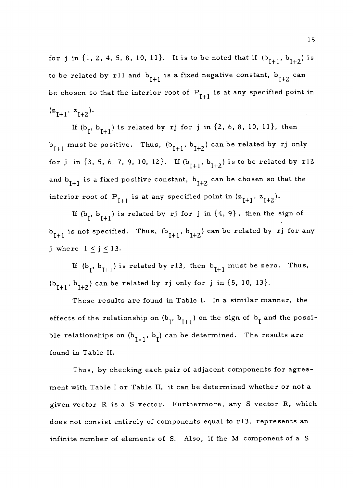for j in  $\{1, 2, 4, 5, 8, 10, 11\}$ . It is to be noted that if  $(b_{I+1}, b_{I+2})$  is to be related by rll and  $b_{I+1}$  is a fixed negative constant,  $b_{I+2}$  can be chosen so that the interior root of  $P_{I+1}$  is at any specified point in  $(z_{I+1}, z_{I+2}).$ 

If  $(b_7, b_{1+1})$  is related by rj for j in  $\{2, 6, 8, 10, 11\}$ , then  $b_{I+1}$  must be positive. Thus,  $(b_{I+1}, b_{I+2})$  can be related by rj only for j in {3, 5, 6, 7, 9, 10, 12}. If  $(b_{I+1}, b_{I+2})$  is to be related by r12 and  $b_{I+1}$  is a fixed positive constant,  $b_{I+2}$  can be chosen so that the interior root of  $P_{I+1}$  is at any specified point in  $(z_{I+1}, z_{I+2})$ .

If  $(b_1, b_{I+1})$  is related by rj for j in  $\{4, 9\}$ , then the sign of  $b_{I+1}$  is not specified. Thus,  $(b_{I+1}, b_{I+2})$  can be related by rj for any j where  $1 \leq j \leq 13$ .

If  $(b_{\tau}, b_{I+1})$  is related by r13, then  $b_{I+1}$  must be zero. Thus,  $(b_{1+1}, b_{1+2})$  can be related by rj only for j in {5, 10, 13}.

These results are found in Table I. In a similar manner, the effects of the relationship on  $(b_7, b_{1+1})$  on the sign of  $b_7$  and the possible relationships on  $(b_{I-1}, b_1)$  can be determined. The results are found in Table II.

Thus, by checking each pair of adjacent components for agreement with Table I or Table II, it can be determined whether or not a given vector R is a S vector. Furthermore, any S vector R, which does not consist entirely of components equal to r13, represents an infinite number of elements of S. Also, if the M component of a S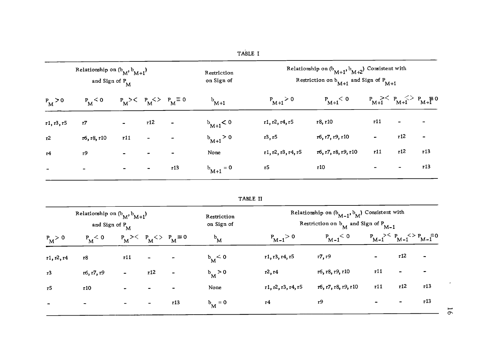| TABLE I |  |
|---------|--|

|            | Relationship on $(b_M, b_{M+1})$<br>and Sign of $P_{\overline{M}}$ |                              |                              |                                  | Restriction<br>on Sign of | Relationship on $(b_{M+1}, b_{M+2})$ Consistent with<br>Restriction on $b_{M+1}$ and Sign of $P_{M+1}$ |                     |                 |                                   |                          |  |
|------------|--------------------------------------------------------------------|------------------------------|------------------------------|----------------------------------|---------------------------|--------------------------------------------------------------------------------------------------------|---------------------|-----------------|-----------------------------------|--------------------------|--|
| $P_M > 0$  | $P_M < 0$                                                          |                              |                              | $P_M$ >< $P_M$ <> $P_M \equiv 0$ | $b_{M+1}$                 | $P_{M+1} > 0$                                                                                          | $P_{M+1}$ < 0       |                 | $P_{M+1} > P_{M+1} > P_{M+1} = 0$ |                          |  |
| r1, r3, r5 | r7                                                                 | $\sim$                       | r12                          | $\blacksquare$                   | $b_{M+1}$ < 0             | r1, r2, r4, r5                                                                                         | r8, r10             | r11             | $\bullet$                         | $\overline{\phantom{0}}$ |  |
| r2         | r6, r8, r10                                                        | r11                          | $\overline{\phantom{a}}$     |                                  | $b_{M+1} > 0$             | r3, r5                                                                                                 | r6, r7, r9, r10     | $\qquad \qquad$ | r12                               | $\blacksquare$           |  |
| r4         | r9                                                                 | $\overline{\phantom{a}}$     |                              |                                  | None                      | r1, r2, r3, r4, r5                                                                                     | r6, r7, r8, r9, r10 | r11             | r12                               | r <sub>13</sub>          |  |
|            | $\,$                                                               | $\qquad \qquad \blacksquare$ | $\qquad \qquad \blacksquare$ | r13                              | $b_{M+1} = 0$             | r5                                                                                                     | r10                 |                 | $\overline{\phantom{0}}$          | r13                      |  |

|                          | Relationship on $(b_M, b_{M+1})$<br>and Sign of P <sub>M</sub> |                |                          |                                  | Restriction<br>on Sign of |                    | Relationship on $(b_{M-1}, b_M)$ Consistent with<br>Restriction on $b_M$ and Sign of $P_{M-1}$ |                          |      |                                   |                |
|--------------------------|----------------------------------------------------------------|----------------|--------------------------|----------------------------------|---------------------------|--------------------|------------------------------------------------------------------------------------------------|--------------------------|------|-----------------------------------|----------------|
| $P_{M} > 0$              | $P_M$ < 0                                                      |                |                          | $P_M$ >< $P_M$ <> $P_M \equiv 0$ | $b_{\rm M}$               | $P_{M-1} > 0$      | $P_{M-1}$ < 0                                                                                  |                          |      | $P_{M-1} > P_{M-1} > P_{M-1} = 0$ |                |
| r1, r2, r4               | <b>r8</b>                                                      | r11            | $\blacksquare$           |                                  | $b_M < 0$                 | r1, r3, r4, r5     | r7, r9                                                                                         | $\sim$                   | r 12 | $\qquad \qquad \blacksquare$      |                |
| r3                       | r6, r7, r9                                                     | $\blacksquare$ | r12                      | $\blacksquare$                   | $b_{\rm M} > 0$           | $r^2$ , $r^4$      | r6, r8, r9, r10                                                                                | r11                      |      |                                   |                |
| r <sub>5</sub>           | r10                                                            | $\bullet$      | $\overline{\phantom{0}}$ |                                  | None                      | r1, r2, r3, r4, r5 | r6, r7, r8, r9, r10                                                                            | r11                      | r12  | r13                               |                |
| $\overline{\phantom{a}}$ | $\blacksquare$                                                 | $\sim$         | $\blacksquare$           | r13                              | $b_M = 0$                 | r4                 | r9                                                                                             | $\overline{\phantom{a}}$ | -    | r13                               | $\overline{6}$ |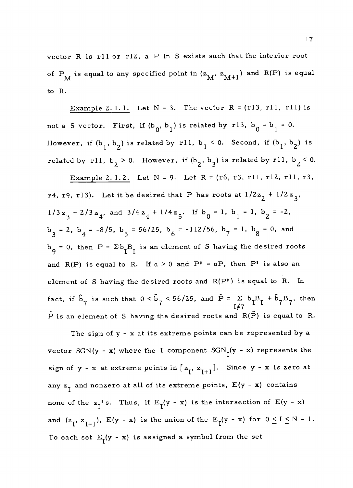vector R is rll or r12, a P in S exists such that the interior root of P<sub>M</sub> is equal to any specified point in  $(z_M, z_{M+1})$  and R(P) is equal to R.

Example 2.1.1. Let  $N = 3$ . The vector  $R = (r13, r11, r11)$  is not a S vector. First, if  $(b_0, b_1)$  is related by r13,  $b_0 = b_1 = 0$ . However, if  $(b_1, b_2)$  is related by rll,  $b_1 < 0$ . Second, if  $(b_1, b_2)$  is related by rll,  $b_2 > 0$ . However, if  $(b_2, b_3)$  is related by rll,  $b_2 < 0$ .

Example 2.1.2. Let  $N = 9$ . Let  $R = (r6, r3, r11, r12, r11, r3,$ r4, r9, r13). Let it be desired that P has roots at  $1/2z_2 + 1/2z_3$ ,  $1/3z_3 + 2/3z_4$ , and  $3/4z_4 + 1/4z_5$ . If  $b_0 = 1$ ,  $b_1 = 1$ ,  $b_2 = -2$ ,  $b_3 = 2$ ,  $b_4 = -8/5$ ,  $b_5 = 56/25$ ,  $b_6 = -112/56$ ,  $b_7 = 1$ ,  $b_8 = 0$ , and  $b_{g} = 0$ , then  $P = \Sigma b_{I} B_{I}$  is an element of S having the desired roots and R(P) is equal to R. If  $a > 0$  and P' = aP, then P' is also an element of S having the desired roots and R(P1) is equal to R. In fact, if  $\hat{b}_7$  is such that  $0 < \hat{b}_7 < 56/25$ , and  $\hat{P} = \sum b_1 B_1 + \hat{b}_7 B_7$ , then<br>If 7  $\hat{P}$  is an element of S having the desired roots and  $R(\hat{P})$  is equal to R.

The sign of y - x at its extreme points can be represented by a vector SGN(y - x) where the I component  $SGN_{\tau}(y - x)$  represents the sign of  $y - x$  at extreme points in  $[z_1, z_{1+1}]$ . Since  $y - x$  is zero at any  $z_1$  and nonzero at all of its extreme points,  $E(y - x)$  contains none of the  $z_1$ ' s. Thus, if  $E_1(y - x)$  is the intersection of  $E(y - x)$ and  $(z_1, z_{I+1}), E(y - x)$  is the union of the  $E_1(y - x)$  for  $0 \le I \le N - 1$ . To each set  $E_T(y - x)$  is assigned a symbol from the set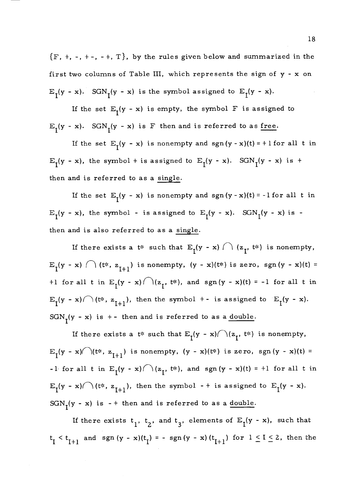${F, +, -, +-, -+, T}$ , by the rules given below and summarized in the first two columns of Table III, which represents the sign of y - x on  $E_I(y - x)$ . SGN<sub>I</sub>(y - x) is the symbol assigned to  $E_I(y - x)$ .

If the set  $E_{\tau}(y - x)$  is empty, the symbol F is assigned to  $E_I(y - x)$ . SGN<sub>I</sub>(y - x) is F then and is referred to as <u>free</u>.

If the set  $E_T(y - x)$  is nonempty and  $sgn(y - x)(t) = +1$  for all t in  $E_{1}(y - x)$ , the symbol + is assigned to  $E_{1}(y - x)$ . SGN<sub>I</sub>(y - x) is + then and is referred to as a single.

If the set  $E_1(y - x)$  is nonempty and sgn  $(y - x)(t) = -1$  for all t in  $E_I(y - x)$ , the symbol - is assigned to  $E_I(y - x)$ . SGN<sub>I</sub>(y - x) is then and is also referred to as a single.

If there exists a  $t^*$  such that  $E_{\tau}(y - x) \cap (z_{\tau}, t^*)$  is nonempty,  $E_{I}(y - x) \cap (t^{*}, z_{I+1})$  is nonempty,  $(y - x)(t^{*})$  is zero, sgn(y - x)(t) = +1 for all t in  $E_1(y - x) \cap (z_1, t^*)$ , and sgn(y - x)(t) = -1 for all t in  $E_{\tau}(y - x) \cap (t^*, z_{\tau+1}),$  then the symbol +- is assigned to  $E_{\tau}(y - x)$ .  $SGN<sub>1</sub>(y - x)$  is +- then and is referred to as a <u>double</u>.

If there exists a t\* such that  $E_{\uparrow}(y - x) \cap (z_{\uparrow}, t^*)$  is nonempty,  $E_{\tau}(y - x) \cap (t^*, z_{\tau+1})$  is nonempty,  $(y - x)(t^*)$  is zero, sgn(y - x)(t) = -1 for all t in  $E_1(y - x) \cap (z_1, t^*)$ , and sgn  $(y - x)(t) = +1$  for all t in  $E_I(y - x) \cap (t^*, z_{I+1}),$  then the symbol - + is assigned to  $E_I(y - x)$ .  $SGN<sub>I</sub>(y - x)$  is - + then and is referred to as a <u>double</u>.

If there exists  $t_1$ ,  $t_2$ , and  $t_3$ , elements of  $E_I(y - x)$ , such that  $t_1 < t_{I+1}$  and sgn  $(y - x)(t_1) = - \operatorname{sgn}(y - x)(t_{I+1})$  for  $1 \le I \le 2$ , then the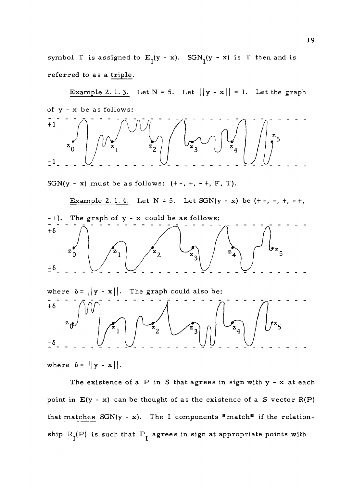symbol T is assigned to  $E_I(y - x)$ . SGN $_I(y - x)$  is T then and is referred to as a triple.

Example 2. 1. 3. Let  $N = 5$ . Let  $||y - x|| = 1$ . Let the graph of y - x be as follows: +1  $\overline{z}_0$  $\pm$ <sup>1</sup>.

SGN(y - x) must be as follows:  $(+-, +, -+, F, T)$ .

Example 2.1.4. Let  $N = 5$ . Let  $SGN(y - x)$  be  $(+-, -, +, -+,$ - +). The graph of y - x could be as follows:  $+\delta$ ه تا $\overline{\mathcal{F}}_{\mathbf{z}}$  $z_4$  $\mathbf{z}_1$  $\bar{z}$  $\frac{-6}{2}$ where  $\delta = ||y - x||$ . The graph could also be:  $+\delta$  $\mathbb{Z}_4$  $\mathbf{z}_{2}$ - 6

where  $\delta = ||y - x||$ .

The existence of a  $P$  in  $S$  that agrees in sign with  $y - x$  at each point in  $E(y - x)$  can be thought of as the existence of a .S vector  $R(P)$ that matches  $SGN(y - x)$ . The I components "match" if the relationship  $R_I(P)$  is such that  $P_I$  agrees in sign at appropriate points with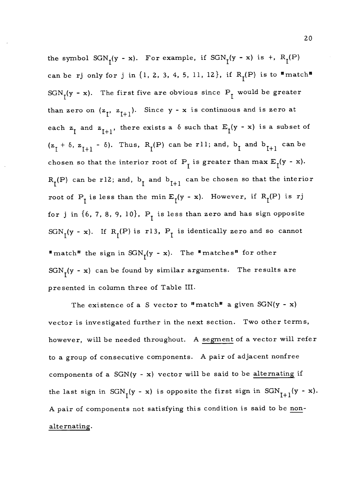the symbol  $SGN<sub>1</sub>(y - x)$ . For example, if  $SGN<sub>1</sub>(y - x)$  is +,  $R<sub>1</sub>(P)$ can be rj only for j in  $\{1, 2, 3, 4, 5, 11, 12\}$ , if  $R_I(P)$  is to  $\text{#match}^{\text{#}}$ SGN<sub>I</sub>(y - x). The first five are obvious since P<sub>I</sub> would be greater than zero on  $(z_1, z_{1+1})$ . Since y - x is continuous and is zero at each  $z_1$  and  $z_{I+1}$ , there exists a  $\delta$  such that  $E_1(y - x)$  is a subset of  $(z_1 + \delta, z_{I+1} - \delta)$ . Thus, R<sub>I</sub>(P) can be rll; and, b<sub>1</sub> and b<sub>1+1</sub> can be chosen so that the interior root of  $P_I$  is greater than max  $E_I(y - x)$ .  $R_I(P)$  can be r12; and,  $b_I$  and  $b_{I+1}$  can be chosen so that the interior root of  $P_I$  is less than the min  $E_I(y - x)$ . However, if  $R_I(P)$  is rj for j in  $\{6, 7, 8, 9, 10\}$ ,  $P_{I}$  is less than zero and has sign opposite SGN<sub>I</sub>(y - x). If R<sub>I</sub>(P) is r13, P<sub>I</sub> is identically zero and so cannot "match" the sign in  $SGN<sub>r</sub>(y - x)$ . The "matches" for other  $SGN<sub>r</sub>(y - x)$  can be found by similar arguments. The results are presented in column three of Table III.

The existence of a S vector to "match" a given  $SGN(y - x)$ vector is investigated further in the next section. Two other terms, however, will be needed throughout. A segment of a vector will refer to a group of consecutive components. A pair of adjacent nonfree components of a  $SGN(y - x)$  vector will be said to be alternating if the last sign in SGN<sub>T</sub>(y - x) is opposite the first sign in SGN<sub>T+1</sub>(y - x). A pair of components not satisfying this condition is said to be nonalternating.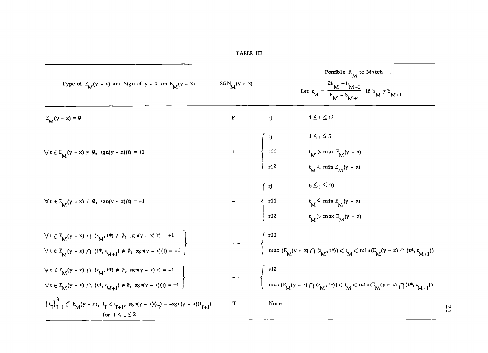|                                                                                                                                                                                |                  |      | Possible $R_M$ to Match                                                                                                                                                                                                                    |                |
|--------------------------------------------------------------------------------------------------------------------------------------------------------------------------------|------------------|------|--------------------------------------------------------------------------------------------------------------------------------------------------------------------------------------------------------------------------------------------|----------------|
| Type of $E_M(y - x)$ and Sign of $y - x$ on $E_M(y - x)$                                                                                                                       | $SGN_M(y - x)$ . |      | Let $t_M = \frac{2b_M + b_{M+1}}{b_M - b_{M+1}}$ if $b_M \neq b_{M+1}$                                                                                                                                                                     |                |
| $E_M(y - x) = \emptyset$                                                                                                                                                       | F                | rj   | $1\leq j\leq 13$                                                                                                                                                                                                                           |                |
|                                                                                                                                                                                |                  |      | $1\leq j\leq 5$                                                                                                                                                                                                                            |                |
| $\forall t \in E_{\mathbf{M}}(y - x) \neq \emptyset, \text{ sgn}(y - x)(t) = +1$                                                                                               |                  |      |                                                                                                                                                                                                                                            |                |
|                                                                                                                                                                                |                  |      | +<br>$\begin{cases}\n rj & \to \infty, -1 \\  r11 & t_M > \max E_M(y - x) \\  r12 & t_M < \min E_M(y - x)\n\end{cases}$                                                                                                                    |                |
|                                                                                                                                                                                |                  |      |                                                                                                                                                                                                                                            |                |
| $\forall t \in E_{M}(y - x) \neq \emptyset$ , sgn(y - x)(t) = -1                                                                                                               |                  |      |                                                                                                                                                                                                                                            |                |
|                                                                                                                                                                                |                  |      | -<br>$\left\{\n\begin{array}{l}\n\text{rj} & \quad 6 \leq j \leq 10 \\ \text{r11} & \quad \text{t}_{M} \leq \min \text{E}_{M}(\text{y - x}) \\ \text{r12} & \quad \text{t}_{M} \geq \max \text{E}_{M}(\text{y - x})\n\end{array}\n\right.$ |                |
|                                                                                                                                                                                |                  |      |                                                                                                                                                                                                                                            |                |
| $\forall t \in E_{M}(y - x) \cap (z_{M}, t^{*}) \neq \emptyset$ , sgn(y - x)(t) = +1<br>$\forall t \in E_{M}(y - x) \cap (t^{*}, z_{M+1}) \neq \emptyset$ , sgn(y - x)(t) = -1 |                  |      | +-<br>$\begin{cases} r^{11} \\ \max(E_{\tilde{M}}(y-x) \cap (z_{\tilde{M}}, t^{*})) < t_{\tilde{M}} < \min(E_{\tilde{M}}(y-x) \cap (t^{*}, z_{\tilde{M}+1})) \end{cases}$                                                                  |                |
|                                                                                                                                                                                |                  |      |                                                                                                                                                                                                                                            |                |
| $\forall t \in E_{M}(y - x) \cap (z_{M}, t^{*}) \neq \emptyset$ , sgn(y - x)(t) = -1<br>$\forall t \in E_{M}(y - x) \cap (t^{*}, z_{M+1}) \neq \emptyset$ , sgn(y - x)(t) = +1 |                  |      | - + $\begin{cases} r^{12} \\ \max(E_M(y-x) \cap (z_M, t^*) < t_M < \min(E_M(y-x) \cap (t^*, z_{M+1})) \end{cases}$                                                                                                                         |                |
| ${t_1}^3$ ${t_2}^3$ $\subset$ $E_M(y - x)$ , $t_1 < t_{1+1}$ , $sgn(y - x)(t_1) = -sgn(y - x)(t_{1+1})$<br>for $1 \leq i \leq 2$                                               | T                | None |                                                                                                                                                                                                                                            | $\overline{1}$ |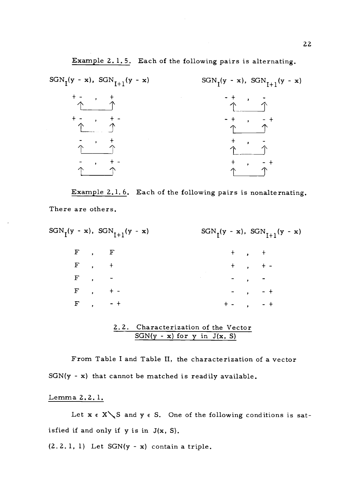

Example 2.1.6. Each of the following pairs is nonalternating. There are others.

|  |             | $SGN_{\tau}(y - x), \; SGN_{\tau+1}(y - x)$ | $SGN_{T}(y - x), \; SGN_{T+1}(y - x)$ |  |                                 |               |  |
|--|-------------|---------------------------------------------|---------------------------------------|--|---------------------------------|---------------|--|
|  | $F$ , $F$   |                                             |                                       |  | $+$ , $+$                       |               |  |
|  | $F$ , +     |                                             |                                       |  |                                 | $+$ , $+$ -   |  |
|  | $F \t, -$   |                                             |                                       |  | $\overline{z}$ , $\overline{z}$ |               |  |
|  | $F$ , $+$   |                                             |                                       |  |                                 | $-$ , $-$ +   |  |
|  | $F$ , $-$ + |                                             |                                       |  |                                 | $+ -$ , $- +$ |  |

#### 2.2. Characterization of the Vector  $SGN(y - x)$  for y in  $J(x, S)$

From Table I and Table II, the characterization of a vector  $SGN(y - x)$  that cannot be matched is readily available.

#### Lemma 2.2. 1.

Let  $x \in X \setminus S$  and  $y \in S$ . One of the following conditions is satisfied if and only if y is in J(x, S).

 $(2.2.1, 1)$  Let  $SGN(y - x)$  contain a triple.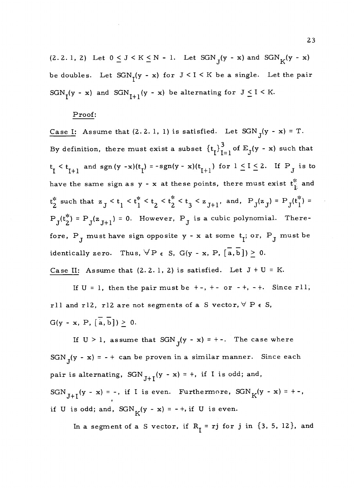$(2.2.1, 2)$  Let  $0 \le J \le K \le N - 1$ . Let  $SGN_{\tau}(y - x)$  and  $SGN_{K}(y - x)$ be doubles. Let  $SGN<sub>r</sub>(y - x)$  for  $J < I < K$  be a single. Let the pair SGN<sub>I</sub>(y - x) and SGN<sub>I+1</sub>(y - x) be alternating for  $J \le I \le K$ .

### Proof:

Case I: Assume that  $(2.2.1, 1)$  is satisfied. Let  $SGN<sub>J</sub>(y - x) = T$ . By definition, there must exist a subset  $\{t_i\}_{i=1}^3$  of  $E_j(y - x)$  such that  $t_{\tau} < t_{\tau+1}$  and sgn (y -x)( $t_{\tau}$ ) = -sgn(y - x)( $t_{\tau+1}$ ) for  $1 \leq I \leq 2$ . If P<sub>.</sub> is to have the same sign as y - x at these points, there must exist  $t_{\parallel}^*$  and  $t_2^*$  such that  $z_j < t_1 < t_1^* < t_2 < t_2^* < t_3 < z_{J+1}$ , and,  $P_J(z_J) = P_J(t_1^*) =$  $P_{J}(t_{2}^{*}) = P_{J}(z_{J+1}) = 0$ . However,  $P_{J}$  is a cubic polynomial. Therefore,  $P_{J}$  must have sign opposite y - x at some  $t_{I}$ ; or,  $P_{J}$  must be identically zero. Thus,  $\forall P \in S$ ,  $G(y - x, P, [\overline{a}, \overline{b}]) \geq 0$ . Case II: Assume that  $(2.2.1, 2)$  is satisfied. Let  $J + U = K$ .

If  $U = 1$ , then the pair must be  $+ -$ ,  $+ -$  or  $- +$ ,  $- +$ . Since rll, rll and rl2, rl2 are not segments of a S vector,  $\forall P \in S$ ,  $G(y - x, P, [\overline{a}, \overline{b}]) \geq 0.$ 

If  $U > 1$ , assume that  $SGN<sub>T</sub>(y - x) = +-.$  The case where  $SGN_J(y - x) = - +$  can be proven in a similar manner. Since each pair is alternating,  $SGN_{J+I}(y - x) = +$ , if I is odd; and, SGN<sub>J+I</sub>(y - x) = -, if I is even. Furthermore,  $SGN_K(y - x) = + -$ , if U is odd; and,  $SGN<sub>K</sub>(y - x) = - +$ , if U is even.

In a segment of a S vector, if  $R_1 = rj$  for j in  $\{3, 5, 12\}$ , and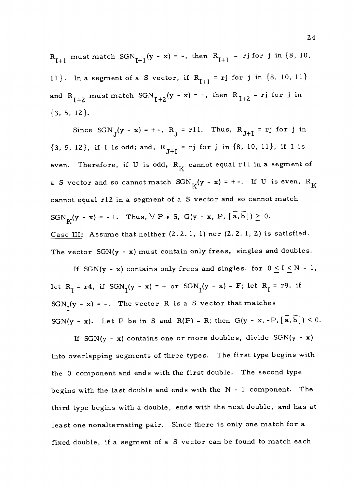$R_{T+1}$  must match  $SGN_{T+1}(y - x) = -$ , then  $R_{T+1} = rj$  for j in {8, 10, 11}. In a segment of a S vector, if  $R_{I+1} = rj$  for j in  $\{8, 10, 11\}$ and  $R_{I+2}$  must match  $SGN_{I+2}(y - x) = +$ , then  $R_{I+2} = rj$  for j in  $\{3, 5, 12\}.$ 

Since  $SGN_J(y - x) = + -$ ,  $R_J = r11$ . Thus,  $R_{J+I} = rj$  for j in  $\{3, 5, 12\}$ , if I is odd; and,  $R_{J+I} = rj$  for j in  $\{8, 10, 11\}$ , if I is even. Therefore, if U is odd,  $R_K$  cannot equal rll in a segment of a S vector and so cannot match  $SGN_K(y - x) = + -$ . If U is even,  $R_K$ cannot equal r12 in a segment of a S vector and so cannot match  $SGN_K(y - x) = - +$ . Thus,  $\forall P \in S$ ,  $G(y - x, P, [\overline{a}, \overline{b}]) \ge 0$ . Case III: Assume that neither (2.2. 1, 1) nor (2. 2. 1, 2) is satisfied. The vector  $SGN(y - x)$  must contain only frees, singles and doubles.

If SGN(y - x) contains only frees and singles, for  $0 \le I \le N - 1$ , let  $R_{\tau}$  = r4, if SGN<sub> $_{\tau}$ </sub>(y - x) = + or SGN<sub> $_{\tau}$ </sub>(y - x) = F; let  $R_{\tau}$  = r9, if  $SGN<sub>r</sub>(y - x) = -$ . The vector R is a S vector that matches SGN(y - x). Let P be in S and R(P) = R; then G(y - x, -P,  $\left[\overline{a}, \overline{b}\right]$ ) < 0.

If  $SGN(y - x)$  contains one or more doubles, divide  $SGN(y - x)$ into overlapping segments of three types. The first type begins with the 0 component and ends with the first double. The second type begins with the last double and ends with the N - 1 component. The third type begins with a double, ends with the next double, and has at least one nonalternating pair. Since there is only one match for a fixed double, if a segment of a S vector can be found to match each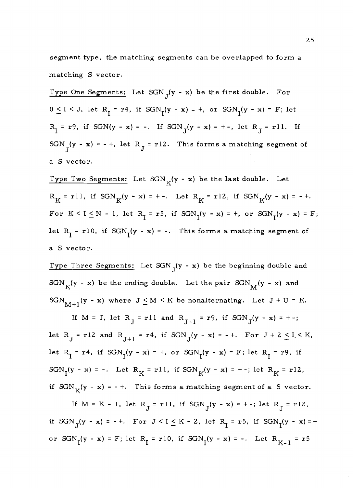segment type, the matching segments can be overlapped to form a matching S vector.

Type One Segments: Let  $SGN_J(y - x)$  be the first double. For  $0 \le I \le J$ , let  $R_I = r4$ , if  $SGN_I(y - x) = +$ , or  $SGN_I(y - x) = F$ ; let  $R_I = r9$ , if SGN(y - x) = -. If SGN<sub>J</sub>(y - x) = +-, let  $R_J = r11$ . If SGN<sub>T</sub>(y - x) = - +, let R<sub>J</sub> = r12. This forms a matching segment of a S vector.

Type Two Segments: Let  $SGN_K(y - x)$  be the last double. Let  $R_K = r11$ , if  $SGN_K(y - x) = +-.$  Let  $R_K = r12$ , if  $SGN_K(y - x) = -+.$ For  $K \leq I \leq N - 1$ , let  $R_I = r5$ , if  $SGN_I(y - x) = +$ , or  $SGN_I(y - x) = F$ ; let  $R_I = r10$ , if  $SGN_I(y - x) = -$ . This forms a matching segment of a S vector.

Type Three Segments: Let SGN<sub>T</sub>(y - x) be the beginning double and  $SGN_K(y - x)$  be the ending double. Let the pair  $SGN_M(y - x)$  and  $SGN<sub>M+1</sub>(y - x)$  where  $J \leq M \leq K$  be nonalternating. Let  $J + U = K$ .

If M = J, let  $R_J = r11$  and  $R_{J+1} = r9$ , if  $SGN_J(y - x) = + -$ ; let  $R_J = r12$  and  $R_{J+1} = r4$ , if  $SGN_J(y - x) = - +$ . For  $J + 2 \leq I \leq K$ , let  $R_I = r4$ , if  $SGN_I(y - x) = +$ , or  $SGN_I(y - x) = F$ ; let  $R_I = r9$ , if SGN<sub>I</sub>(y - x) = -. Let  $R_K = r11$ , if SGN<sub>K</sub>(y - x) = +-; let  $R_K = r12$ , if  $SGN_K(y - x) = - +$ . This forms a matching segment of a S vector.

If  $M = K - 1$ , let  $R_J = r11$ , if  $SGN_J(y - x) = + -$ ; let  $R_J = r12$ , if  $SGN_J(y - x) = - +$ . For  $J < I \leq K - 2$ , let  $R_I = r5$ , if  $SGN_I(y - x) = +$ or  $SGN_1(y - x) = F$ ; let  $R_1 = r10$ , if  $SGN_1(y - x) = -$ . Let  $R_{K-1} = r5$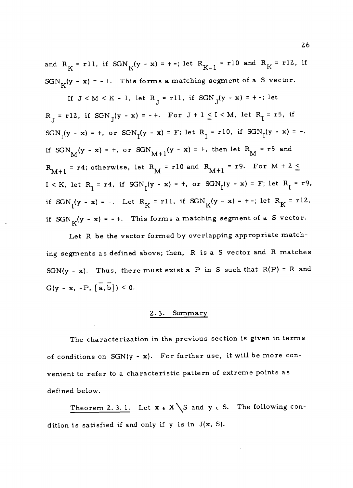and  $R_K = r11$ , if  $SGN_K(y - x) = + -$ ; let  $R_{K-1} = r10$  and  $R_K = r12$ , if  $SGN_K(y - x) = - +$ . This forms a matching segment of a S vector.

If  $J < M < K - 1$ , let  $R_{T} = r11$ , if  $SGN_{T}(y - x) = + -$ ; let  $R_T = r12$ , if  $SGN_T(y - x) = - +$ . For  $J + 1 \leq I \leq M$ , let  $R_T = r5$ , if  $SGN_{I}(y - x) = +$ , or  $SGN_{I}(y - x) = F$ ; let  $R_{I} = r10$ , if  $SGN_{I}(y - x) = -$ . If  $SGN_M(y - x) = +$ , or  $SGN_{M+1}(y - x) = +$ , then let  $R_M = r^5$  and  $R_{M+1}$  = r4; otherwise, let  $R_{M}$  = r10 and  $R_{M+1}$  = r9. For  $M + 2 \leq$ I < K, let  $R_I = r4$ , if  $SGN_I(y - x) = +$ , or  $SGN_I(y - x) = F$ ; let  $R_I = r9$ , if  $SGN_{\tau}(y - x) = -$ . Let  $R_K = r11$ , if  $SGN_K(y - x) = +$ -; let  $R_K = r12$ , if  $SGN_K(y - x) = - +$ . This forms a matching segment of a S vector.

Let R be the vector formed by overlapping appropriate matching segments as defined above; then, R is a S vector and R matches  $SGN(y - x)$ . Thus, there must exist a P in S such that  $R(P) = R$  and  $G(y - x, -P, [\overline{a}, \overline{b}]) \leq 0.$ 

#### 2. 3. Summary

The characterization in the previous section is given in terms of conditions on  $SGN(y - x)$ . For further use, it will be more convenient to refer to a characteristic pattern of extreme points as defined below.

Theorem 2.3.1. Let  $x \in X \ S$  and  $y \in S$ . The following condition is satisfied if and only if y is in J(x, S).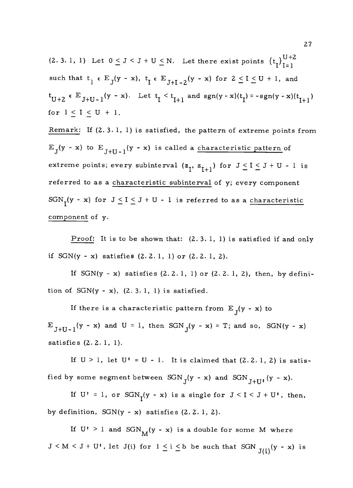(2. 3. 1, 1) Let  $0 \le J \le J + U \le N$ . Let there exist points  $\{t_I\}_{I=1}^{U+2}$ such that  $t_1 \in E_J(y - x)$ ,  $t_I \in E_{J+I-2}(y - x)$  for  $2 \le I \le U + 1$ , and  $t_{U+2} \in E_{J+U-1}(y - x)$ . Let  $t_{I} \leq t_{I+1}$  and  $sgn(y - x)(t_{I}) = -sgn(y - x)(t_{I+1})$ for  $l \leq I \leq U + 1$ .

Remark: If (2. 3. 1, 1) is satisfied, the pattern of extreme points from  $E_J(y - x)$  to  $E_{J+U-1}(y - x)$  is called a characteristic pattern of extreme points; every subinterval  $(z_I, z_{I+1})$  for  $J \le I \le J + U - 1$  is referred to as a characteristic subinterval of y; every component SGN<sub>T</sub>(y - x) for  $J \le I \le J + U - 1$  is referred to as a characteristic component of y.

Proof: It is to be shown that: (2. 3. 1, 1) is satisfied if and only if  $SGN(y - x)$  satisfies  $(2.2.1, 1)$  or  $(2.2.1, 2)$ .

If  $SGN(y - x)$  satisfies  $(2.2.1, 1)$  or  $(2.2.1, 2)$ , then, by definition of  $SGN(y - x)$ ,  $(2.3.1, 1)$  is satisfied.

If there is a characteristic pattern from  $E_{\text{J}}(y - x)$  to  $E_{J+U-1}(y - x)$  and  $U = 1$ , then  $SGN<sub>J</sub>(y - x) = T$ ; and so,  $SGN(y - x)$ satisfies (2.2. 1, 1).

If  $U > 1$ , let  $U^* = U - 1$ . It is claimed that  $(2.2.1, 2)$  is satisfied by some segment between  $SGN<sub>T</sub>(y - x)$  and  $SGN<sub>T+III</sub>(y - x)$ .

If  $U' = 1$ , or  $SGN<sub>I</sub>(y - x)$  is a single for  $J < I < J + U'$ , then, by definition,  $SGN(y - x)$  satisfies  $(2.2.1, 2)$ .

If  $U' > 1$  and  $SGN_M(y - x)$  is a double for some M where  $J \le M \le J + U^{\dagger}$ , let  $J(i)$  for  $1 \le i \le b$  be such that  $SGN$   $_{J(i)}(y - x)$  is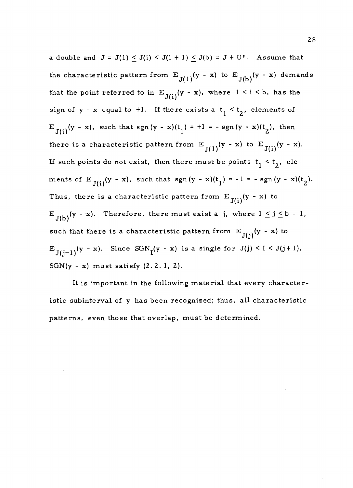a double and  $J = J(1) \leq J(i) \leq J(i + 1) \leq J(b) = J + U^{\dagger}$ . Assume that the characteristic pattern from  $E_{J(1)}(y - x)$  to  $E_{J(b)}(y - x)$  demands that the point referred to in  $E_{J(i)}(y - x)$ , where  $1 \le i \le b$ , has the sign of  $y - x$  equal to  $+1$ . If there exists a  $t_1 < t_2$ , elements of  $E_{J(i)}(y - x)$ , such that sgn(y - x)(t<sub>1</sub>) = +1 = - sgn(y - x)(t<sub>2</sub>), then there is a characteristic pattern from  $E_{J(1)}(y - x)$  to  $E_{J(i)}(y - x)$ . If such points do not exist, then there must be points  $t_1 < t_2$ , elements of  $E_{J(i)}(y - x)$ , such that  $sgn(y - x)(t_1) = -1 = -sgn(y - x)(t_2)$ . Thus, there is a characteristic pattern from  $E_{J(i)}(y-x)$  to  $E_{J(b)}(y - x)$ . Therefore, there must exist a j, where  $1 \le j \le b - 1$ , such that there is a characteristic pattern from  $E_{J(i)}(y - x)$  to  $E_{J(j+1)}(y - x)$ . Since  $SGN<sub>I</sub>(y - x)$  is a single for  $J(j) < I < J(j+1)$ ,  $SGN(y - x)$  must satisfy  $(2.2.1, 2)$ .

It is important in the following material that every characteristic subinterval of y has been recognized; thus, all characteristic patterns, even those that overlap, must be determined.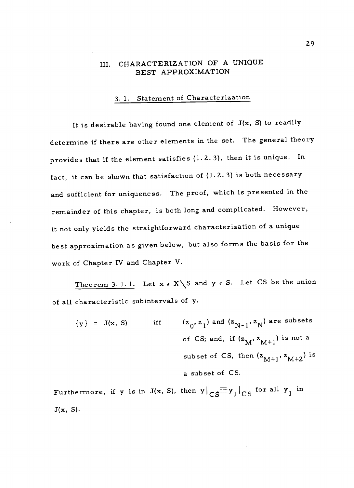# III. CHARACTERIZATION OF A UNIQUE BEST APPROXIMATION

# 3. 1. Statement of Characterization

It is desirable having found one element of  $J(x, S)$  to readily determine if there are other elements in the set. The general theory provides that if the element satisfies (1.2. 3), then it is unique. In fact, it can be shown that satisfaction of  $(1.2.3)$  is both necessary and sufficient for uniqueness. The proof, which is presented in the remainder of this chapter, is both long and complicated. However, it not only yields the straightforward characterization of a unique best approximation as given below, but also forms the basis for the work of Chapter IV and Chapter V.

Theorem 3. 1. 1. Let  $x \in X \setminus S$  and  $y \in S$ . Let CS be the union of all characteristic subintervals of y.

 ${y}$  = J(x, S) iff  ${z_0, z_1}$  and  ${z_{N-1}, z_N}$  are subsets of CS; and, if  $(z_M, z_{M+1})$  is not a subset of CS, then  $(z_{M+1}, z_{M+2})$  is a subset of CS.

Furthermore, if y is in J(x, S), then  $y|_{CS} \equiv y_1|_{CS}$  for all  $y_1$  in  $J(x, S)$ .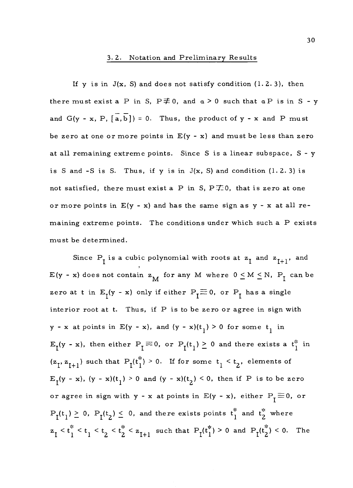#### 3.2. Notation and Preliminary Results

If y is in  $J(x, S)$  and does not satisfy condition  $(1.2.3)$ , then there must exist a P in S,  $P \not\equiv 0$ , and  $a > 0$  such that  $a P$  is in S - y and  $G(y - x, P, [\overline{a}, \overline{b}]) = 0$ . Thus, the product of y - x and P must be zero at one or more points in  $E(y - x)$  and must be less than zero at all remaining extreme points. Since S is a linear subspace, S - y is S and -S is S. Thus, if y is in  $J(x, S)$  and condition (1.2.3) is not satisfied, there must exist a P in S,  $P\neq 0$ , that is zero at one or more points in  $E(y - x)$  and has the same sign as  $y - x$  at all remaining extreme points. The conditions under which such a P exists must be determined.

Since  $P_I$  is a cubic polynomial with roots at  $z_I$  and  $z_{I+1}$ , and  $E(y - x)$  does not contain  $z_M$  for any M where  $0 \le M \le N$ ,  $P_I$  can be zero at t in  $E_1(y - x)$  only if either  $P_1 \equiv 0$ , or  $P_1$  has a single interior root at t. Thus, if P is to be zero or agree in sign with  $y - x$  at points in E(y - x), and  $(y - x)(t<sub>1</sub>) > 0$  for some  $t<sub>1</sub>$  in  $E_I(y - x)$ , then either  $P_I \equiv 0$ , or  $P_I(t_1) \ge 0$  and there exists a  $t_1^*$  in  $(z_1, z_{1+1})$  such that  $P_1(t_1^*) > 0$ . If for some  $t_1 < t_2$ , elements of  $E_I(y - x)$ ,  $(y - x)(t_I) > 0$  and  $(y - x)(t_2) < 0$ , then if P is to be zero or agree in sign with  $y - x$  at points in  $E(y - x)$ , either  $P_{\text{I}} \equiv 0$ , or  $P_I(t_1) \geq 0$ ,  $P_I(t_2) \leq 0$ , and there exists points  $t_1^*$  and  $t_2^*$  where  $z_1 < t_1^* < t_1 < t_2 < t_2^* < z_{I+1}$  such that  $P_I(t_1^*) > 0$  and  $P_I(t_2^*) < 0$ . The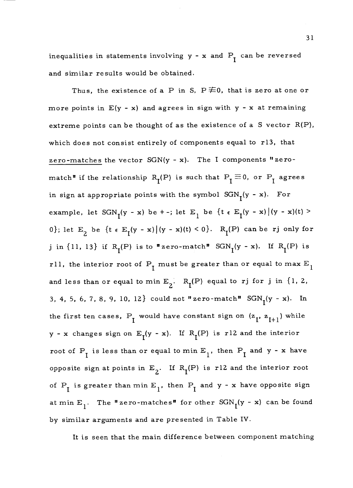inequalities in statements involving  $y - x$  and  $P_1$  can be reversed and similar results would be obtained.

Thus, the existence of a P in S,  $P \not\equiv 0$ , that is zero at one or more points in  $E(y - x)$  and agrees in sign with  $y - x$  at remaining extreme points can be thought of as the existence of a S vector  $R(P)$ , which does not consist entirely of components equal to r13, that zero-matches the vector SGN(y - x). The I components "zero match" if the relationship  $R_I(P)$  is such that  $P_I \equiv 0$ , or  $P_I$  agrees in sign at appropriate points with the symbol  $SGN<sub>I</sub>(y - x)$ . For example, let  $SGN_I(y - x)$  be  $+$  -; let  $E_I$  be  $\{t \in E_I(y - x) | (y - x)(t) >$ 0}; let  $E_2$  be  $\{t \in E_1(y - x) | (y - x)(t) \le 0\}$ .  $R_1(P)$  can be rj only for j in  $\{11, 13\}$  if  $R_T(P)$  is to "zero-match"  $SGN_T(y - x)$ . If  $R_T(P)$  is rll, the interior root of  $P_I$  must be greater than or equal to max  $E_I$ and less than or equal to min  $E_2$ .  $R_I(P)$  equal to rj for j in {1, 2, 3, 4, 5, 6, 7, 8, 9, 10, 12} could not "zero-match"  $SGN<sub>1</sub>(y - x)$ . In the first ten cases,  $P_I$  would have constant sign on  $(z_I, z_{I+1})$  while y - x changes sign on  $E_I(y - x)$ . If  $R_I(P)$  is r12 and the interior root of  $P_I$  is less than or equal to min  $E_I$ , then  $P_I$  and y - x have opposite sign at points in  $E_2$ . If  $R_1(P)$  is r12 and the interior root of  $P_I$  is greater than min  $E_I$ , then  $P_I$  and y - x have opposite sign at min  $E_1$ . The "zero-matches" for other  $SGN_1(y - x)$  can be found by similar arguments and are presented in Table IV.

It is seen that the main difference between component matching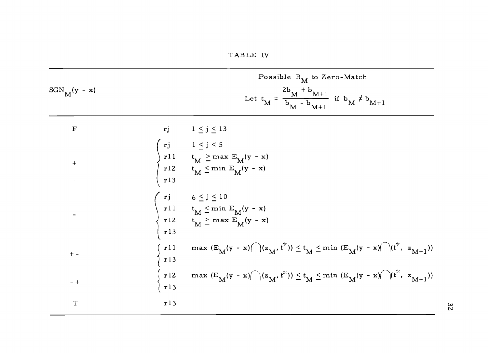| $SGN$ <sub>M</sub> $(y - x)$ |                                                                                          | Possible $R_M$ to Zero-Match<br>Let $t_M = \frac{2b_M + b_{M+1}}{b_M - b_{M+1}}$ if $b_M \neq b_{M+1}$                                                |
|------------------------------|------------------------------------------------------------------------------------------|-------------------------------------------------------------------------------------------------------------------------------------------------------|
| $\mathbf F$                  |                                                                                          | rj $1 \leq j \leq 13$                                                                                                                                 |
| $+$                          |                                                                                          | $\begin{cases}\nrj & 1 \leq j \leq 5 \\ r11 & t_M \geq \max E_M(y - x) \\ r12 & t_M \leq \min E_M(y - x) \\ r13\n\end{cases}$                         |
|                              |                                                                                          | $\left\{ \begin{array}{ll} rj & 6 \leq j \leq 10 \\ r11 & t_M \leq \min E_M(y - x) \\ r12 & t_M \geq \max E_M(y - x) \\ r13 & \end{array} \right.$    |
| $+ -$                        | $\begin{array}{c} \begin{array}{c} \texttt{rll} \\ \texttt{rll} \end{array} \end{array}$ | max $(E_M(y - x) \cap (z_M, t^*)) \le t_M \le \min (E_M(y - x) \cap (t^*, z_{M+1}))$                                                                  |
| $-+$                         |                                                                                          | $\int_{X} r^{12} \max \left( E_{M}(y - x) \right)  (z_{M}, t^{*}) \rangle \leq t_{M} \leq \min \left( E_{M}(y - x) \right)  (t^{*}, z_{M+1}) \rangle$ |
| $\mathbf T$                  | r13                                                                                      |                                                                                                                                                       |

32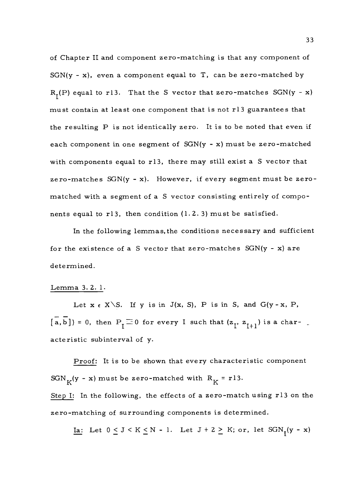of Chapter II and component zero-matching is that any component of  $SGN(y - x)$ , even a component equal to T, can be zero-matched by  $R_I(P)$  equal to r13. That the S vector that zero-matches  $SGN(y - x)$ must contain at least one component that is not r13 guarantees that the resulting P is not identically zero. It is to be noted that even if each component in one segment of SGN(y - x) must be zero-matched with components equal to r13, there may still exist a S vector that zero-matches SGN(y - x). However, if every segment must be zeromatched with a segment of a S vector consisting entirely of components equal to r13, then condition  $(1.2.3)$  must be satisfied.

In the following lemmas, the conditions necessary and sufficient for the existence of a S vector that zero-matches  $SGN(y - x)$  are determined.

#### Lemma 3.2.1.

Let  $x \in X \setminus S$ . If y is in J(x, S), P is in S, and G(y - x, P,  $\overline{[a,b]}$  = 0, then  $P_{\overline{I}}\equiv 0$  for every I such that  $(z_{\overline{I}}, z_{\overline{I}+1})$  is a characteristic subinterval of y.

Proof: It is to be shown that every characteristic component SGN<sub>K</sub>(y - x) must be zero-matched with  $R_K = r13$ . Step I: In the following, the effects of a zero-match using r13 on the zero-matching of surrounding components is determined.

<u>Ia</u>: Let  $0 \leq J \leq K \leq N - 1$ . Let  $J + 2 \geq K$ ; or, let  $SGN_{\mathsf{T}}(y - x)$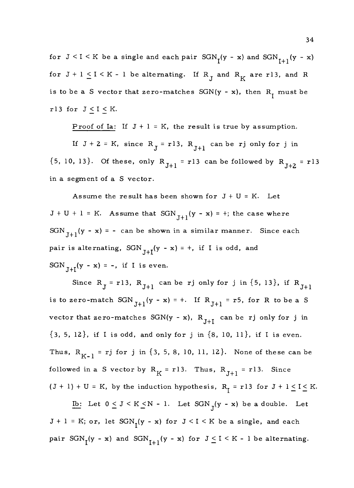for  $J \le I \le K$  be a single and each pair  $SGN_{I}(y - x)$  and  $SGN_{I+1}(y - x)$ for  $J + l \leq I \leq K - l$  be alternating. If  $R_J$  and  $R_K$  are r13, and R is to be a S vector that zero-matches  $SGN(y - x)$ , then  $R_t$  must be rl3 for  $J \leq I \leq K$ .

Proof of Ia: If  $J + l = K$ , the result is true by assumption.

If  $J + 2 = K$ , since  $R_J = r13$ ,  $R_{J+1}$  can be rj only for j in  ${5, 10, 13}.$  Of these, only  $R_{J+1} = r13$  can be followed by  $R_{J+2} = r13$ in a segment of a S vector.

Assume the result has been shown for  $J + U = K$ . Let  $J + U + 1 = K$ . Assume that  $SGN_{J+1}(y - x) = +$ ; the case where  $SGN_{J+1}(y - x) = -$  can be shown in a similar manner. Since each pair is alternating,  $SGN_{J+I}(y - x) = +$ , if I is odd, and  $SGN_{I+I}(y - x) = -$ , if I is even.

Since R<sub>J</sub> = r13, R<sub>J+1</sub> can be rj only for j in {5, 13}, if R<sub>J+1</sub> is to zero-match  $SGN_{J+1}(y - x) = +$ . If  $R_{J+1} = r5$ , for R to be a S vector that zero-matches  $SGN(y - x)$ ,  $R_{J+I}$  can be rj only for j in {3, 5, 12}, if I is odd, and only for j in {8, 10, 11}, if I is even. Thus,  $R_{K-1}$  = rj for j in {3, 5, 8, 10, 11, 12}. None of these can be followed in a S vector by  $R_K = r13$ . Thus,  $R_{J+1} = r13$ . Since  $(J + 1) + U = K$ , by the induction hypothesis,  $R_I = r13$  for  $J + 1 \le I \le K$ .

Ib: Let  $0 \le J \le K \le N - 1$ . Let  $SGN_J(y - x)$  be a double. Let  $J + l = K$ ; or, let  $SGN<sub>r</sub>(y - x)$  for  $J < l < K$  be a single, and each pair  $SGN<sub>I</sub>(y - x)$  and  $SGN<sub>I+1</sub>(y - x)$  for  $J \leq I \leq K - 1$  be alternating.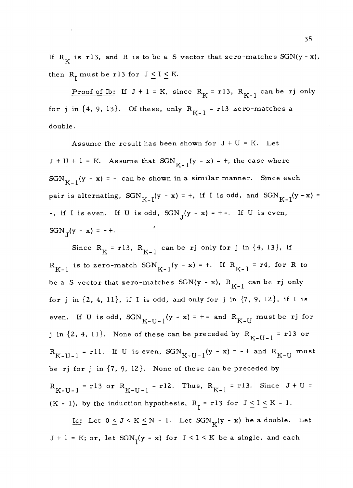If  $R_K$  is r13, and R is to be a S vector that zero-matches  $SGN(y - x)$ , then  $R_1$  must be r13 for  $J \leq I \leq K$ .

 $\ddot{\cdot}$ 

Proof of Ib: If  $J + l = K$ , since  $R_K = r l 3$ ,  $R_{K-1}$  can be rj only for j in  $\{4, 9, 13\}$ . Of these, only  $R_{K-1} = r13$  zero-matches a double.

Assume the result has been shown for  $J + U = K$ . Let  $J + U + I = K$ . Assume that  $SGN_{K-1}(y - x) = +$ ; the case where  $SGN<sub>K-1</sub>(y - x) = -$  can be shown in a similar manner. Since each pair is alternating,  $SGN_{K-1}(y - x) = +$ , if I is odd, and  $SGN_{K-1}(y - x) =$ -, if I is even. If U is odd,  $SGN_J(y - x) = +-.$  If U is even,  $SGN_{T}(y - x) = - +$ .

Since  $R_K = r13$ ,  $R_{K-1}$  can be rj only for j in {4, 13}, if  $R_{K-1}$  is to zero-match  $SGN_{K-1}(y - x) = +$ . If  $R_{K-1} = r4$ , for R to be a S vector that zero-matches  $SGN(y - x)$ ,  $R_{K-I}$  can be rj only for j in  $\{2, 4, 11\}$ , if I is odd, and only for j in  $\{7, 9, 12\}$ , if I is even. If U is odd,  $SGN_{K-II-1}(y - x) = +-$  and  $R_{K-II}$  must be rj for j in  $\{2, 4, 11\}$ . None of these can be preceded by  $R_{K-U-1} = r13$  or  $R_{K-U-1}$  = rll. If U is even,  $SGN_{K-U-1}(y - x) = - +$  and  $R_{K-U}$  must be rj for j in {7, 9, 12}. None of these can be preceded by  $R_{K-U-1}$  = r13 or  $R_{K-U-1}$  = r12. Thus,  $R_{K-1}$  = r13. Since J + U = (K - 1), by the induction hypothesis,  $R_{\text{I}}$  = r13 for  $J \leq I \leq K$  - 1.

Ic: Let  $0 \leq J \leq K \leq N - 1$ . Let  $SGN_K(y - x)$  be a double. Let  $J + l = K$ ; or, let  $SGN<sub>T</sub>(y - x)$  for  $J < I < K$  be a single, and each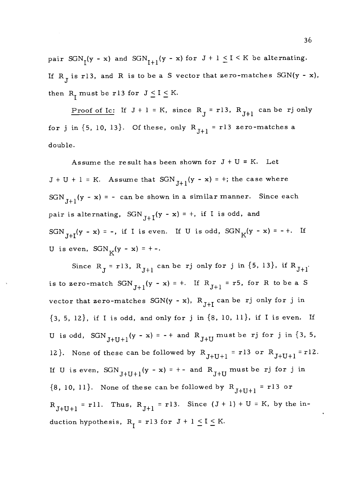pair  $SGN<sub>I</sub>(y - x)$  and  $SGN<sub>I+1</sub>(y - x)$  for  $J + 1 \leq I \leq K$  be alternating. If  $R_{\tau}$  is r13, and R is to be a S vector that zero-matches SGN(y - x), then  $R_r$  must be r13 for  $J \leq I \leq K$ .

Proof of Ic: If  $J + 1 = K$ , since  $R_J = r13$ ,  $R_{J+1}$  can be rj only for j in  $\{5, 10, 13\}$ . Of these, only  $R_{J+1} = r13$  zero-matches a double.

Assume the result has been shown for  $J + U = K$ . Let  $J + U + 1 = K$ . Assume that SGN  $_{J+1}(y - x) = +$ ; the case where SGN<sub>I+1</sub>(y - x) = - can be shown in a similar manner. Since each pair is alternating,  $SGN_{I+I}(y - x) = +$ , if I is odd, and SGN<sub>I+I</sub>(y - x) = -, if I is even. If U is odd, SGN<sub>K</sub>(y - x) = -+. If U is even,  $SGN_K(y - x) = +-.$ 

Since R<sub>J</sub> = r13, R<sub>J+1</sub> can be rj only for j in {5, 13}, if R<sub>J+1</sub>. is to zero-match  $SGN_{J+1}(y - x) = +$ . If  $R_{J+1} = r5$ , for R to be a S vector that zero-matches  $SGN(y - x)$ ,  $R_{J+I}$  can be rj only for j in  ${3, 5, 12}$ , if I is odd, and only for j in  ${8, 10, 11}$ , if I is even. If U is odd,  $SGN_{J+U+1}(y - x) = -+$  and  $R_{J+U}$  must be rj for j in {3, 5, 12}. None of these can be followed by  $R_{J+U+1} = r13$  or  $R_{J+U+1} = r12$ . If U is even,  $SGN_{J+U+1}(y - x) = +-$  and  $R_{J+U}$  must be rj for j in  ${8, 10, 11}.$  None of these can be followed by  $R_{J+1} = r13$  or  $R_{J+U+1}$  = rll. Thus,  $R_{J+1}$  = rl3. Since  $(J + 1) + U = K$ , by the induction hypothesis,  $R_{\overline{I}} = r l 3$  for  $J + l \leq I \leq K$ .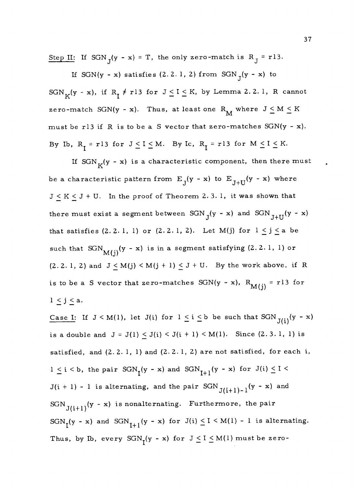Step II: If SGN<sub>T</sub>(y - x) = T, the only zero-match is R<sub>J</sub> = r13.

If SGN(y - x) satisfies (2.2.1, 2) from SGN<sub>J</sub>(y - x) to SGN<sub>K</sub>(y - x), if R<sub>I</sub>  $\neq$  r13 for  $J \leq I \leq K$ , by Lemma 2.2.1, R cannot zero-match SGN(y - x). Thus, at least one  $R_M$  where  $J \le M \le K$ must be r13 if R is to be a S vector that zero-matches  $SGN(y - x)$ . By Ib,  $R_{\overline{I}} = r13$  for  $J \le I \le M$ . By Ic,  $R_{\overline{I}} = r13$  for  $M \le I \le K$ .

If  $SGN_K(y - x)$  is a characteristic component, then there must be a characteristic pattern from  $E_j(y - x)$  to  $E_{J+U}(y - x)$  where  $J \leq K \leq J + U$ . In the proof of Theorem 2.3.1, it was shown that there must exist a segment between  $SGN_{J}(y - x)$  and  $SGN_{J+U}(y - x)$ that satisfies (2. 2. 1, 1) or (2. 2. 1, 2). Let M(j) for  $1 \le j \le a$  be such that  $SGN_{M(i)}(y - x)$  is in a segment satisfying (2.2.1, 1) or  $(2. 2. 1, 2)$  and  $J \le M(j) \le M(j + 1) \le J + U$ . By the work above, if R is to be a S vector that zero-matches SGN(y - x),  $R_{M(j)} = r13$  for  $1 \leq j \leq a$ .

Case I: If  $J \le M(1)$ , let  $J(i)$  for  $1 \le i \le b$  be such that  $SGN_{J(i)}(y - x)$ is a double and  $J = J(1) \le J(i) \le J(i + 1) \le M(1)$ . Since  $(2.3.1, 1)$  is satisfied, and  $(2.2.1, 1)$  and  $(2.2.1, 2)$  are not satisfied, for each i,  $1 \leq i \leq b$ , the pair  $SGN_{I}(y - x)$  and  $SGN_{I+1}(y - x)$  for  $J(i) \leq I \leq$  $J(i + 1) - 1$  is alternating, and the pair  $SGN$ <sub> $J(i+1)-1$ </sub>(y - x) and  $SGN$ <sub>J(i+1)</sub>(y - x) is nonalternating. Furthermore, the pair SGN<sub>I</sub>(y - x) and SGN<sub>I+1</sub>(y - x) for J(i)  $\leq$  I < M(1) - 1 is alternating. Thus, by Ib, every  $SGN_t(y - x)$  for  $J \leq I \leq M(1)$  must be zero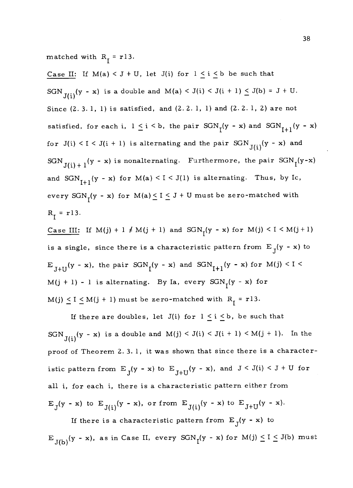matched with  $R_1 = r13$ .

Case II: If  $M(a) < J + U$ , let  $J(i)$  for  $1 \le i \le b$  be such that SGN<sub>J(i)</sub>(y - x) is a double and M(a) < J(i) < J(i + 1)  $\leq$  J(b) = J + U. Since (2. 3. 1, 1) is satisfied, and (2.2. 1, 1) and (2.2. 1, 2) are not satisfied, for each i,  $1 \le i \le b$ , the pair  $SGN<sub>I</sub>(y - x)$  and  $SGN<sub>I+1</sub>(y - x)$ for  $J(i) < I < J(i + 1)$  is alternating and the pair  $SGN$ <sub> $J(i)$ </sub> (y - x) and SGN<sub>J(i) + 1</sub>(y - x) is nonalternating. Furthermore, the pair SGN<sub>I</sub>(y-x) and  $SGN_{I+1}(y - x)$  for  $M(a) < I < J(1)$  is alternating. Thus, by Ic, every  $SGN<sub>1</sub>(y - x)$  for  $M(a) \leq I \leq J + U$  must be zero-matched with  $R_{\tau} = r13.$ 

<u>Case III</u>: If  $M(j) + 1 \neq M(j + 1)$  and  $SGN<sub>l</sub>(y - x)$  for  $M(j) < I < M(j + 1)$ is a single, since there is a characteristic pattern from  $E_{\int}$ (y - x) to  $E$ <sub>J+U</sub>(y - x), the pair  $SGN<sub>I</sub>(y - x)$  and  $SGN<sub>I+1</sub>(y - x)$  for  $M(j) < I < I$ M(j + 1) - 1 is alternating. By Ia, every  $SGN<sub>I</sub>(y - x)$  for  $M(j) \leq I \leq M(j + 1)$  must be zero-matched with  $R_{\overline{I}} = r13$ .

If there are doubles, let J(i) for  $1 \le i \le b$ , be such that SGN<sub>J(i)</sub>(y - x) is a double and M(j) < J(i) < J(i + 1) < M(j + 1). In the proof of Theorem 2. 3. 1, it was shown that since there is a characteristic pattern from  $E_J(y - x)$  to  $E_{J+U}(y - x)$ , and  $J < J(i) < J + U$  for all i, for each i, there is a characteristic pattern either from  $E_J(y - x)$  to  $E_{J(i)}(y - x)$ , or from  $E_{J(i)}(y - x)$  to  $E_{J+U}(y - x)$ .

If there is a characteristic pattern from  $E_{\text{I}}(y - x)$  to  $E_{J(b)}(y - x)$ , as in Case II, every  $SGN_1(y - x)$  for  $M(j) \le I \le J(b)$  must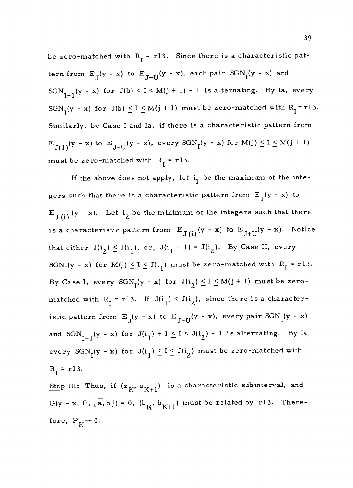be zero-matched with  $R_t = r13$ . Since there is a characteristic pattern from  $E_J(y - x)$  to  $E_{J+U}(y - x)$ , each pair  $SGN_I(y - x)$  and  $SGN_{T+1}(y - x)$  for  $J(b) < I < M(j + 1) - 1$  is alternating. By Ia, every SGN<sub>I</sub>(y - x) for J(b)  $\leq I \leq M(j + 1)$  must be zero-matched with R<sub>I</sub> = r13. Similarly, by Case I and Ia, if there is a characteristic pattern from  $E$ <sub>J(1)</sub>(y - x) to  $E$ <sub>J+U</sub>(y - x), every  $SGN<sub>I</sub>(y - x)$  for  $M(j) \le I \le M(j + 1)$ must be zero-matched with  $R_1 = r13$ .

If the above does not apply, let  $i_1$  be the maximum of the integers such that there is a characteristic pattern from  $E_T(y - x)$  to  $E_{J(i)}$  (y - x). Let  $i_2$  be the minimum of the integers such that there is a characteristic pattern from  $E_{J(i)}(y - x)$  to  $E_{J+U}(y - x)$ . Notice that either  $J(i_2) \le J(i_1)$ , or,  $J(i_1 + 1) = J(i_2)$ . By Case II, every  $SGN<sub>I</sub>(y - x)$  for  $M(j) \leq I \leq J(i<sub>l</sub>)$  must be zero-matched with  $R<sub>I</sub> = r13$ . By Case I, every  $SGN<sub>I</sub>(y - x)$  for  $J(i<sub>2</sub>) \le I \le M(j + 1)$  must be zeromatched with  $R_{I} = r13$ . If  $J(i_1) < J(i_2)$ , since there is a characteristic pattern from  $E_J(y - x)$  to  $E_{J+U}(y - x)$ , every pair  $SGN_I(y - x)$ and  $SGN_{I+1}(y - x)$  for  $J(i_1) + 1 \leq I \leq J(i_2) - I$  is alternating. By Ia, every  $SGN<sub>I</sub>(y - x)$  for  $J(i<sub>1</sub>) \le I \le J(i<sub>2</sub>)$  must be zero-matched with  $R_{T} = r13.$ 

Step III: Thus, if  $(z_K, z_{K+1})$  is a characteristic subinterval, and  $G(y - x, P, [\overline{a}, \overline{b}]) = 0$ ,  $(b_K, b_{K+1})$  must be related by r13. Therefore,  $P_K \equiv 0$ .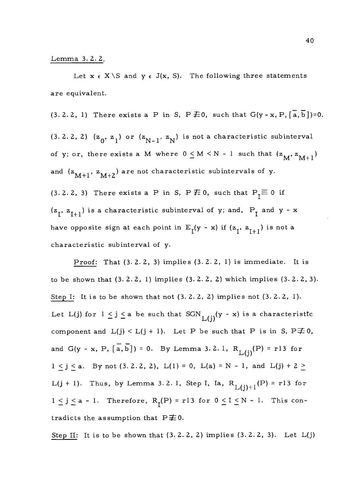#### Lemma 3. 2. 2.

Let  $x \in X \setminus S$  and  $y \in J(x, S)$ . The following three statements are equivalent.

 $(3. 2. 2, 1)$  There exists a P in S, P $\neq$ 0, such that G(y - x, P,  $\left[\overline{a}, \overline{b}\right]$ )=0. (3.2.2, 2)  $(z_0, z_1)$  or  $(z_{N-1}, z_N)$  is not a characteristic subinterval of y; or, there exists a M where  $0 \leq M \leq N - 1$  such that  $(z_M, z_{M+1})$ and  $(z_{M+1}, z_{M+2})$  are not characteristic subintervals of y. (3. 2. 2, 3) There exists a P in S,  $P \not\equiv 0$ , such that  $P_I \equiv 0$  if  $(z_1, z_{I+1})$  is a characteristic subinterval of y; and,  $P_1$  and y - x have opposite sign at each point in  $E_{\text{I}}(y - x)$  if  $(z_{\text{I}}, z_{\text{I+1}})$  is not a characteristic subinterval of y.

Proof: That (3. 2. 2, 3) implies (3.2.2, 1) is immediate. It is to be shown that (3.2.2, 1) implies (3.2.2, 2) which implies (3.2.2,3). Step I: It is to be shown that not (3. 2. 2, 2) implies not (3. 2. 2, 1). Let L(j) for  $1 \leq j \leq a$  be such that SGN<sub>L(i)</sub>(y - x) is a characteristic component and  $L(j) < L(j + 1)$ . Let P be such that P is in S, P $\neq 0$ , and G(y - x, P,  $\left[\overline{a}, \overline{b}\right]$ ) = 0. By Lemma 3.2.1, R<sub>L(i)</sub>(P) = r13 for  $1 \le j \le a$ . By not (3.2.2, 2),  $L(1) = 0$ ,  $L(a) = N - 1$ , and  $L(j) + 2 \ge$ L(j + 1). Thus, by Lemma 3.2.1, Step I, Ia,  $R_{L(j)+1}(P) = r13$  for<br>  $1 \le j \le a - 1$ . Therefore,  $R_{I}(P) = r13$  for  $0 \le I \le N - 1$ . This contradicts the assumption that  $P\neq 0$ .  $1 \leq j \leq a - 1$ . Therefore,  $R_r(P) = r13$  for  $0 \leq I \leq N - 1$ . This con-

Step II: It is to be shown that  $(3.2.2, 2)$  implies  $(3.2.2, 3)$ . Let  $L(j)$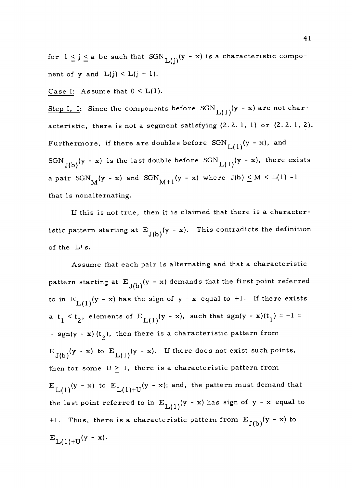for  $1 \leq j \leq a$  be such that  $SGN_{L(i)}(y - x)$  is a characteristic component of y and  $L(j) < L(j + 1)$ .

#### Case I: Assume that  $0 < L(1)$ .

Step I, I: Since the components before  $SGN_{L(1)}(y - x)$  are not characteristic, there is not a segment satisfying  $(2.2.1, 1)$  or  $(2.2.1, 2)$ . Furthermore, if there are doubles before  $SGN_{L(1)}(y - x)$ , and SGN<sub>J(b)</sub>(y - x) is the last double before SGN<sub>L(1)</sub>(y - x), there exists a pair  $SGN_M(y - x)$  and  $SGN_{M+1}(y - x)$  where  $J(b) \leq M \leq L(1) - 1$ that is nonalternating.

If this is not true, then it is claimed that there is a characteristic pattern starting at  $E_{J(b)}(y - x)$ . This contradicts the definition of the L' s.

Assume that each pair is alternating and that a characteristic pattern starting at  $E_{J(b)}(y - x)$  demands that the first point referred to in  $E_{L(1)}(y - x)$  has the sign of y - x equal to +1. If there exists a  $t_1 < t_2$ , elements of  $E_{L(1)}(y - x)$ , such that  $sgn(y - x)(t_1) = +1 =$ - sgn(y - x)(t<sub>2</sub>), then there is a characteristic pattern from  $E_{J(b)}(y - x)$  to  $E_{L(1)}(y - x)$ . If there does not exist such points, then for some  $U \geq 1$ , there is a characteristic pattern from  $E_{L(1)}(y - x)$  to  $E_{L(1)+U}(y - x)$ ; and, the pattern must demand that the last point referred to in  $E_{L(1)}(y - x)$  has sign of y - x equal to +1. Thus, there is a characteristic pattern from  $E_{J(b)}(y - x)$  to  $E_{L(1)+U}(y - x)$ .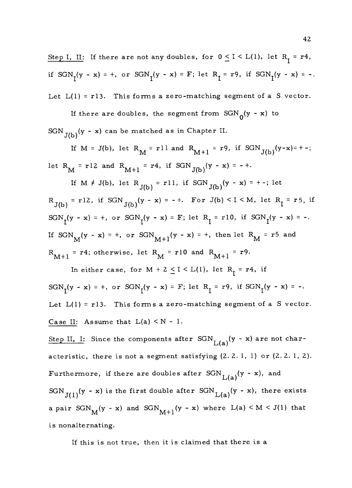Step I, II: If there are not any doubles, for  $0 \le I \le L(1)$ , let  $R_1 = r4$ , if  $SGN_1(y - x) = +$ , or  $SGN_1(y - x) = F$ ; let  $R_1 = r9$ , if  $SGN_1(y - x) = -$ . Let  $L(1) = r13$ . This forms a zero-matching segment of a S vector.

If there are doubles, the segment from  $SGN_0(y - x)$  to  $SGN_{J(b)}(y - x)$  can be matched as in Chapter II.

If M = J(b), let R<sub>M</sub> = rll and R<sub>M+1</sub> = r9, if SGN<sub>J(b)</sub>(y-x)= +-; let R<sub>M</sub> = r12 and R<sub>M+1</sub> = r4, if SGN<sub>J(b)</sub>(y - x) = -+.

If M  $\neq$  J(b), let R<sub>J(b)</sub> = rll, if SGN<sub>J(b)</sub>(y - x) = +-; let  $R_{J(b)} = r12$ , if  $SGN_{J(b)}(y - x) = - +$ . For  $J(b) < I < M$ , let  $R_I = r5$ , if SGN<sub>I</sub>(y - x) = +, or SGN<sub>I</sub>(y - x) = F; let R<sub>I</sub> = r10, if SGN<sub>I</sub>(y - x) = -. If  $SGN_M(y - x) = +$ , or  $SGN_{M+1}(y - x) = +$ , then let  $R_M = r5$  and  $R_{M+1}$  = r4; otherwise, let  $R_{M}$  = r10 and  $R_{M+1}$  = r9.

In either case, for  $M + 2 \le I \le L(1)$ , let  $R_I = r4$ , if  $SGN_1(y - x) = +$ , or  $SGN_1(y - x) = F$ ; let  $R_1 = r9$ , if  $SGN_1(y - x) = -$ . Let  $L(1) = r13$ . This forms a zero-matching segment of a S vector. Case II: Assume that  $L(a) < N - 1$ .

Step II, I: Since the components after  $SGN_{L(a)}(y - x)$  are not characteristic, there is not a segment satisfying (2. 2. 1, 1) or (2. 2. 1, 2). Furthermore, if there are doubles after  $SGN_{L(a)}(y - x)$ , and SGN  $_{J(1)}(y - x)$  is the first double after SGN  $_{L(a)}(y - x)$ , there exists a pair  $SGN<sub>M</sub>(y - x)$  and  $SGN<sub>M+1</sub>(y - x)$  where  $L(a) < M < J(1)$  that is nonalternating.

If this is not true, then it is claimed that there is a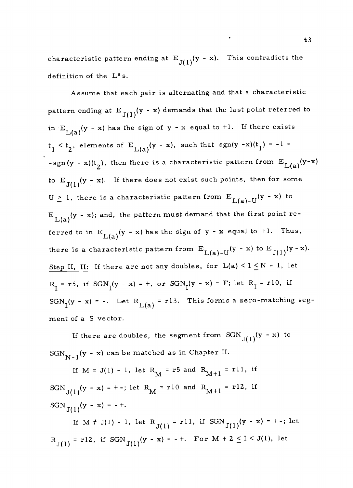characteristic pattern ending at  $E_{J(1)}(y - x)$ . This contradicts the definition of the L' s.

Assume that each pair is alternating and that a characteristic pattern ending at  $E_{J(1)}(y - x)$  demands that the last point referred to in  $E_{L(a)}(y - x)$  has the sign of y - x equal to +1. If there exists  $t_1 < t_2$ , elements of  $E_{L(a)}(y - x)$ , such that sgn(y -x)(t<sub>1</sub>) = -1 = -sgn(y - x)(t<sub>2</sub>), then there is a characteristic pattern from  $E_{L(a)}(y-x)$ to  $E_{J(1)}(y - x)$ . If there does not exist such points, then for some  $U \geq 1$ , there is a characteristic pattern from  $E_{L(a)-U}(y - x)$  to  $E_{L(a)}(y - x)$ ; and, the pattern must demand that the first point referred to in  $E_{L(a)}(y - x)$  has the sign of y - x equal to +1. Thus, there is a characteristic pattern from  $E_{L(a)-U}(y - x)$  to  $E_{J(1)}(y - x)$ . Step II, II: If there are not any doubles, for  $L(a) < I \leq N - 1$ , let  $R_T = r5$ , if  $SGN_T(y - x) = +$ , or  $SGN_T(y - x) = F$ ; let  $R_T = r10$ , if  $SGN<sub>I</sub>(y - x) = -$ . Let  $R<sub>L(a)</sub> = r13$ . This forms a zero-matching segment of a S vector.

If there are doubles, the segment from  $SGN_{J(1)}(y - x)$  to  $SGN_{N-1}$  (y - x) can be matched as in Chapter II.

If  $M = J(1) - 1$ , let  $R_M = r5$  and  $R_{M+1} = r11$ , if SGN<sub>J(1)</sub>(y - x) = +-; let R<sub>M</sub> = r10 and R<sub>M+1</sub> = r12, if  $SGN_{J(1)}(y - x) = - +.$ If  $M \neq J(1) - 1$ , let  $R_{J(1)} = r11$ , if  $SGN_{J(1)}(y - x) = + -$ ; let  $R_{J(1)} = r12$ , if  $SGN_{J(1)}(y - x) = - +$ . For  $M + 2 \le I \le J(1)$ , let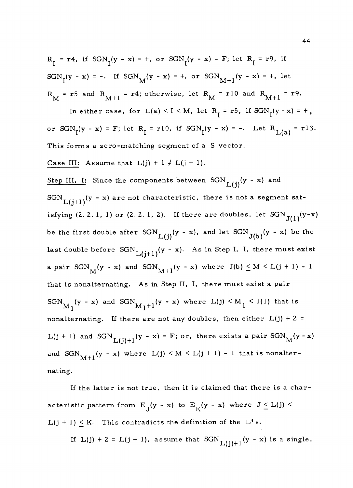$R_T = r4$ , if  $SGN_T(y - x) = +$ , or  $SGN_T(y - x) = F$ ; let  $R_T = r9$ , if  $SGN_{I}(y - x) = -$ . If  $SGN_{M}(y - x) = +$ , or  $SGN_{M+1}(y - x) = +$ , let  $R_M$  = r5 and  $R_{M+1}$  = r4; otherwise, let  $R_M$  = r10 and  $R_{M+1}$  = r9.

In either case, for  $L(a) < I < M$ , let  $R_I = r5$ , if  $SGN_I(y - x) = +$ , or  $SGN_I(y - x) = F$ ; let  $R_I = r10$ , if  $SGN_I(y - x) = -.$  Let  $R_{L(a)} = r13$ . This forms a zero-matching segment of a S vector.

Case III: Assume that  $L(j) + 1 \neq L(j + 1)$ .

Step III, I: Since the components between  $SGN$ <sub>L(i)</sub>(y - x) and SGN<sub>L(i+1)</sub>(y - x) are not characteristic, there is not a segment satisfying  $(2. 2. 1, 1)$  or  $(2. 2. 1, 2)$ . If there are doubles, let  $SGN_{J(1)}(y-x)$ be the first double after  $SGN_{L(i)}(y - x)$ , and let  $SGN_{J(b)}(y - x)$  be the last double before  $SGN_{L(j+1)}(y - x)$ . As in Step I, I, there must exist a pair  $SGN_M(y - x)$  and  $SGN_{M+1}(y - x)$  where  $J(b) \leq M \leq L(j + 1) - 1$ that is nonalternating. As in Step II, I, there must exist a pair  $SGN_{M_1}(y - x)$  and  $SGN_{M_1+1}(y - x)$  where  $L(j) \leq M_1 \leq J(1)$  that is nonalternating. If there are not any doubles, then either  $L(j) + 2 =$ L(j + 1) and SGN<sub>L(i)+1</sub>(y - x) = F; or, there exists a pair SGN<sub>M</sub>(y - x) and  $SGN<sub>M+1</sub>(y - x)$  where  $L(j) < M < L(j + 1) - 1$  that is nonalternating.

If the latter is not true, then it is claimed that there is a characteristic pattern from  $E_J(y - x)$  to  $E_K(y - x)$  where  $J \leq L(j)$  $L(j + 1) \leq K$ . This contradicts the definition of the L's.

If L(j) + 2 = L(j + 1), assume that  $SGN$ <sub>L(j)+1</sub>(y - x) is a single.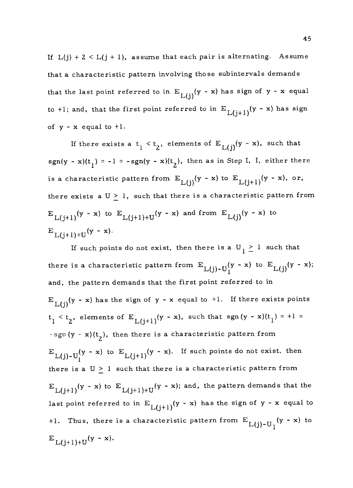If  $L(j) + 2 < L(j + 1)$ , assume that each pair is alternating. Assume that a characteristic pattern involving those subintervals demands that the last point referred to in  $E_{L(i)}(y - x)$  has sign of y - x equal to +1; and, that the first point referred to in  $E_{L(j+1)}(y - x)$  has sign of  $y - x$  equal to  $+1$ .

If there exists a  $t_1 < t_2$ , elements of  $E_{L(i)}(y - x)$ , such that sgn(y - x)(t<sub>1</sub>) = -1 = -sgn(y - x)(t<sub>2</sub>), then as in Step I, I, either there is a characteristic pattern from  $E_{L(i)}(y - x)$  to  $E_{L(i+1)}(y - x)$ , or, there exists a  $U \geq 1$ , such that there is a characteristic pattern from  $E_{L(i+1)}(y - x)$  to  $E_{L(i+1)+U}(y - x)$  and from  $E_{L(i)}(y - x)$  to  $E_{L(j+1)+U}(y - x)$ .

If such points do not exist, then there is a  $U_1 \geq 1$  such that there is a characteristic pattern from  $E_{L(j)-U_{1}}(y - x)$  to  $E_{L(j)}(y - x);$ and, the pattern demands that the first point referred to in  $E_{L(i)}(y - x)$  has the sign of y - x equal to +1. If there exists points  $t_1 < t_2$ , elements of  $E_{L(j+1)}(y - x)$ , such that sgn(y - x)(t<sub>1</sub>) = +1 = -sgn  $(y - x)(t<sub>2</sub>)$ , then there is a characteristic pattern from  $E$ <sub>L(j)-U</sub>(y - x) to  $E$ <sub>L(j+1)</sub>(y - x). If such points do not exist, then there is a  $U \geq 1$  such that there is a characteristic pattern from  $E_{L(i+1)}(y - x)$  to  $E_{L(i+1)+U}(y - x)$ ; and, the pattern demands that the last point referred to in  $E_{L(j+1)}(y - x)$  has the sign of y - x equal to +1. Thus, there is a characteristic pattern from  $E_{L(j)-U_1}(y - x)$  to  $E_{L(j+1)+U}(y - x).$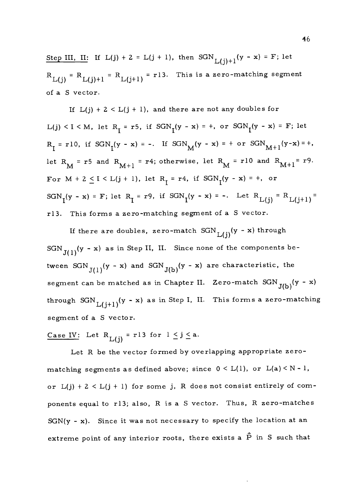Step III, II: If  $L(j) + 2 = L(j + 1)$ , then  $SGN_{L(j)+1}(y - x) = F$ ; let  $R_{L(j)} = R_{L(j)+1} = R_{L(j+1)} = r13$ . This is a zero-matching segment of a S vector.

If  $L(j) + 2 < L(j + 1)$ , and there are not any doubles for  $L(j) < I < M$ , let  $R_I = r5$ , if  $SGN_I(y - x) = +$ , or  $SGN_I(y - x) = F$ ; let  $R_I = r10$ , if  $SGN_I(y - x) = -$ . If  $SGN_M(y - x) = +$  or  $SGN_{M+1}(y-x) = +$ , let  $R_M$  = r5 and  $R_{M+1}$  = r4; otherwise, let  $R_M$  = r10 and  $R_{M+1}$  = r9. For  $M + 2 \le I \le L(j + 1)$ , let  $R_I = r4$ , if  $SGN_I(y - x) = +$ , or  $SGN<sub>I</sub>(y - x) = F$ ; let  $R<sub>I</sub> = r9$ , if  $SGN<sub>I</sub>(y - x) = -$ . Let  $R<sub>L(j)</sub> = R<sub>L(j+1)</sub> =$ r13. This forms a zero-matching segment of a S vector.

If there are doubles, zero-match  $SGN_{L(i)}(y - x)$  through  $SGN_{J(1)}(y - x)$  as in Step II, II. Since none of the components between SGN<sub>J(1)</sub>(y - x) and SGN<sub>J(b)</sub>(y - x) are characteristic, the segment can be matched as in Chapter II. Zero-match  $SGN_{J(b)}(y - x)$ through  $SGN_{L(j+1)}(y - x)$  as in Step I, II. This forms a zero-matching segment of a S vector.

Case IV: Let  $R_{L(i)} = r13$  for  $1 \le j \le a$ .

Let R be the vector formed by overlapping appropriate zeromatching segments as defined above; since  $0 \leq L(1)$ , or  $L(a) \leq N - 1$ , or  $L(j) + 2 < L(j + 1)$  for some j, R does not consist entirely of components equal to r13; also, R is a S vector. Thus, R zero-matches  $SGN(y - x)$ . Since it was not necessary to specify the location at an extreme point of any interior roots, there exists a  $\hat{P}$  in S such that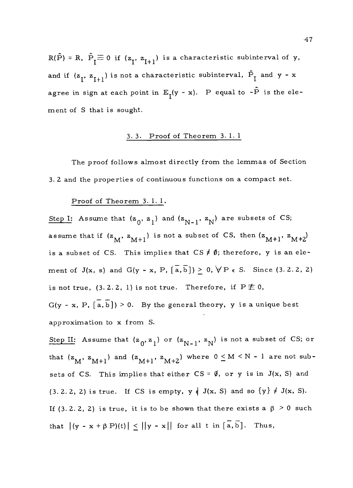$R(\hat{P}) = R$ ,  $\hat{P}_{\tau} \equiv 0$  if  $(z_{\tau}, z_{\tau+1})$  is a characteristic subinterval of y, and if  $(z_1, z_{I+1})$  is not a characteristic subinterval,  $\hat{P}_I$  and y - x agree in sign at each point in  $E_T(y - x)$ . P equal to  $-\hat{P}$  is the element of S that is sought.

### 3. 3. Proof of Theorem 3.1. 1

The proof follows almost directly from the lemmas of Section 3.2 and the properties of continuous functions on a compact set.

#### Proof of Theorem 3. 1. 1.

Step I: Assume that  $(z_0, z_1)$  and  $(z_{N-1}, z_N)$  are subsets of CS; assume that if  $(z_M, z_{M+1})$  is not a subset of CS, then  $(z_{M+1}, z_{M+2})$ is a subset of CS. This implies that  $CS \neq \emptyset$ ; therefore, y is an element of  $J(x, s)$  and  $G(y - x, P, [\overline{a}, \overline{b}]) \ge 0, \forall P \in S$ . Since (3.2.2, 2) is not true, (3.2.2, 1) is not true. Therefore, if  $P \not\equiv 0$ ,  $G(y - x, P, [\overline{a}, \overline{b}]) > 0$ . By the general theory, y is a unique best approximation to x from S.

Step II: Assume that  $(z_0, z_1)$  or  $(z_{N-1}, z_N)$  is not a subset of CS; or that  $(z_M, z_{M+1})$  and  $(z_{M+1}, z_{M+2})$  where  $0 \leq M \leq N - 1$  are not subsets of CS. This implies that either  $CS = \emptyset$ , or y is in J(x, S) and  $(3. 2. 2, 2)$  is true. If CS is empty,  $y \notin J(x, S)$  and so  $\{y\} \neq J(x, S)$ . If (3.2.2, 2) is true, it is to be shown that there exists a  $\beta > 0$  such that  $|(y - x + \beta P)(t)| < ||y - x||$  for all t in  $[\overline{a}, \overline{b}]$ . Thus,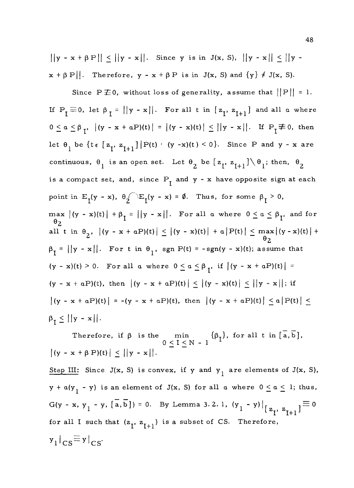$||y - x + \beta P|| \le ||y - x||$ . Since y is in J(x, S),  $||y - x|| \le ||y - x||$  $x + \beta P$ . Therefore,  $y - x + \beta P$  is in J(x, S) and  $\{y\} \neq J(x, S)$ .

Since P  $\neq$  0, without loss of generality, assume that  $||P|| = 1$ . If  $P_{\overline{l}} \equiv 0$ , let  $\beta_{\overline{l}} = ||y - x||$ . For all t in  $[z_{\overline{l}}, z_{\overline{l+1}}]$  and all a where  $0 \leq a \leq \beta_{T}$ ,  $|(y - x + aP)(t)| = |(y - x)(t)| \leq ||y - x||$ . If  $P_{T} \not\equiv 0$ , then let  $\theta_1$  be  $\{t \in \begin{bmatrix} z_1, z_{I+1} \end{bmatrix} | P(t) \cdot (y - x)(t) < 0\}$ . Since P and y - x are continuous,  $\theta_1$  is an open set. Let  $\theta_2$  be  $[z_1, z_{I+1}] \setminus \theta_1$ ; then,  $\theta_2$ is a compact set, and, since  $P_{\tau}$  and  $y - x$  have opposite sign at each point in  $E_I(y - x)$ ,  $\theta_I(E_I(y - x) = \emptyset$ . Thus, for some  $\beta_I > 0$ , max  $|(y - x)(t)| + \beta_{\tau} = ||y - x||$ . For all a where  $0 \le a \le \beta_{\tau}$ , and for  $\Theta_2$  and  $\Theta_2$ all t in  $\theta_2$ ,  $|(y - x + aP)(t)| \le |(y - x)(t)| + a|P(t)| \le \max |(y - x)(t)| +$  $\Theta_2$  and  $\Theta_2$  $\beta_{\overline{I}} = ||y - x||$ . For t in  $\theta_1$ , sgn P(t) = -sgn(y - x)(t); assume that  $(y - x)(t) > 0$ . For all a where  $0 \le a \le \beta_{T}$ , if  $|(y - x + aP)(t)| =$  $(y - x + aP)(t)$ , then  $|(y - x + aP)(t)| \le |(y - x)(t)| \le ||y - x||$ ; if  $|(y - x + aP)(t)| = -(y - x + aP)(t)$ , then  $|(y - x + aP)(t)| \le a |P(t)| \le$  $\beta_{\mathbf{I}} \leq ||\mathbf{y} - \mathbf{x}||.$ 

Therefore, if  $\beta$  is the min  $\{\beta_{\mathbf{I}}\}$ , for all t in  $\left[\overline{\mathbf{a}},\overline{\mathbf{b}}\right]$ ,  $0 \leq \mathbf{I} \leq \mathbf{N} - \mathbf{1}$  $|(y - x + \beta P)(t)| \leq ||y - x||.$ 

Step III: Since J(x, S) is convex, if y and  $y_1$  are elements of J(x, S),  $y + a(y_1 - y)$  is an element of  $J(x, S)$  for all  $a$  where  $0 \le a \le 1$ ; thus, G(y - x, y<sub>1</sub> - y,  $\left[\overline{a}, \overline{b}\right]$ ) = 0. By Lemma 3.2.1,  $(y_1 - y)|_{\left[\overline{z}_1, \overline{z}_{1+1}\right]} \equiv 0$ for all I such that  $(z_{I}, z_{I+1})$  is a subset of CS. Therefore,  $y_1 |_{CS} \equiv y |_{CS}$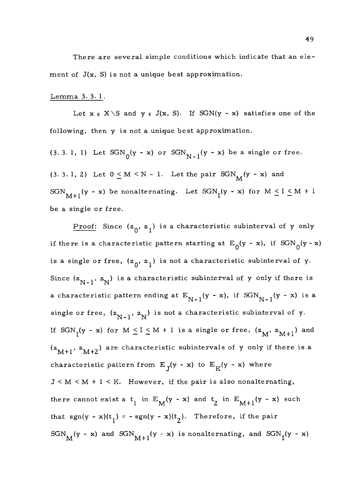There are several simple conditions which indicate that an element of  $J(x, S)$  is not a unique best approximation.

#### Lemma 3. 3. 1.

Let  $x \in X \setminus S$  and  $y \in J(x, S)$ . If SGN(y - x) satisfies one of the following, then y is not a unique best approximation.

(3. 3. 1, 1) Let  $SGN_0(y - x)$  or  $SGN_{N-1}(y - x)$  be a single or free. (3. 3. 1, 2) Let  $0 \le M \le N - 1$ . Let the pair  $SGN_M(y - x)$  and SGN<sub>M+1</sub>(y - x) be nonalternating. Let  $SGN<sub>I</sub>(y - x)$  for  $M \le I \le M + 1$ be a single or free.

Proof: Since  $(z_0, z_1)$  is a characteristic subinterval of y only if there is a characteristic pattern starting at  $E_0(y - x)$ , if  $SGN_0(y - x)$ is a single or free,  $(z_0, z_1)$  is not a characteristic subinterval of y. Since  $(z_{N-1}, z_N)$  is a characteristic subinterval of y only if there is a characteristic pattern ending at  $E_{N-1}(y - x)$ , if  $SGN_{N-1}(y - x)$  is a single or free,  $(z_{N-1}, z_N)$  is not a characteristic subinterval of y. If  $SGN<sub>I</sub>(y - x)$  for  $M \leq I \leq M + 1$  is a single or free,  $(z<sub>M</sub>, z<sub>M+1</sub>)$  and  $(z<sub>M+1</sub>, z<sub>M+2</sub>)$  are characteristic subintervals of y only if there is a characteristic pattern from  $E_T(y - x)$  to  $E_K(y - x)$  where  $J < M < M + l < K$ . However, if the pair is also nonalternating, there cannot exist a  $t_1$  in  $E_M(y - x)$  and  $t_2$  in  $E_{M+1}(y - x)$  such that sgn(y - x)(t<sub>1</sub>) = - sgn(y - x)(t<sub>2</sub>). Therefore, if the pair  $SGN$ <sub>M</sub>(y - x) and  $SGN$ <sub>M+1</sub>(y - x) is nonalternating, and  $SGN$ <sub>I</sub>(y - x)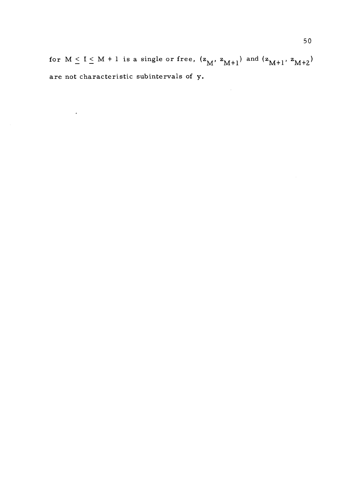for  $M \leq I \leq M + 1$  is a single or free,  $(z_M, z_{M+1})$  and  $(z_{M+1}, z_{M+2})$ are not characteristic subintervals of y.

 $\sim$   $\star$ 

 $\sim 10^{11}$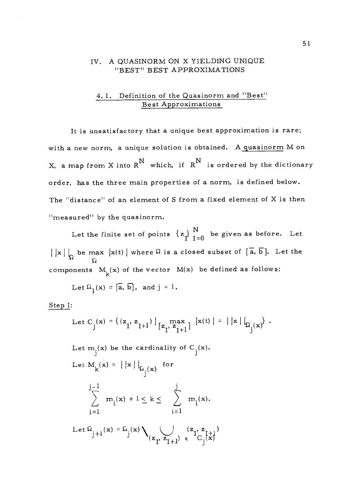### IV. A QUASINORM ON X YIELDING UNIQUE "BEST" BEST APPROXIMATIONS

### 4.1. Definition of the Quasinorm and "Best" Best Approximations

It is unsatisfactory that a unique best approximation is rare; with a new norm, a unique solution is obtained. A quasinorm M on X, a map from X into  $R^N$  which, if  $R^N$  is ordered by the dictionary order, has the three main properties of a norm, is defined below. The "distance" of an element of S from a fixed element of X is then "measured" by the quasinorm.

Let the finite set of points  $\{z_{\mathbf{l}}\}_{\mathbf{l}=0}^{\mathbf{N}}$  be given as before. Let  $\vert x \vert \vert_{\Omega}$  be max  $\vert x(t) \vert$  where  $\Omega$  is a closed subset of  $\vert \overline{a}, \overline{b} \vert$ . Let the Si components  $M_k(x)$  of the vector  $M(x)$  be defined as follows:

Let 
$$
\Omega_1(\mathbf{x}) = [\overline{\mathbf{a}}, \overline{\mathbf{b}}],
$$
 and  $j = 1$ .

Step I:

Let C<sub>j</sub>(x) = { (z<sub>1</sub>, z<sub>1+1</sub>) | 
$$
\max_{z_1, z_{1+1}}
$$
 | x(t) | = | |x |  $\left| \Omega_j(x) \right|$ .

Let  $m_j(x)$  be the cardinality of  $C_j(x)$ . Let  $M_k(x) = |x| \big|_{\Omega_k(x)}$  for  $\mathbf{m}_\mathrm{r}(\mathbf{x}) + \mathbf{l} \leq \mathbf{k} \leq \quad \Big\rangle \quad \mathbf{m}_\mathrm{r}(\mathbf{x})$ Let  $\Omega_{\epsilon+1}(\mathbf{x}) = \Omega_{\epsilon}(\mathbf{x}) \setminus \mathcal{E}$  $j+1$   $j'$   $\lambda_{(z_1, z_{1+1}) \in}$  $i=1$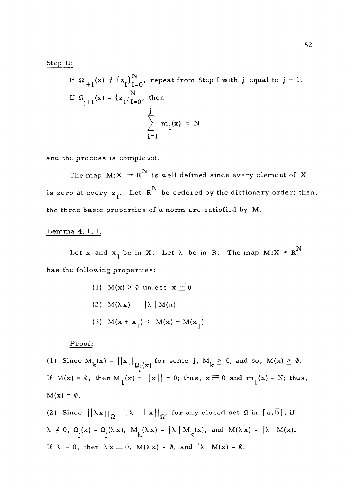#### Step II:

If  $\Omega_{i+1}(x) \neq {\{z_1\}}_{I=0}^N$ , repeat from Step I with j equal to j + 1. If  $\Omega_{j+1}(x) = {\left\{z_{\text{I}}\right\}}_{1=0}^{N}$ , then  $\sum_{i=1}^{n} m_i(x) = N$  $i=1$ 

and the process is completed.

The map  $M: X \rightarrow R^N$  is well defined since every element of X is zero at every  $z_{I}$ . Let  $R^{N}$  be ordered by the dictionary order; then, the three basic properties of a norm are satisfied by M.

# Lemma 4. 1. 1.

Let **x** and  $\mathbf{x}_1$  be in **X**. Let  $\lambda$  be in R. The map  $M: X \twoheadrightarrow R^N$ has the following properties:

> (1)  $M(x) > 0$  unless  $x \equiv 0$ (2)  $M(\lambda x) = |\lambda| M(x)$ (3)  $M(x + x_1) \leq M(x) + M(x_1)$

Proof:

(1) Since  $M_k(x) = ||x||_{\Omega_1(x)}$  for some j,  $M_k \geq 0$ ; and so,  $M(x) \geq 0$ . If  $M(x) = 0$ , then  $M_1(x) = ||x|| = 0$ ; thus,  $x \equiv 0$  and  $m_1(x) = N$ ; thus,  $M(x) = 0$ .

(2) Since  $||\lambda \times ||_{\Omega} = |\lambda| ||\times ||_{\Omega}$ , for any closed set  $\Omega$  in  $[\overline{a},\overline{b}]$ , if  $\lambda \neq 0$ ,  $\Omega_j(x) = \Omega_j(\lambda x)$ ,  $M_k(\lambda x) = |\lambda| M_k(x)$ , and  $M(\lambda x) = |\lambda| M(x)$ . If  $\lambda = 0$ , then  $\lambda x \equiv 0$ ,  $M(\lambda x) = \emptyset$ , and  $\lambda | M(x) = \emptyset$ .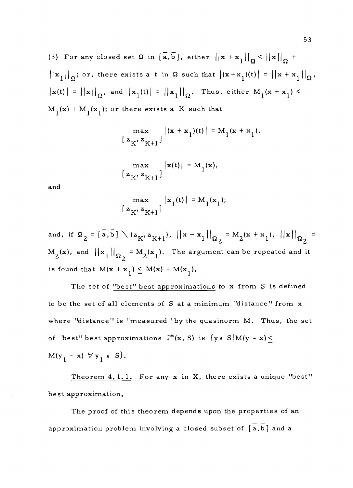(3) For any closed set  $\Omega$  in  $\left[\overline{a},\overline{b}\right]$ , either  $\left|\left|x + x_1\right|\right|_{\Omega} < \left|\left|x\right|\right|_{\Omega} + \Omega$  $||\mathbf{x}_1||_{\Omega}$ ; or, there exists a t in  $\Omega$  such that  $|(\mathbf{x}+\mathbf{x}_1)(t)| = ||\mathbf{x}+\mathbf{x}_1||_{\Omega}$ ,  $\|\mathbf{x}(t)\| = \|\mathbf{x}\|_{\Omega}$ , and  $\|\mathbf{x}_1(t)\| = \|\mathbf{x}_1\|_{\Omega}$ . Thus, either  $M_1(\mathbf{x} + \mathbf{x}_1)$  $M_1(x) + M_1(x_1)$ ; or there exists a K such that

$$
\max_{[z_K, z_{K+1}]} |(x + x_1)(t)| = M_1(x + x_1),
$$

$$
\begin{array}{c}\n\max \left\{ \left| \mathbf{x}(t) \right| = M_1(\mathbf{x}), \right\} \\
\left\{ \left| \mathbf{z}_K, \mathbf{z}_{K+1} \right| \right\}\n\end{array}
$$

and

$$
\max_{[z_K, z_{K+1}]} |x_1(t)| = M_1(x_1);
$$

and, if  $\Omega_2 = [\overline{a}, \overline{b}] \setminus (z_K, z_{K+1}),$   $||x + x_1||_{\Omega_2} = M_2(x +$  $= M_2(x + x_1), ||x||_{\Omega}$  =  $M_2(x)$ , and  $\left|\left|x_1\right|\right|_{\Omega_2} = M_2(x_1)$ . The argument can be repeated and it is found that  $M(x + x_1) \leq M(x) + M(x_1)$ .

The set of "best" best approximations to x from S is defined to be the set of all elements of S at a minimum "distance" from x where "distance" is "measured" by the quasinorm M. Thus, the set of "best" best approximations  $J^*(x, S)$  is  $\{y \in S \mid M(y - x) \leq$  $M(y_1 - x) \forall y_1 \in S$ .

Theorem 4.1.1. For any x in X, there exists a unique "best" best approximation.

The proof of this theorem depends upon the properties of an approximation problem involving a closed subset of  $\left[\overline{a},\overline{b}\right]$  and a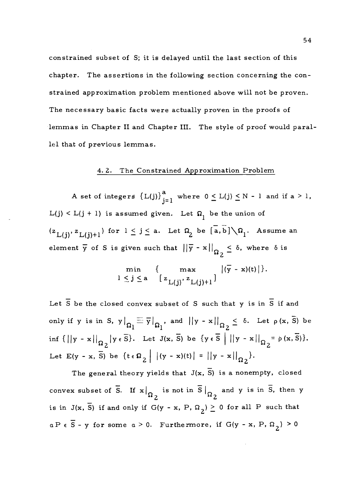constrained subset of S; it is delayed until the last section of this chapter. The assertions in the following section concerning the constrained approximation problem mentioned above will not be proven. The necessary basic facts were actually proven in the proofs of lemmas in Chapter II and Chapter III. The style of proof would parallel that of previous lemmas.

# 4. 2. The Constrained Approximation Problem

A set of integers  ${L(j)}_{j=1}^a$  where  $0 \le L(j) \le N - 1$  and if  $a > 1$ ,  $L(j) < L(j + 1)$  is assumed given. Let  $\Omega_1$  be the union of  $(z_{L(i)}, z_{L(i)+1})$  for  $1 \leq j \leq a$ . Let  $\Omega_2$  be  $\overline{a}, \overline{b}$   $\setminus \Omega_1$ . Assume an element  $\overline{y}$  of S is given such that  $||\overline{y} - x||_{\Omega_2} \le \delta$ , where  $\delta$  is

$$
\min_{1 \leq j \leq a} \{ \max_{[z_{L(j)}, z_{L(j)+1}]} |(\overline{y} - x)(t)| \}.
$$

Let  $\overline{S}$  be the closed convex subset of S such that y is in  $\overline{S}$  if and only if y is in S,  $y\big|_{\Omega} \equiv \overline{y}$  $\frac{1}{20}$ , and  $||y - x||_{\Omega} \leq \delta$ . Let  $\rho(x, \overline{S})$  be inf  $\{||y - x||_{\Omega} | y \in \overline{S}\}$ . Let  $J(x, \overline{S})$  be  $\{y \in \overline{S} | ||y - x||_{\Omega} = \rho(x, \overline{S})\}$ . Let E(y - x,  $\overline{S}$ ) be  $\{t \in \Omega_2 \mid |(y - x)(t)| = ||y - x||_{\Omega_2}\}.$ 

The general theory yields that  $J(x, \bar{S})$  is a nonempty, closed convex subset of  $\overline{S}$ . If  $x|_{\Omega_2}$  is not in  $\overline{S}|_{\Omega_2}$  and y is in  $\overline{S}$ , then y is in  $J(x, \overline{S})$  if and only if  $G(y - x, P, \Omega_2) \ge 0$  for all P such that  $a P \in \overline{S}$  - y for some  $a > 0$ . Furthermore, if  $G(y - x, P, \Omega_2) > 0$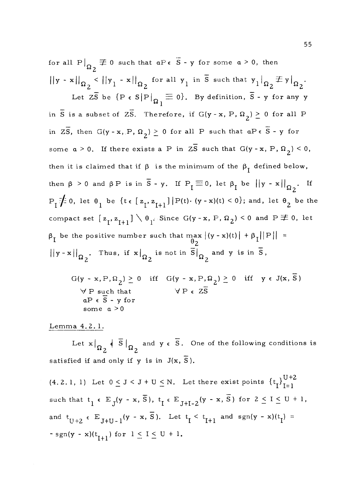for all  $P|_{\Omega_2} \not\equiv 0$  such that  $aP \in \overline{S}$  - y for some  $a > 0$ , then  $||y - x||_{\Omega_2}$  <  $||y_1 - x||_{\Omega_2}$  for all  $y_1$  in  $\overline{S}$  such that  $y_1|_{\Omega_2} \not\equiv y|_{\Omega_2}$ . Let  $Z\overline{S}$  be  $\{P \in S | P|_{\overline{\Omega}} \equiv 0\}$ . By definition,  $\overline{S}$  - y for any y in  $\overline{S}$  is a subset of  $Z\overline{S}$ . Therefore, if  $G(y - x, P, \Omega_2) \ge 0$  for all P in  $2\overline{S}$ , then  $G(y-x, P, \Omega_2) \ge 0$  for all P such that  $aP \in \overline{S}$  - y for some  $a > 0$ . If there exists a P in  $Z\overline{S}$  such that  $G(y - x, P, \Omega_2) \le 0$ , then it is claimed that if  $\beta$  is the minimum of the  $\beta_{I}$  defined below, then  $\beta > 0$  and  $\beta P$  is in  $\overline{S}$  - y. If  $P_{\overline{I}} \equiv 0$ , let  $\beta_I$  be  $||y - x||_{\Omega_2}$ . If  $P_1\neq 0$ , let  $\theta_1$  be  $\{t \in [z_1, z_{1+1}] | P(t) \cdot (y - x)(t) < 0\}$ ; and, let  $\theta_2$  be the compact set  $[z_1, z_{1+1}] \setminus \theta_1$ . Since  $G(y - x, P, \Omega_2) < 0$  and  $P \not\equiv 0$ , let  $\beta_{\text{I}}$  be the positive number such that  $\max_{\theta_2} |(y - x)(t)| + \beta_{\text{I}}||P|| =$  $||y - x||_{\alpha}$ . Thus, . Thus, if  $x|_{\Omega_2}$  is not in  $\overline{S}|_{\Omega_2}$  and y is in  $\overline{S}$ ,  $G(y - x, P, \Omega_2) \ge 0$  iff  $G(y - x, P, \Omega_2) \ge 0$  iff  $y \in J(x, \overline{S})$  $\forall P$  such that  $\forall P \in Z\overline{S}$  $aP \in \overline{S}$  - y for

some a >0

Lemma 4. 2. 1.

Let  $x|_{\Omega_2}$   $\overline{s}|_{\Omega_2}$  and  $y \in \overline{s}$ . One of the following conditions is satisfied if and only if y is in  $J(x, \overline{S})$ .

(4.2.1, 1) Let  $0 \leq J < J + U \leq N$ . Let there exist points  $\{t_{\text{I}}\}_{\text{I}=1}^{U+2}$ such that  $t_1 \in E_J(y - x, \overline{S})$ ,  $t_I \in E_{J+I-2}(y - x, \overline{S})$  for  $2 \leq I \leq U + 1$ , and  $t_{U+2} \in E_{J+U-1}(y-x, \overline{S})$ . Let  $t_{I} \leq t_{I+1}$  and  $sgn(y-x)(t_{I}) =$ - sgn(y - x)(t<sub>I+1</sub>) for  $1 \le I \le U + 1$ .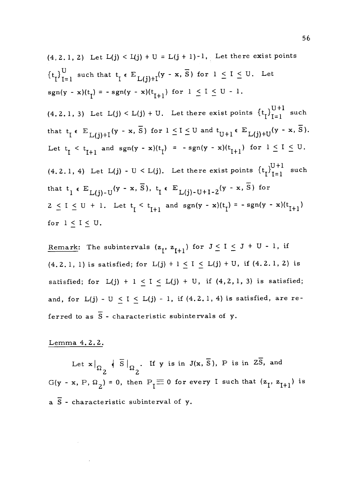(4,2.1,2) Let 
$$
L(j) < L(j) + U = L(j+1)-1
$$
, Let there exist points\n $\{t_I\}_{I=1}^U$  such that  $t_I \in E_{L(j)+I}(y - x, \overline{S})$  for  $1 \leq I \leq U$ . Let\n $sgn(y - x)(t_I) = -sgn(y - x)(t_{I+1})$  for  $1 \leq I \leq U - 1$ .\n\n(4.2.1, 3) Let  $L(j) < L(j) + U$ . Let there exist points  $\{t_I\}_{I=1}^{U+1}$  such that  $t_I \in E_{L(j)+I}(y - x, \overline{S})$  for  $1 \leq I \leq U$  and  $t_{U+1} \in E_{L(j)+U}(y - x, \overline{S})$ .\n\nLet  $t_I < t_{I+1}$  and  $sgn(y - x)(t_I) = -sgn(y - x)(t_{I+1})$  for  $1 \leq I \leq U$ .\n\n(4.2.1, 4) Let  $L(j) - U < L(j)$ . Let there exist points  $\{t_I\}_{I=1}^{U+1}$  such that  $t_I \in E_{L(j)-U}(y - x, \overline{S})$ ,  $t_I \in E_{L(j)-U+I-2}(y - x, \overline{S})$  for\n $2 \leq I \leq U + 1$ . Let  $t_I < t_{I+1}$  and  $sgn(y - x)(t_I) = -sgn(y - x)(t_{I+1})$  for  $1 \leq I \leq U$ .

Remark: The subintervals  $(z_1, z_{I+1})$  for  $J \le I \le J + U - 1$ , if  $(4.2.1, 1)$  is satisfied; for  $L(j) + 1 \le I \le L(j) + U$ , if  $(4.2.1, 2)$  is satisfied; for  $L(j) + 1 \le I \le L(j) + U$ , if  $(4, 2, 1, 3)$  is satisfied; and, for  $L(j) - U \le I \le L(j) - 1$ , if  $(4.2.1, 4)$  is satisfied, are referred to as  $\overline{S}$  - characteristic subintervals of y.

# Lemma 4. 2. 2.

 $\sim$ 

Let  $x|_{\Omega}$   $\overline{S}|_{\Omega}$ . If y is in J(x,  $\overline{S}$ ), P is in Z $\overline{S}$ , and 2  $\frac{1}{2}$ G(y - x, P,  $\Omega_2$ ) = 0, then P<sub>I</sub>  $\equiv$  0 for every I such that  $(z_1, z_{I+1})$  is a  $\overline{S}$  - characteristic subinterval of y.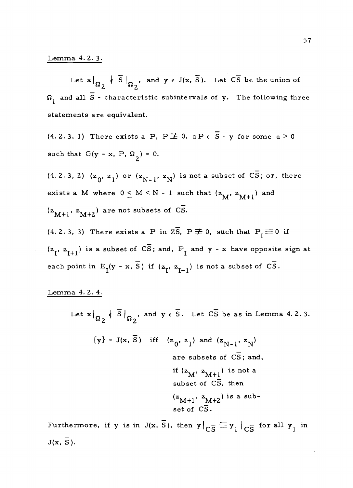#### Lemma 4. 2. 3.

Let  $x|_{Q_2}$   $\overline{\overline{S}}|_{Q_2}$ , and  $y \in J(x, \overline{S})$ . Let  $\overline{CS}$  be the union of  $\sim$  2  $\sim$  2  $\Omega_{1}^{\phantom{\dag}}$  and all  $\overline{\textrm{S}}$  - characteristic subintervals of  ${\tt y}.^{\phantom{\dag}}$  The following three statements are equivalent.

 $(4.2.3, 1)$  There exists a P,  $P \not\equiv 0$ ,  $a P \in \overline{S}$  - y for some  $a > 0$ such that G(y - x, P,  $\Omega_2$ ) = 0.

 $(4.2.3, 2)$   $(z_0, z_1)$  or  $(z_{N-1}, z_N)$  is not a subset of  $C\overline{S}$ ; or, there exists a M where  $0 \le M \le N - 1$  such that  $(z_M, z_{M+1})$  and  $(z_{M+1}, z_{M+2})$  are not subsets of CS.

(4.2.3, 3) There exists a P in  $2\overline{S}$ ,  $P \not\equiv 0$ , such that  $P_1 \equiv 0$  if  $(z_{\text{I}}, z_{\text{I+1}})$  is a subset of  $\overline{CS}$ ; and,  $P_{\text{I}}$  and y - x have opposite sign at each point in  $E_{I}(y - x, \overline{S})$  if  $(z_{I}, z_{I+1})$  is not a subset of  $\overline{CS}$ .

Lemma 4. 2. 4.

Let  $\mathbf{x}|_{\Omega}$   $\left\{ \left. \overline{S} \right|_{\Omega} \right\}$ , a 2, and  $y \in \overline{S}$ . Let  $C\overline{S}$  be as in Lemma 4.2.3.  $\Omega_2$ <sup>\*</sup>  $\Omega_2$ <sup>'</sup>  $\{y\} = J(x, \overline{S})$  iff  $(z_0, z_1)$  and  $(z_{N-1}, z_N)$ are subsets of  $\overline{CS}$ ; and, if  $(z_M, z_{M+1})$  is not a subset of  $C\overline{S}$ , then  $(z<sub>M+1</sub>, z<sub>M+2</sub>)$  is a subset of  $\overline{\text{CS}}$ .

Furthermore, if y is in  $J(x, \bar{S})$ , then  $y|_{\overline{CS}} \equiv y_1|_{\overline{CS}}$  for all  $y_1$  in  $J(x, \overline{S}).$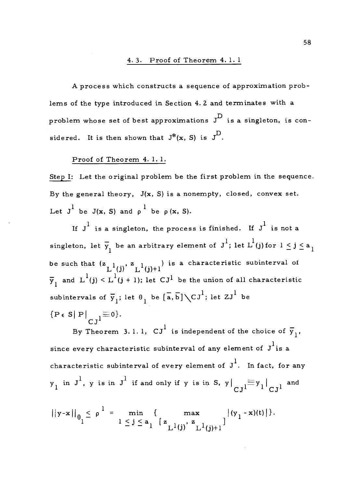# 4. 3. Proof of Theorem 4.1. 1

A process which constructs a sequence of approximation problems of the type introduced in Section 4. 2 and terminates with a problem whose set of best approximations  $\overline{J}^{\rm D}$  is a singleton, is considered. It is then shown that  $J^*(x, S)$  is  $J^D$ .

### Proof of Theorem 4. 1.1.

Step I: Let the original problem be the first problem in the sequence. By the general theory,  $J(x, S)$  is a nonempty, closed, convex set. Let  $J^1$  be  $J(x, S)$  and  $\rho^1$  be  $\rho(x, S)$ .

If  $J^1$  is a singleton, the process is finished. If  $J^1$  is not a singleton, let  $\overline{y}_1$  be an arbitrary element of  $J^1$ ; let  $L^1(j)$  for  $1 \leq j \leq a_1$ be such that  $(z_{1,1}, z_{1,2}, z_{2,2}, z_{3,3})$  is a characteristic subinterval of  $L^1(j)$   $L^1(j)+1$   $L^2=1$  $\overline{\mathbf{y}}_1$  and  $\overline{\mathbf{L}}^1(\mathbf{j}) \le \overline{\mathbf{L}}^1(\mathbf{j} + 1);$  let  $\mathbf{C}\mathbf{J}^1$  be the union of all characteristic subintervals of  $\overline{y}_1$ ; let  $\theta_1$  be  $[\overline{a},\overline{b}]\setminus CJ^1$ ; let  $ZJ^1$  be  ${P \in S | P|}_{C1} \equiv 0$ .

By Theorem 3.1.1,  $CJ^1$  is independent of the choice of  $\overline{y}_1$ , since every characteristic subinterval of any element of  $\,\mathrm{J}^{\mathrm{1}}$ is a characteristic subinterval of every element of  $J^1$ . In fact, for any  $\left.\mathbf{y}_{1}\right.$  in  $\left.\mathbf{J}^{1}\right.$  ,  $\mathbf{y}% _{1}\right)$  is  $\left.\mathbf{J}\right|$  if and only if  $\left.\mathbf{y}\right.$  is in  $\left.\mathbf{S}\right.$  ,  $\left.\mathbf{y}\right|_{\mathbf{C}\mathbf{J}}$   $\left.\mathbf{J}\right|_{\mathbf{C}\mathbf{J}}$  and

$$
||y-x||_{\theta_1} \leq \rho^{\frac{1}{2}} = \min_{1 \leq j \leq a_1} {\max_{[z_{L^1(j)}, z_{L^1(j)+1}]} |(y_1 - x)(t)|}.
$$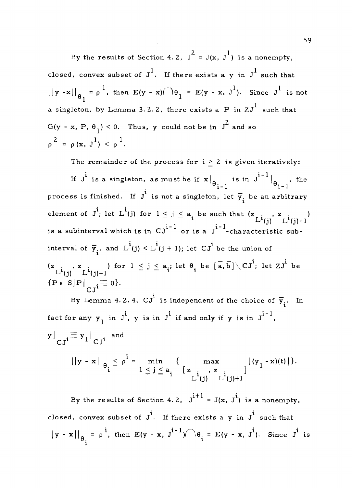By the results of Section 4.2,  $J^2 = J(x, J^1)$  is a nonempty, closed, convex subset of  $J^1$ . If there exists a y in  $J^1$  such that  $\theta_1 = \rho^1$ , then  $E(y - x)/\theta_1 = E(y - x, J^1)$ . Since  $J^1$  is not 1 a singleton, by Lemma 3.2.2, there exists a  ${\rm P}$  in  ${\rm ZJ}^1$  such that  $G(y - x, P, \theta_1) < 0$ . Thus, y could not be in  $J^2$  and so  $\rho^2 = \rho(x, J^1) < \rho^1$ .

The remainder of the process for  $i > 2$  is given iteratively: If  $J^i$  is a singleton, as must be if  $x|_{\theta_{i-1}}$  is in  $J^{i-1}|_{\theta_{i-1}}$ , the process is finished. If  $J^i$  is not a singleton, let  $\overline{y}_i$  be an arbitrary element of  $J^i$ ; let  $L^i(j)$  for  $1 \leq j \leq a_i$  be such that  $(z_{L^i(j)}^j, z_{L^i(j)+1}^j)$ is a subinterval which is in  $CJ^{i-1}$  or is a  $J^{i-1}$ -characteristic subinterval of  $\overline{y}_i$ , and  $L^i(j) < L^i(j + 1)$ ; let  $CJ^i$  be the union of  $(z_{\texttt{mid}}, z_{\texttt{mid}})$  for  $1 \leq j \leq a_i$ ; let  $\theta_i$  be  $[\overline{a}, \overline{b}] \diagdown C J^i$ ; let  $Z J^i$  be  $L^{1}(j)$   $L^{1}(j)+1$  $\{P \in S | P| \quad \equiv 0\}.$  $CJ<sup>1</sup>$ By Lemma 4.2.4,  $CJ^{\text{i}}$  is independent of the choice of  $\bar{y}_i$ . In fact for any  $y_{1}$  in  $J^{\dot 1}$ ,  $y$  is in  $J^{\dot 1}$  if and only if  $y$  is in  $J^{\dot 1-1}$ ,

$$
y|_{CJ^{i}} \equiv y_{1}|_{CJ^{i}}
$$
 and  
\n $||y - x||_{\theta_{i}} \le \rho^{i} = \min_{1 \le j \le a_{i}} \left\{ \max_{L^{i}(j) - L^{i}(j)+1} |(y_{1} - x)(t)| \right\}.$ 

By the results of Section 4.2,  $\mathbf{J}^{\mathbf{i}+1}$  = J(x,  $\mathbf{J}^{\mathbf{i}}$ ) is a nonempty, closed, convex subset of  $J^{\dot{1}}$ . If there exists a y in  $J^{\dot{1}}$  such that  $||y - x||_{\theta} = \rho^{i}$ , then  $E(y - x, J^{i-1}) \cap \theta_i = E(y - x, J^{i})$ . Since  $J^{i}$  is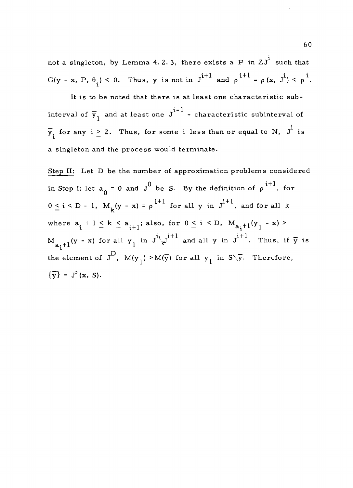not a singleton, by Lemma 4. 2. 3, there exists a P in  $ZJ^i$  such that  $G(y - x, P, \theta_i) < 0$ . Thus, y is not in  $J^{i+1}$  and  $\rho^{i+1} = \rho (x, J^i) < \rho^i$ .

It is to be noted that there is at least one characteristic subinterval of  $\overline{y}_1^{}$  and at least one  $\overline{J}^{1-1}$  - characteristic subinterval of  $\overline{\mathbf{y}}_{\mathbf{i}}$  for any i $\geq$  2. Thus, for some i less than or equal to N,  $\overline{\mathbf{J}}^{\mathbf{i}}$  is a singleton and the process would terminate.

Step II: Let D be the number of approximation problems considered in Step I; let  $a_0 = 0$  and  $J^0$  be S. By the definition of  $\rho$ <sup>i+1</sup>, for  $0 \leq i \leq D - 1$ ,  $M_k(y - x) = \rho^{i+1}$  for all y in  $J^{i+1}$ , and for all k where  $a_i + 1 \le k \le a_{i+1}$ ; also, for  $0 \le i \le D$ ,  $M_{a_i+1}(y_1 - x)$  $M_{a,+1}$ (y – x) for all y<sub>1</sub> in  $J^{i_{\lambda}}{}_{\lambda}J^{i+1}$  and all y in  $J^{i+1}$ . Thus, if  $\overline{y}$  is the element of  $J^D$ ,  $M(y_1) > M(\overline{y})$  for all  $y_1$  in  $S\backslash \overline{y}$ . Therefore,  $\{\overline{y}\} = J^*(x, S).$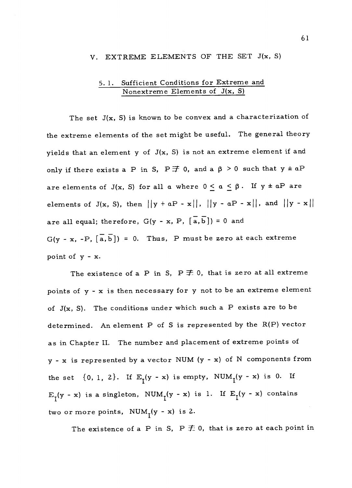#### V. EXTREME ELEMENTS OF THE SET J(x, S)

# 5. 1. Sufficient Conditions for Extreme and Nonextreme Elements of J(x, S)

The set  $J(x, S)$  is known to be convex and a characterization of the extreme elements of the set might be useful. The general theory yields that an element y of  $J(x, S)$  is not an extreme element if and only if there exists a P in S,  $P \ncong 0$ , and a  $\beta > 0$  such that  $y \pm aP$ are elements of J(x, S) for all a where  $0 \le a \le \beta$ . If  $y \pm aP$  are elements of J(x, S), then  $||y + aP - x||$ ,  $||y - aP - x||$ , and  $||y - x||$ are all equal; therefore,  $G(y - x, P, [\overline{a}, \overline{b}]) = 0$  and  $G(y - x, -P, \overline{a}, \overline{b}) = 0$ . Thus, P must be zero at each extreme point of y - x.

The existence of a P in S,  $P \not\equiv 0$ , that is zero at all extreme points of y - x is then necessary for y not to be an extreme element of  $J(x, S)$ . The conditions under which such a P exists are to be determined. An element P of S is represented by the R(P) vector as in Chapter II. The number and placement of extreme points of y - x is represented by a vector NUM (y - x) of N components from the set  $\{0, 1, 2\}$ . If  $E_{\tau}(y - x)$  is empty, NUM<sub>I</sub>(y - x) is 0. If  $E_I(y - x)$  is a singleton,  $NUM_I(y - x)$  is 1. If  $E_I(y - x)$  contains two or more points,  $NUM_{I}(y - x)$  is 2.

The existence of a P in S, P  $\bar{\pm}$  0, that is zero at each point in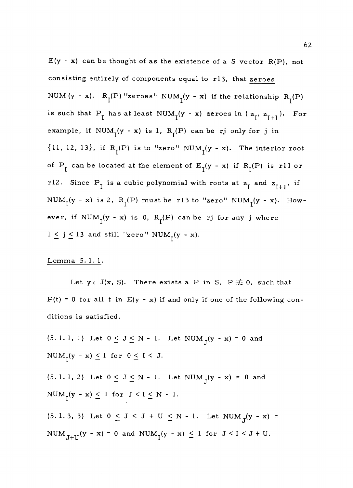$E(y - x)$  can be thought of as the existence of a S vector R(P), not consisting entirely of components equal to r13, that zeroes NUM (y - x).  $R_1(P)$  "zeroes" NUM<sub>1</sub>(y - x) if the relationship  $R_1(P)$ is such that  $P_I$  has at least NUM<sub>I</sub>(y - x) zeroes in  $(z_I, z_{I+1})$ . For example, if  $NUM_{\gamma}(y - x)$  is 1,  $R_{\gamma}(P)$  can be rj only for j in  ${11, 12, 13}$ , if  $R_I(P)$  is to "zero"  $NUM_I(y - x)$ . The interior root of  $P_1$  can be located at the element of  $E_1(y - x)$  if  $R_1(P)$  is rll or r12. Since  $P_1$  is a cubic polynomial with roots at  $z_1$  and  $z_{1+1}$ , if NUM<sub>1</sub>(y - x) is 2, R<sub>1</sub>(P) must be r13 to "zero" NUM<sub>1</sub>(y - x). However, if  $NUM_{I}(y - x)$  is 0,  $R_{I}(P)$  can be rj for any j where  $1 \leq j \leq 13$  and still "zero" NUM<sub>T</sub>(y - x).

# Lemma 5. 1. 1.

Let  $y \in J(x, S)$ . There exists a P in S, P  $\neq 0$ , such that  $P(t) = 0$  for all t in  $E(y - x)$  if and only if one of the following conditions is satisfied.

(5. 1. 1, 1) Let  $0 \le J \le N - 1$ . Let NUM  $_{J}(y - x) = 0$  and  $NUM_{\gamma}(y - x) \leq 1$  for  $0 \leq I < J$ . (5. 1. 1, 2) Let  $0 \le J \le N - 1$ . Let NUM<sub>J</sub>(y - x) = 0 and  $NUM_{r}(y - x) \leq 1$  for  $J < I \leq N - 1$ . (5. 1. 3, 3) Let  $0 \le J < J + U \le N - 1$ . Let NUM  $_{J}(y - x) =$ NUM<sub>J+U</sub> $(y - x) = 0$  and NUM<sub>I</sub> $(y - x) \le 1$  for  $J < I < J + U$ .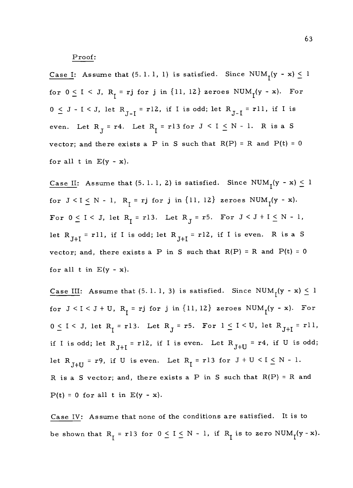#### Proof:

<u>Case I</u>: Assume that (5.1.1, 1) is satisfied. Since  $NUM_{\mathcal{I}}(y - x) \leq 1$ for  $0 \le I \le J$ ,  $R_I = rj$  for j in  $\{11, 12\}$  zeroes NUM<sub>I</sub>(y - x). For  $0 \leq J - I \leq J$ , let  $R_{J-I} = r12$ , if I is odd; let  $R_{J-I} = r11$ , if I is even. Let  $R_{\overline{J}} = r4$ . Let  $R_{\overline{I}} = r13$  for  $J \leq I \leq N - 1$ . R is a S vector; and there exists a P in S such that  $R(P) = R$  and  $P(t) = 0$ for all  $t$  in  $E(y - x)$ .

Case II: Assume that (5.1.1, 2) is satisfied. Since  $NUM_T(y - x) \leq 1$ for  $J \leq I \leq N - 1$ ,  $R_{\overline{I}} = rj$  for j in  $\{11, 12\}$  zeroes  $NUM_{\overline{I}}(y - x)$ . For  $0 \leq I < J$ , let  $R_I = r13$ . Let  $R_J = r5$ . For  $J < J + I \leq N - 1$ , let  $R_{J+I}$  = rll, if I is odd; let  $R_{J+I}$  = rl2, if I is even. R is a S vector; and, there exists a P in S such that  $R(P) = R$  and  $P(t) = 0$ for all  $t$  in  $E(y - x)$ .

Case III: Assume that (5.1.1, 3) is satisfied. Since  $NUM_{\mathsf{T}}(y - x) \leq 1$ for  $J < I < J + U$ ,  $R_I = rj$  for j in  $\{11, 12\}$  zeroes  $NUM_I(y - x)$ . For  $0 \leq I \leq J$ , let  $R_I = r13$ . Let  $R_J = r5$ . For  $1 \leq I \leq U$ , let  $R_{J+I} = r11$ , if I is odd; let  $R_{J+I}$  = r12, if I is even. Let  $R_{J+U}$  = r4, if U is odd; let  $R_{J+U}$  = r9, if U is even. Let  $R_{\overline{l}}$  = r13 for  $J+U < I \le N-1$ . R is a S vector; and, there exists a P in S such that  $R(P) = R$  and  $P(t) = 0$  for all t in  $E(y - x)$ .

Case IV: Assume that none of the conditions are satisfied. It is to be shown that  $R_{\text{I}} = r13$  for  $0 \le I \le N - 1$ , if  $R_{\text{I}}$  is to zero  $NUM_{\text{I}}(y - x)$ .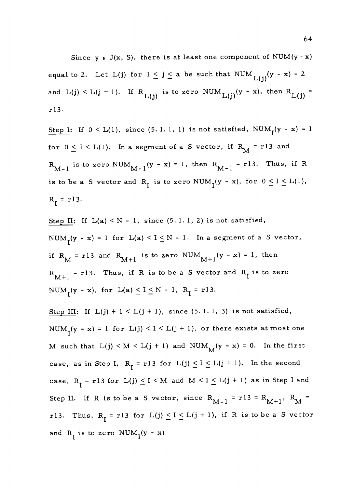Since  $y \in J(x, S)$ , there is at least one component of NUM(y - x) equal to 2. Let L(j) for  $1 \leq j \leq a$  be such that NUM  $_{L(i)}(y - x) = 2$ and  $L(j) < L(j + 1)$ . If  $R_{L(j)}$  is to zero NUM  $L(j)(y - x)$ , then  $R_{L(j)} =$ r13.

Step I: If  $0 < L(1)$ , since (5.1.1, 1) is not satisfied, NUM<sub>1</sub>(y - x) = 1 for  $0 \le I \le L(1)$ . In a segment of a S vector, if  $R_M = r13$  and  $R_{M-1}$  is to zero NUM<sub>M-1</sub> (y - x) = 1, then  $R_{M-1}$  = r13. Thus, if R is to be a S vector and R<sub>I</sub> is to zero NUM<sub>I</sub>(y - x), for  $0 \le I \le L(1)$ ,  $R_1 = r13.$ 

Step II: If  $L(a) < N - 1$ , since  $(5.1.1, 2)$  is not satisfied, NUM<sub>1</sub>(y - x) = 1 for L(a) < I  $\leq$  N - 1. In a segment of a S vector, if  $R_M = r13$  and  $R_{M+1}$  is to zero NUM $_{M+1}(y - x) = 1$ , then  $R_{M+1}$  = r13. Thus, if R is to be a S vector and  $R_1$  is to zero NUM<sub>1</sub>(y - x), for  $L(a) \le I \le N - 1$ ,  $R_I = r13$ .

Step III: If  $L(j) + 1 < L(j + 1)$ , since (5. 1. 1, 3) is not satisfied, NUM<sub>1</sub>(y - x) = 1 for  $L(j) < I < L(j + 1)$ , or there exists at most one M such that  $L(j) \le M \le L(j + 1)$  and  $NUM_M(y - x) = 0$ . In the first case, as in Step I,  $R_{\overline{1}} = r13$  for  $L(j) \leq I \leq L(j + 1)$ . In the second case,  $R_I = r13$  for  $L(j) \leq I \leq M$  and  $M \leq I \leq L(j + 1)$  as in Step I and Step II. If R is to be a S vector, since  $R_{M-1} = r13 = R_{M+1}$ ,  $R_M =$ r13. Thus,  $R_{\text{I}} = r13$  for  $L(j) \leq I \leq L(j + 1)$ , if R is to be a S vector and  $R_1$  is to zero NUM<sub>1</sub>(y - x).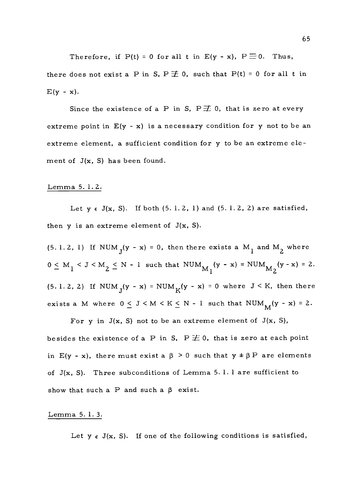Therefore, if  $P(t) = 0$  for all t in  $E(y - x)$ ,  $P \equiv 0$ . Thus, there does not exist a P in S,  $P \not\equiv 0$ , such that  $P(t) = 0$  for all t in  $E(y - x)$ .

Since the existence of a P in S,  $P \not\equiv 0$ , that is zero at every extreme point in  $E(y - x)$  is a necessary condition for y not to be an extreme element, a sufficient condition for y to be an extreme element of  $J(x, S)$  has been found.

#### Lemma 5. 1. 2.

Let  $y \in J(x, S)$ . If both (5.1.2, 1) and (5.1.2, 2) are satisfied, then  $y$  is an extreme element of  $J(x, S)$ .

(5.1.2, 1) If  $NUM_J(y - x) = 0$ , then there exists a  $M_{1}$  and  $M_{2}$  where  $0 \leq M_1 \leq J \leq M_2 \leq N - 1$  such that  $NUM_{M_1}(y - x) = NUM_{M_2}(y - x) = 2$ . (5. 1. 2, 2) If NUM  $_{J}(y - x) = NUM_{K}(y - x) = 0$  where  $J < K$ , then there exists a M where  $0 \leq J \leq M \leq K \leq N-1$  such that NUM<sub>M</sub>(y - x) = 2.

For y in  $J(x, S)$  not to be an extreme element of  $J(x, S)$ , besides the existence of a P in S,  $P \not\equiv 0$ , that is zero at each point in E(y - x), there must exist a  $\beta > 0$  such that  $y \pm \beta P$  are elements of  $J(x, S)$ . Three subconditions of Lemma 5.1.1 are sufficient to show that such a P and such a  $\beta$  exist.

#### Lemma 5. 1. 3.

Let  $y \in J(x, S)$ . If one of the following conditions is satisfied,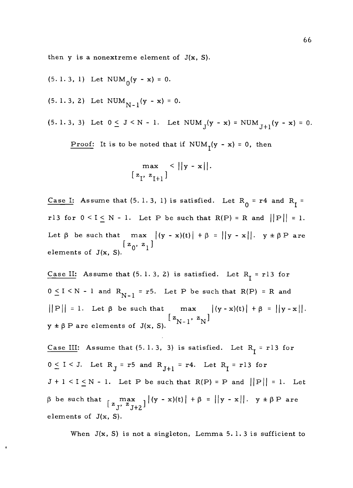then  $y$  is a nonextreme element of  $J(x, S)$ .

- $(5. 1. 3, 1)$  Let NUM<sub>0</sub>(y x) = 0.
- $(5. 1. 3, 2)$  Let  $NUM_{N-1}(y x) = 0.$

 $\ddot{\phantom{0}}$ 

(5. 1. 3, 3) Let  $0 \le J \le N - 1$ . Let  $NUM_J(y - x) = NUM_{J+1}(y - x) = 0$ .

<u>Proof:</u> It is to be noted that if NUM<sub>I</sub>(y - x) = 0, then

$$
\max_{[z_{I}, z_{I+1}]} < ||y - x||.
$$

Case I: Assume that (5.1.3, 1) is satisfied. Let  $R_0 = r4$  and  $R_1 =$ r13 for  $0 \leq I \leq N - 1$ . Let P be such that  $R(P) = R$  and  $||P|| = 1$ . Let  $\beta$  be such that max  $|(y - x)(t)| + \beta = ||y - x||$ .  $y \pm \beta P$  are  $[z_0, z_1]$ <br>elements of J(x, S).

Case II: Assume that  $(5. 1. 3, 2)$  is satisfied. Let  $R_1 = r13$  for  $0 \le I \le N - 1$  and  $R_{N-1} = r5$ . Let P be such that  $R(P) = R$  and  $||P|| = 1.$  Let  $\beta$  be such that max  $|(y - x)(t)| + \beta = ||y - x||.$  $y \pm \beta$  P are elements of J(x, S).

Case III: Assume that  $(5. 1.3, 3)$  is satisfied. Let  $R_1 = r13$  for  $0 \le I < J$ . Let  $R_J = r5$  and  $R_{J+1} = r4$ . Let  $R_I = r13$  for  $J + 1 < I \le N - 1$ . Let P be such that  $R(P) = P$  and  $||P|| = 1$ . Let  $\beta$  be such that  $\left[\begin{array}{cc} \text{max} \\ z_T, z_{T+2} \end{array}\right] |(y - x)(t)| + \beta = ||y - x||. \quad y \pm \beta P$  are elements of J(x, S).

When  $J(x, S)$  is not a singleton, Lemma 5.1.3 is sufficient to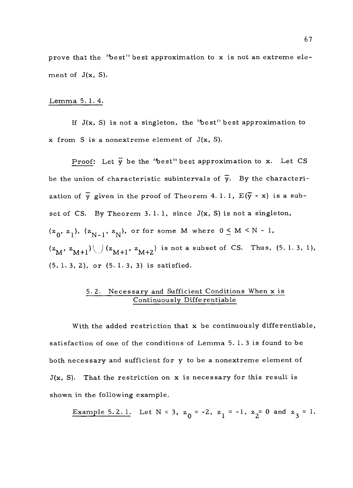prove that the "best" best approximation to x is not an extreme element of  $J(x, S)$ .

#### Lemma 5. 1. 4.

If  $J(x, S)$  is not a singleton, the 'best' best approximation to  $x$  from S is a nonextreme element of  $J(x, S)$ .

Proof: Let  $\overline{y}$  be the "best" best approximation to x. Let CS be the union of characteristic subintervals of  $\bar{y}$ . By the characterization of  $\overline{y}$  given in the proof of Theorem 4.1.1,  $E(\overline{y} - x)$  is a subset of CS. By Theorem 3. 1. 1, since J(x, S) is not a singleton,  $(z_0, z_1), (z_{N-1}, z_N),$  or for some M where  $0 \le M \le N - 1$ ,  $(z_{\text{M}}, z_{\text{M+1}}) \bigcup (z_{\text{M+1}}, z_{\text{M+2}})$  is not a subset of CS. Thus, (5.1.3, 1), (5. 1. 3, 2), or (5. 1. 3, 3) is satisfied.

### 5. 2. Necessary and Sufficient Conditions When x is Continuously Differentiable

With the added restriction that x be continuously differentiable, satisfaction of one of the conditions of Lemma 5. 1. 3 is found to be both necessary and sufficient for y to be a nonextreme element of  $J(x, S)$ . That the restriction on x is necessary for this result is shown in the following example.

**Example 5.2.1.** Let N = 3, 
$$
z_0 = -2
$$
,  $z_1 = -1$ ,  $z_2 = 0$  and  $z_3 = 1$ .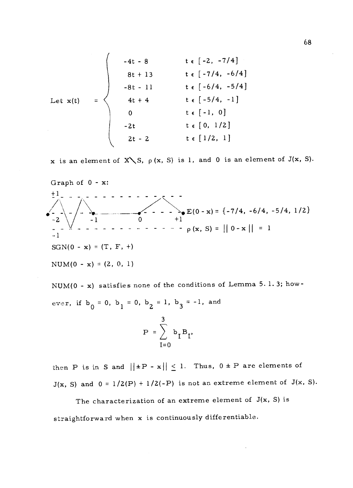Let 
$$
x(t) =\n\begin{cases}\n-4t - 8 & t \in [-2, -7/4] \\
8t + 13 & t \in [-7/4, -6/4] \\
-8t - 11 & t \in [-6/4, -5/4] \\
4t + 4 & t \in [-5/4, -1] \\
0 & t \in [-1, 0] \\
-2t & t \in [0, 1/2] \\
2t - 2 & t \in [1/2, 1]\n\end{cases}
$$

x is an element of X \, S,  $\rho$  (x, S) is 1, and 0 is an element of J(x, S).

Graph of 0 - x: +1  $-\sum_{\bullet} E(0-x) = \{-7/4, -6/4, -5/4, 1/2\}$  $-2$  \ / +1  $p(x, S) = ||0 - x|| = 1$  $-1$  $SGN(0 - x) = (T, F, +)$  $NUM(0 - x) = (2, 0, 1)$ 

NUM( $0 - x$ ) satisfies none of the conditions of Lemma 5.1.3; however, if  $b_0 = 0$ ,  $b_1 = 0$ ,  $b_2 = 1$ ,  $b_3 = -1$ , and 3  $P = \sum b_{I} B_{I}$ 

then P is in S and  $||\pm P - x|| \le 1$ . Thus,  $0 \pm P$  are elements of  $J(x, S)$  and  $0 = 1/2(P) + 1/2(-P)$  is not an extreme element of  $J(x, S)$ .

 $I=0$ 

The characterization of an extreme element of J(x, S) is straightforward when x is continuously differentiable.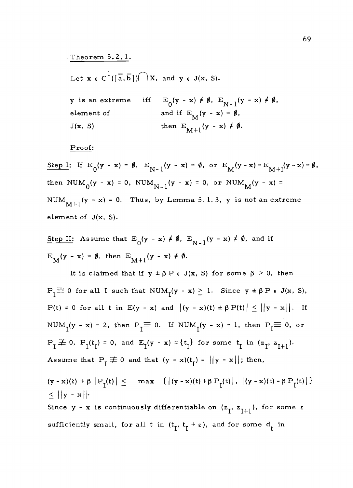Theorem 5. 2. 1.

Let  $x \in C^1([a, b]) \cap X$ , and  $y \in J(x, S)$ .

y is an extreme iff element of  $J(x, S)$  $E_0(y - x) \neq \emptyset$ ,  $E_{N-1}(y - x) \neq \emptyset$ , and if  $E_{\mathbf{M}}(\mathbf{y} - \mathbf{x}) = \emptyset$ , then  $E_{M+1}(y - x) \neq \emptyset$ .

Proof:

Step I: If  $E_0(y - x) = \emptyset$ ,  $E_{N-1}(y - x) = \emptyset$ , or  $E_M(y - x) = E_{M+1}(y - x) = \emptyset$ , then  $NUM_0(y - x) = 0$ ,  $NUM_{N-1}(y - x) = 0$ , or  $NUM_M(y - x) =$ NUM<sub>M+1</sub> (y - x) = 0. Thus, by Lemma 5.1.3, y is not an extreme element of J(x, S).

Step II: Assume that  $E_0(y - x) \neq \emptyset$ ,  $E_{N-1}(y - x) \neq \emptyset$ , and if  $E_{\mathbf{M}}(\mathbf{y}-\mathbf{x}) = \emptyset$ , then  $E_{\mathbf{M}+1}(\mathbf{y}-\mathbf{x}) \neq \emptyset$ .

It is claimed that if  $y \pm \beta P \in J(x, S)$  for some  $\beta > 0$ , then  $P_I \equiv 0$  for all I such that  $NUM_I(y - x) \ge 1$ . Since  $y \pm \beta P \in J(x, S)$ ,  $P(t) = 0$  for all t in  $E(y - x)$  and  $|(y - x)(t) \pm \beta P(t)| \le ||y - x||$ . If NUM<sub>1</sub>(y - x) = 2, then P<sub>1</sub> $\equiv$  0. If NUM<sub>1</sub>(y - x) = 1, then P<sub>1</sub> $\equiv$  0, or  $P_I \not\equiv 0$ ,  $P_I(t_I) = 0$ , and  $E_I(y - x) = \{t_I\}$  for some  $t_I$  in  $(z_I, z_{I+1})$ . Assume that  $P_{\tau} \not\equiv 0$  and that  $(y - x)(t_{\tau}) = ||y - x||$ ; then,

 $(y - x)(t) + \beta |P_{I}(t)| \leq \max \{ |(y - x)(t) + \beta P_{I}(t)|, |(y - x)(t) - \beta P_{I}(t)| \}$  $\leq$  ||y - x||. Since y - x is continuously differentiable on  $(z_1, z_{1+1})$ , for some  $\varepsilon$ sufficiently small, for all t in  $(t_1, t_1 + \varepsilon)$ , and for some  $d_t$  in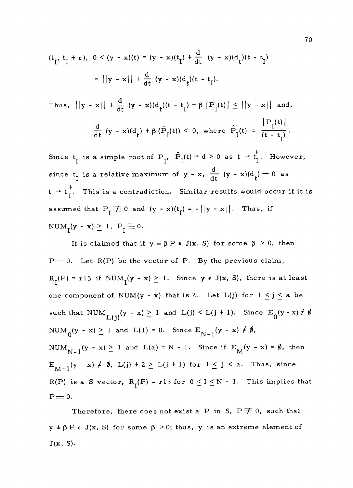$$
(\tau_{I}, t_{I} + \varepsilon), \quad 0 < (y - x)(t) = (y - x)(t_{I}) + \frac{d}{dt} \quad (y - x)(d_{t})(t - t_{I})
$$
\n
$$
= ||y - x|| + \frac{d}{dt} \quad (y - x)(d_{t})(t - t_{I}).
$$

Thus,  $||y - x|| + \frac{d}{dt} (y - x)(d_t)(t - t_1) + \beta ||P_t(t)|| \le ||y - x||$  and,  $\frac{d}{dt}$  (y - x)(d<sub>t</sub>) +  $\beta$  ( $\hat{P}_{I}(t)$ )  $\leq$  0, where  $\hat{P}_{I}(t) = \frac{1}{t} \frac{I^{(0)} - I^{(0)}}{t - t_{\tau}}$ .

Since  $t_I$  is a simple root of  $P_I$ ,  $\hat{P}_I(t) \rightarrow d > 0$  as  $t \rightarrow t_I^+$ . However, since  $t_i$  is a relative maximum of y - x,  $\frac{d}{dt}$  (y - x)(d<sub>t</sub>) + 0 as  $t \rightarrow t_{I}^{+}$ . This is a contradiction. Similar results would occur if it is assumed that  $P_I \not\equiv 0$  and  $(y - x)(t) = -||y - x||$ . Thus, if  $NUM_{T}(y - x) \geq 1, P_{T} \equiv 0.$ 

It is claimed that if  $y \pm \beta P \in J(x, S)$  for some  $\beta > 0$ , then  $P \equiv 0$ . Let R(P) be the vector of P. By the previous claim,  $R_I(P) = r13$  if  $NUM_I(y - x) \ge 1$ . Since  $y \in J(x, S)$ , there is at least one component of NUM(y - x) that is 2. Let  $L(j)$  for  $1 \leq j \leq a$  be such that NUM  $_{L(j)}(y - x) \ge 1$  and  $L(j) < L(j + 1)$ . Since  $E_0(y - x) \ne \emptyset$ , NUM<sub>0</sub>(y - x)  $\geq$  1 and L(1) = 0. Since E<sub>N-1</sub>(y - x)  $\neq \emptyset$ , NUM<sub>N-1</sub> (y - x)  $\geq$  1 and L(a) = N - 1. Since if  $E_M(y - x) = \emptyset$ , then  $E_{M+1}(y - x) \neq \emptyset$ ,  $L(j) + 2 \geq L(j + 1)$  for  $1 \leq j \leq a$ . Thus, since R(P) is a S vector,  $R_I(P) = r13$  for  $0 \le I \le N - 1$ . This implies that  $P\equiv 0.$ 

Therefore, there does not exist a P in S,  $P \not\equiv 0$ , such that  $y \pm \beta P \in J(x, S)$  for some  $\beta > 0$ ; thus, y is an extreme element of  $J(x, S)$ .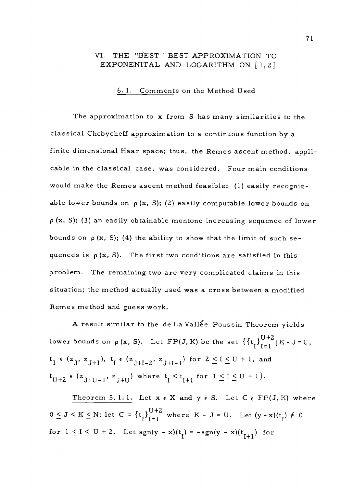## VI. THE "BEST" BEST APPROXIMATION TO EXPONENITAL AND LOGARITHM ON [1,2]

## 6.1. Comments on the Method Used

The approximation to x from S has many similarities to the classical Chebycheff approximation to a continuous function by a finite dimensional Haar space; thus, the Remes ascent method, applicable in the classical case, was considered. Four main conditions would make the Remes ascent method feasible: (1) easily recognizable lower bounds on  $\rho(x, S)$ ; (2) easily computable lower bounds on  $p(x, S)$ ; (3) an easily obtainable montone increasing sequence of lower bounds on  $p(x, S)$ ; (4) the ability to show that the limit of such sequences is  $p(x, S)$ . The first two conditions are satisfied in this problem. The remaining two are very complicated claims in this situation; the method actually used was a cross between a modified Remes method and guess work.

A result similar to the de La Vallée Poussin Theorem yields lower bounds on  $\rho$  (x, S). Let FP(J,K) be the set  $\left\{\{\mathrm{t}_{\mathbf{I}}\}_{\mathbf{I}=\mathbf{1}}^{\mathbf{U}+\mathbf{2}}\big| \mathrm{K}$  - J=U,  $t_1 \in (z_1, z_{1+1}), t_1 \in (z_{1+1-2}, z_{1+1-1})$  for  $2 \leq I \leq U + 1$ , and  $t_{U+2}$   $\epsilon$  (z<sub>J+U-1</sub>, z<sub>J+U</sub>) where  $t_{I} < t_{I+1}$  for  $1 \leq I \leq U+1$ .

Theorem 5.1.1. Let  $x \in X$  and  $y \in S$ . Let  $C \in FP(J, K)$  where  $0 \leq J \leq K \leq N$ ; let  $C = \left\{ t_I \right\}_{I=1}^{U+2}$  where  $K - J = U$ . Let  $(y - x)(t_I) \neq 0$ for  $1 \le I \le U + 2$ . Let  $sgn(y - x)(t<sub>I</sub>) = -sgn(y - x)(t<sub>I+1</sub>)$  for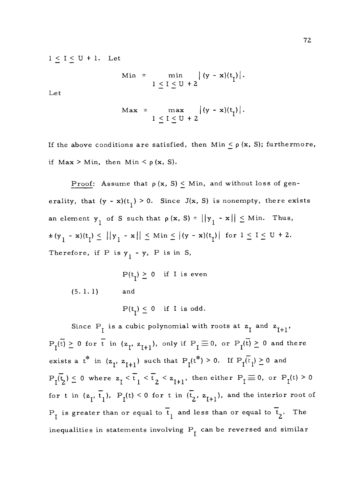$1 \leq I \leq U + 1$ . Let

$$
\begin{array}{rcl}\n\text{Min} & = & \min & \left| \, (y - x)(t) \right| \\
& & 1 \leq I \leq U + 2\n\end{array}
$$

Let

$$
\mathbf{Max} = \max_{1 \leq I \leq U+2} |(y-x)(t_{\mathbf{I}})|.
$$

If the above conditions are satisfied, then Min  $\leq \rho$  (x, S); furthermore, if Max > Min, then Min <  $\rho$  (x, S).

Proof: Assume that  $\rho(x, S) \leq Min$ , and without loss of generality, that  $(y - x)(t_1) > 0$ . Since J(x, S) is nonempty, there exists an element  $y_1$  of S such that  $\rho(x, S) = ||y_1 - x|| \leq Min$ . Thus,  $\pm (y_1 - x)(t_1) \le ||y_1 - x|| \le M$ in  $\le |(y - x)(t_1)|$  for  $1 \le I \le U + 2$ . Therefore, if P is  $y_1 - y$ , P is in S,

 $P(t_r) > 0$  if I is even (5. 1. 1) and

 $P(t_1) \leq 0$  if I is odd.

Since  $P_i$  is a cubic polynomial with roots at  $z_i$  and  $z_{i+1}$ ,  $P_I(\overline{t}) \geq 0$  for  $\overline{t}$  in  $(z_I, z_{I+1}),$  only if  $P_I \equiv 0$ , or  $P_I(\overline{t}) \geq 0$  and there exists a  $t^*$  in  $(z_1, z_{I+1})$  such that  $P_1(t^*) > 0$ . If  $P_1(\overline{t}_1) \ge 0$  and  $P_{I}(\overline{t}_{2}) \leq 0$  where  $z_{I} < \overline{t}_{1} < \overline{t}_{2} < z_{I+1}$ , then either  $P_{I} \equiv 0$ , or  $P_{I}(t) > 0$ for t in  $(z_1, \overline{t}_1)$ ,  $P_1(t) < 0$  for t in  $(\overline{t}_2, z_{1+1})$ , and the interior root of  $P_I$  is greater than or equal to  $\overline{t}_1$  and less than or equal to  $\overline{t}_2$ . The inequalities in statements involving  $P_I^-$  can be reversed and similar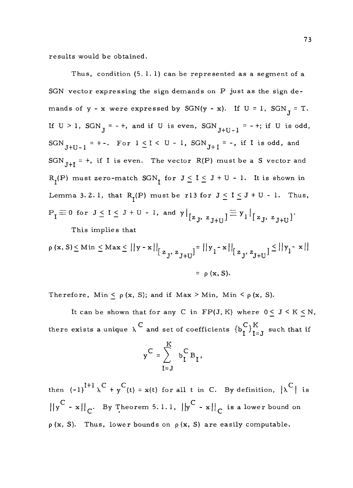results would be obtained.

Thus, condition (5. 1. 1) can be represented as a segment of a SGN vector expressing the sign demands on P just as the sign demands of  $y - x$  were expressed by SGN(y - x). If  $U = 1$ , SGN<sub>J</sub> = T. If  $U > 1$ ,  $SGN_J = - +$ , and if U is even,  $SGN_{J+U-1} = - +$ ; if U is odd, SGN<sub>J+U-1</sub> = +-. For  $1 \leq I < U - 1$ , SGN<sub>J+I</sub> = -, if I is odd, and SGN<sub>J+I</sub> = +, if I is even. The vector R(P) must be a S vector and  $R_I(P)$  must zero-match  $SGN_I$  for  $J \leq I \leq J + U - 1$ . It is shown in Lemma 3.2.1, that R<sub>I</sub>(P) must be r13 for  $J \le I \le J + U - 1$ . Thus,  $P_I \equiv 0$  for  $J \leq I \leq J + U - 1$ , and  $y|_{[z_{\cdot}, z_{\cdot}, z_{\cdot}, t_{\cdot}]} \equiv y_1|_{[z_{\cdot}, z_{\cdot}, z_{\cdot}]}$ . This implies that

$$
\rho(x, S) \leq Min \leq Max \leq ||y - x||_{\left[\frac{z}{3}, \frac{z}{3} + U\right]} = ||y_1 - x||_{\left[\frac{z}{3}, \frac{z}{3} + U\right]} \leq ||y_1 - x||
$$
  
=  $\rho(x, S).$ 

Therefore, Min  $\leq \rho$  (x, S); and if Max > Min, Min  $\leq \rho$  (x, S).

It can be shown that for any C in  $FP(J, K)$  where  $0 \le J \le K \le N$ , there exists a unique  $\lambda$  and set of coefficients  $\{b_I^C\}_{I=J}^K$  such that if

$$
y^{C} = \sum_{I=J}^{K} b_I^{C} B_I,
$$

then  $(-1)^{I+1} \lambda^C + y^C$  (t) = x(t) for all t in C. By definition,  $|\lambda^C|$  is  $\left\|y^C - x\right\|_C$ . By Theorem 5.1.1,  $\left\|y^C - x\right\|_C$  is a lower bound on  $p(x, S)$ . Thus, lower bounds on  $p(x, S)$  are easily computable.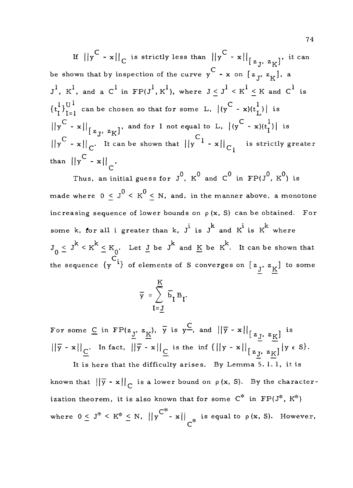If  $||y^C - x||_C$  is strictly less than  $||y^C - x||_{[z_1, z_1]}$ , it can be shown that by inspection of the curve  $y^C - x$  on  $[z_j, z_K]$ , a  $J^1$ ,  $K^1$ , and a  $C^1$  in  $\texttt{FP}(J^1,K^1)$ , where  $J\leq J^1< K^1\leq K$  and  $C^1$  is  $\{t^1_l\}_{l=1}^{U^1}$  can be chosen so that for some L,  $|(y^C - x)(t^1_L)|$  is  $||y^C - x||_{\left[z, y^C - x\right]}$ , and for I not equal to L,  $|(y^C - x)(t_1^T)|$  is  $\left|\left|y^{\right|C} - x\right|\right|_{C}$ . It can be shown that  $\left|\left|y^{\right|C} - x\right|\right|_{C_{1}}$  is strictly greater than  $\left\| \mathbf{y}^{\mathsf{C}} - \mathbf{x} \right\|_{\mathsf{C}}$ .

Thus, an initial guess for  $J^0$ ,  $K^0$  and  $C^0$  in  $\text{FP}(J^0, K^0)$  is made where  $0 \leq J^0 < K^0 \leq N$ , and, in the manner above, a monotone increasing sequence of lower bounds on  $\rho(x, S)$  can be obtained. For some k, for all i greater than k,  $J^i$  is  $J^k$  and  $K^i$  is  $K^k$  where  $J_0 \le J^k < K^k \le K_0$ . Let  $J$  be  $J^k$  and  $K$  be  $K^k$ . It can be shown that the sequence  $\{y^{C_i}\}$  of elements of S converges on  $\left[\begin{array}{cc} z_j, z_{\underline{K}} \end{array}\right]$  to some

$$
\overline{y} = \sum_{I=\underline{J}}^{K} \overline{b}_{I} B_{I}.
$$

For some  $C$  in  $\text{FP}(z_{\underbar{J}}, z_{\underbar{K}}), \overline{y}$  is  $y^{\underbar{C}},$  and  $||\overline{y} - x||_{z_{\underbar{J}}, z_{\underbar{K}}]}$  is  $||\overline{y} - x||_C$ . In fact,  $||\overline{y} - x||_C$  is the inf  $(||y - x||_{[z]}, z_K] |y \in S$ .

It is here that the difficulty arises. By Lemma 5.1.1, it is known that  $||\overline{y} - x||_C$  is a lower bound on  $\rho(x, S)$ . By the characterization theorem, it is also known that for some  $C^*$  in  $FP(J^*, K^*)$ where  $0 \leq J^* \leq K^* \leq N$ ,  $||y^{C^*}-x||_{\mathcal{A}^*}$  is equal to  $\rho(x, S)$ . However,  $\mathsf{C}^{\mathsf{c}}$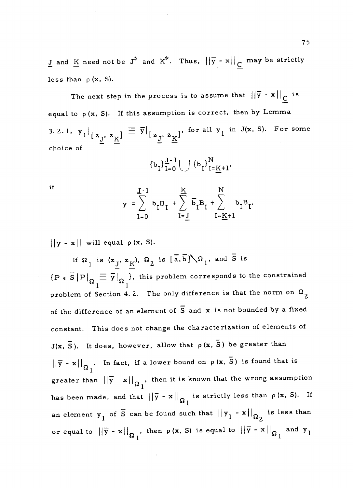<u>J</u> and <u>K</u> need not be J<sup>\*</sup> and K<sup>\*</sup>. Thus,  $||\bar{y}-x||_C$  may be strictly less than  $\rho$  (x, S).

The next step in the process is to assume that  $||\bar{y} - x||_C$  is equal to  $\rho(x, S)$ . If this assumption is correct, then by Lemma 3. 2. 1,  $y_1|_{\left[z_{\frac{J}{}}\right]}\equiv \overline{y}|_{\left[z_{\frac{J}{}}\right]}$  for all  $y_1$  in J(x, S). For some choice of  $\bar{1}^\prime$   $\bar{\bf x}^\prime$ 

$$
\{p^I\}_{I=0}^{I=0}\bigcap \{p^I\}_{I=\overline{K}+1}^{I=\overline{K}+1},
$$

if

$$
y = \sum_{I=0}^{J-1} b_I B_I + \sum_{I=\underline{J}}^{K} \overline{b}_I B_I + \sum_{I=\underline{K}+1}^{N} b_I B_I,
$$

 $||y - x||$  will equal  $\rho(x, S)$ .

If  $\Omega_1$  is  $(z_{\underline{J}}, z_{\underline{K}})$ ,  $\Omega_2$  is  $[\overline{a}, \overline{b}]\setminus \Omega_1$ , and  $\overline{S}$  is <u>- -</u>  $\{P \in \overline{S} |P|_{\Omega} \equiv \overline{y}|_{\Omega} \}$ , this problem corresponds to the constrained problem of Section 4.2. The only difference is that the norm on  $\Omega_{2}$ of the difference of an element of  $\overline{S}$  and  $x$  is not bounded by a fixed constant. This does not change the characterization of elements of  $J(x, \overline{S})$ . It does, however, allow that  $\rho(x, \overline{S})$  be greater than  $||\overline{y} - x||_{\Omega_1}$ . In fact, if a lower bound on  $\rho(x, \overline{S})$  is found that is greater than  $||\bar{y} - x||_{\Omega}$ , then it is known that the wrong assumption 1 has been made, and that  $\|\bar{y} - x\|_{\Omega_1}$  is strictly less than  $\rho(x, S)$ . If an element  $y_1$  of  $\overline{S}$  can be found such that  $||y_1 - x||_{\Omega_2}$  is less than 2 or equal to  $||\overline{y} - x||_{\Omega_1}$ , then  $\rho(x, S)$  is equal to  $||\overline{y} - x||_{\Omega_1}$  and  $y_1$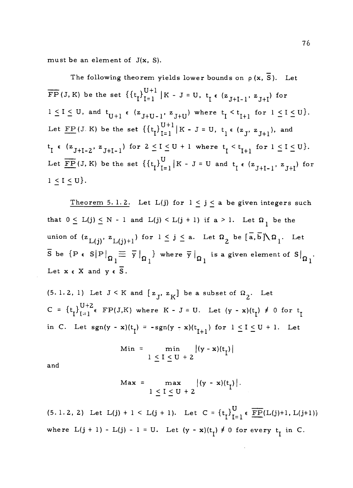must be an element of J(x, S).

The following theorem yields lower bounds on  $\rho(x, \overline{S})$ . Let  $\overline{\text{FP}}(J,K)$  be the set  $\left\{\left\{t_{\text{I}}\right\}_{\text{I}=1}^{\text{U}+1} \,\middle|\, K - J = \text{U}, \, t_{\text{I}} \leftarrow (z_{J+1-1}, \, z_{J+1}) \text{ for }$  $1 \leq I \leq U$ , and  $t_{U+1} \in (z_{J+U-1}, z_{J+U})$  where  $t_{I} \leq t_{I+1}$  for  $1 \leq I \leq U$ . Let  $\underline{FP}$ (J.K) be the set  $\left\{ \left\{ t_{i} \right\}_{i=1}^{U+1} | K - J = U, t_{i} \in (z_{J}, z_{J+1}), \text{ and } \right\}$  $t_I \in (z_{J+I-2}, z_{J+I-1})$  for  $2 \leq I \leq U+1$  where  $t_I < t_{I+1}$  for  $1 \leq I \leq U$ . Let  $\overline{\text{FP}}(J, K)$  be the set  $\left\{\left\{t_{I}\right\}_{I=1}^{U} | K - J = U \text{ and } t_{I} \in \left\{z_{J+I-1}, z_{J+I}\right\} \text{ for }$  $1 \leq I \leq U$ .

Theorem 5.1.2. Let L(j) for  $1 \leq j \leq a$  be given integers such that  $0 \le L(j) \le N - 1$  and  $L(j) < L(j + 1)$  if  $a > 1$ . Let  $\Omega_{1}$  be the union of  $(z_{L(i)}, z_{L(i)+1})$  for  $1 \leq j \leq a$ . Let  $\Omega_2$  be  $\overline{a}, \overline{b} \big) \setminus \Omega_1$ . Let  $\overline{S}$  be  $\{P \in S | P|_{\overline{O}} \equiv \overline{y}|_{\overline{O}} \}$  where  $\overline{y}|_{\overline{O}}$  is a given element of  $S|_{\overline{O}}$ .  $\Omega_1$   $\Omega_1$   $\Omega_1$ Let  $x \in X$  and  $y \in \overline{S}$ .

(5.1.2, 1) Let  $J \le K$  and  $[z_j, z_K]$  be a subset of  $\Omega_2$ . Let  $C = {t_1}_{i=1}^{U+2}$  FP(J,K) where  $K - J = U$ . Let  $(y - x)(t_1) \neq 0$  for  $t_1$ in C. Let  $sgn(y - x)(t<sub>I</sub>) = -sgn(y - x)(t<sub>I+1</sub>)$  for  $1 \le I \le U + 1$ . Let

$$
\begin{array}{c}\n\text{Min} = \min \left| (\mathbf{y} - \mathbf{x})(\mathbf{t}_{\text{I}}) \right| \\
1 \leq \mathbf{I} \leq \mathbf{U} + 2\n\end{array}
$$

and

$$
\mathbf{Max} = \max_{1 \leq I \leq U + 2} |(y - x)(t_{\mathbf{I}})|.
$$

(5.1.2, 2) Let  $L(j) + 1 < L(j + 1)$ . Let  $C = {t_1}_{T=1}^U \in \overline{FP}(L(j) + 1, L(j+1))$ where  $L(j + 1) - L(j) - 1 = U$ . Let  $(y - x)(t<sub>I</sub>) \neq 0$  for every  $t<sub>I</sub>$  in C.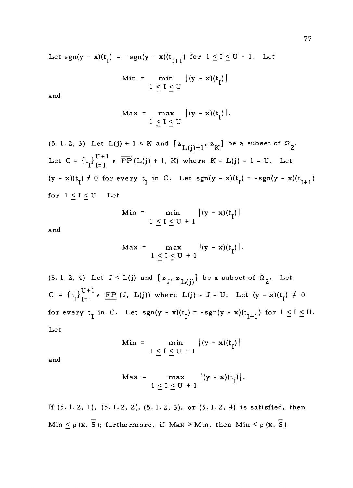Let  $sgn(y - x)(t_1) = -sgn(y - x)(t_{1+1})$  for  $1 \le I \le U - 1$ . Let

$$
\begin{array}{rcl}\n\text{Min} & = & \min & \left| (y - x)(t_1) \right| \\
& & 1 \leq I \leq U\n\end{array}
$$

and

$$
\mathbf{Max} = \max_{1 \leq I \leq U} |(y - x)(t_I)|.
$$

(5.1.2, 3) Let 
$$
L(j) + 1 < K
$$
 and  $[z_{L(j)+1}, z_K]$  be a subset of  $\Omega_2$ . Let  $C = \{t_I\}_{I=1}^{U+1} \in \overline{FP}(L(j) + 1, K)$  where  $K - L(j) - 1 = U$ . Let  $(y - x)(t_I) \neq 0$  for every  $t_I$  in C. Let  $sgn(y - x)(t_I) = -sgn(y - x)(t_{I+1})$  for  $1 \leq I \leq U$ . Let

$$
\begin{array}{rcl}\n\text{Min} & = & \min & \left| (y - x)(t_1) \right| \\
& & 1 \leq I \leq U + 1\n\end{array}
$$

and

$$
\mathbf{Max} = \max_{1 \leq I \leq U+1} |(y - x)(t_I)|.
$$

(5. 1. 2, 4) Let  $J < L(j)$  and  $[z_j, z_{L(j)}]$  be a subset of  $\Omega_2$ . Let  $C = \left\{ t_I \right\}_{I=1}^{U+1} \epsilon \underline{\text{ FP}} (J, L(j)) \text{ where } L(j) - J = U. \text{ Let } (y - x)(t_I) \neq 0$ for every  $t_1$  in C. Let  $sgn(y - x)(t_1) = -sgn(y - x)(t_{1+1})$  for  $1 \le I \le U$ . Let

$$
\begin{array}{c}\n\text{Min} = \min \left| (y - x)(t_1) \right| \\
1 \leq I \leq U + 1\n\end{array}
$$

and

$$
\mathbf{Max} = \max_{1 \leq I \leq U+1} |(y-x)(t_I)|.
$$

If 
$$
(5.1.2, 1)
$$
,  $(5.1.2, 2)$ ,  $(5.1.2, 3)$ , or  $(5.1.2, 4)$  is satisfied, then\n
$$
\text{Min} \leq \rho(x, \overline{S}); \text{ furthermore, if } \text{Max} > \text{Min}, \text{ then } \text{Min} < \rho(x, \overline{S}).
$$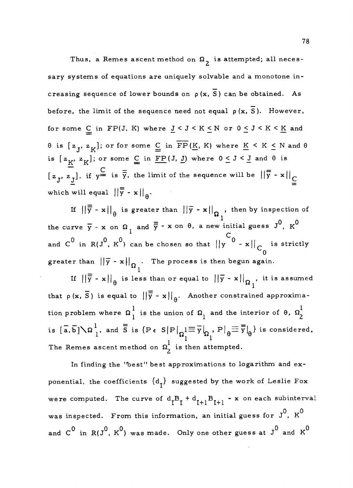Thus, a Remes ascent method on  $\Omega$ <sub>2</sub> is attempted; all necessary systems of equations are uniquely solvable and a monotone increasing sequence of lower bounds on  $\rho(x, \overline{S})$  can be obtained. As before, the limit of the sequence need not equal  $p(x, \overline{S})$ . However, for some  $\underline{C}$  in FP(J, K) where  $\underline{J} < J < K \le N$  or  $0 \le J < K \le \underline{K}$  and  $\theta$  is  $[z_j, z_K]$ ; or for some  $\underline{C}$  in  $\overline{FP}(K, K)$  where  $\underline{K} \le K \le N$  and  $\theta$ is  $[z_K, z_K]$ ; or some  $\underline{C}$  in  $\underline{FP}(J, \underline{J})$  where  $0 \le J \le \underline{J}$  and  $\theta$  is  $\begin{bmatrix} z_{1}, z_{1} \end{bmatrix}$ , if  $y = is \overline{y}$ , the limit of the sequence will be  $||\overline{y} - x||$ which will equal  $\left\| \overline{\overline{y}} - x \right\|_{\theta}$ .

If  $||\overline{\overline{y}} - \mathbf{x}||_{\overline{\Theta}}$  is greater than  $||\overline{y} - \mathbf{x}||_{\Omega}$  , then by inspection of the curve  $\overline{y}$  - x on  $\Omega_1$  and  $\overline{\overline{y}}$  - x on  $\theta$ , a new initial guess  $J^0$ ,  $K^0$ and C<sup>O</sup> in R(J<sup>O</sup>, K<sup>O</sup>) can be chosen so that  $||y^{C} - x||_{C}$  is strictly 0 greater than  $\left|\left|\overline{y}-x\right|\right|_{\Omega}$ . The process is then begun again.

If  $||\overline{\overline{y}} - \mathbf{x}||_{\theta}$  is less than or equal to  $||\overline{y} - \mathbf{x}||_{\Omega}$  , it is assumed that  $\rho(x, \overline{S})$  is equal to  $||\overline{\overline{y}} - x||_{\theta}$ . Another constrained approximation problem where  $\Omega \, \frac{1}{1}$  is the union of  $\Omega \, \frac{1}{1}$  and the interior of  $\theta$ ,  $\Omega \, \frac{1}{2}$ is  $[\overline{a}, \overline{b}]\setminus\Omega^1_{\overline{a}}$ , and  $\overline{\overline{S}}$  is  $\{P \in S|P|_{\Omega^1} \equiv \overline{y}|_{\Omega^1}$ ,  $P|_{\theta} \equiv \overline{\overline{y}}|_{\theta}$  is considered. C21 1 The Remes ascent method on  $\Omega_2^1$  is then attempted.

In finding the 'best" best approximations to logarithm and exponential, the coefficients  $\{d^{\dagger}_{\tau}\}$  suggested by the work of Leslie Fox were computed. The curve of  $d_I B_I + d_{I+1} B_{I+1}$  - x on each subinterval was inspected. From this information, an initial guess for  $\rm J^0,\ \rm \rm K^0$ and  $C^0$  in  $R(J^0, K^0)$  was made. Only one other guess at  $J^0$  and  $K^0$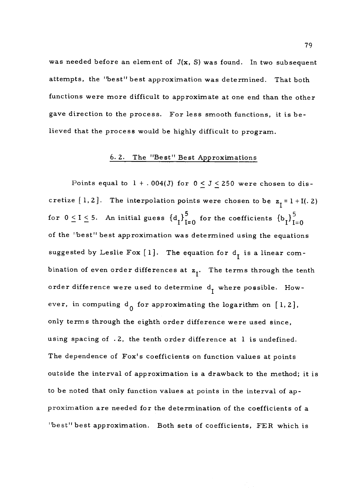was needed before an element of  $J(x, S)$  was found. In two subsequent attempts, the "best" best approximation was determined. That both functions were more difficult to approximate at one end than the other gave direction to the process. For less smooth functions, it is believed that the process would be highly difficult to program.

# 6. 2. The "Best" Best Approximations

Points equal to  $1 + .004(J)$  for  $0 \le J \le 250$  were chosen to discretize [1, 2]. The interpolation points were chosen to be  $z_{\tau} = 1 + I(.2)$ for  $0 \le I \le 5$ . An initial guess  $\{{\rm d}_{\rm I}\}_{\rm I=0}^5$  for the coefficients  $\{{\rm b}_{\rm I}\}_{\rm I=0}^5$ of the "best" best approximation was determined using the equations suggested by Leslie Fox [1]. The equation for  $d_i$  is a linear combination of even order differences at  $z_1$ . The terms through the tenth order difference were used to determine  $\mathsf{d}_{\mathbf{I}}^{\phantom{\dag}}$  where possible. However, in computing  $d_0$  for approximating the logarithm on [1,2], only terms through the eighth order difference were used since, using spacing of  $.2$ , the tenth order difference at 1 is undefined. The dependence of Fox's coefficients on function values at points outside the interval of approximation is a drawback to the method; it is to be noted that only function values at points in the interval of approximation are needed for the determination of the coefficients of a "best" best approximation. Both sets of coefficients, FER which is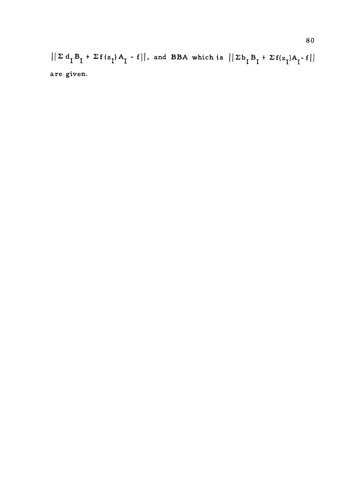$||\Sigma d_I B_I + \Sigma f(z_I) A_I - f||$ , and BBA which is  $||\Sigma b_I B_I + \Sigma f(z_I) A_I - f||$ are given.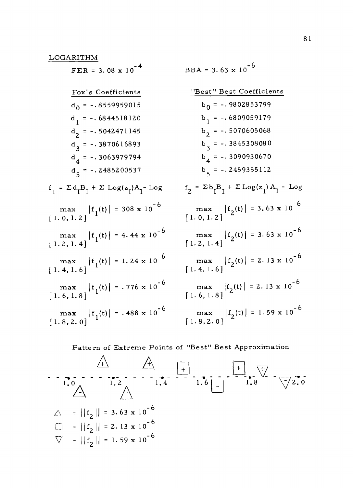LOGARITHM  $FER = 3.08 \times 10^{-4}$ Fox's Coefficients  $d_0$  = -.8559959015  $d_{1}$  = -. 6844518120  $d_{2}$  = -. 5042471145  $d_{3}$  = -.3870616893  $d_{4}$  = -.3063979794  $d_5 = -.2485200537$  $f_1 = \Sigma d_I B_I + \Sigma Log(z_I) A_I - Log$   $f_2 =$  $max$   $|f_1(t)| = 308 \times 10^{-6}$  1  $[1.0, 1.2]$ <sup>1</sup> max  $|f_1(t)| = 4.44 \times 10^{-6}$  m<br>[1.2, 1.4] [1.2]  $max \t|f_{1}(t)| = 1.24 \times 10^{-6} \t m$  $\begin{bmatrix} 1.4, 1.6 \end{bmatrix}$  $max \t|f_{1}(t)| = .776 \times 10^{-6} \t m$  $[1.6, 1.8]$  $max \t|f_{1}(t)| = .488 \times 10^{-6} \t m$  $[1.8, 2.0]$ <sup> $\frac{1.77}{1.71}$ </sup> BBA =  $3.63 \times 10^{-6}$ "Best" Best Coefficients  $b_0 = -.9802853799$  $b_1 = -.6809059179$  $b^2$  = -.5070605068  $b_3 = -.3845308080$  $b_4 = -.3090930670$  $b_5 = -.2459355112$  $f_2 = \Sigma b_T B_T + \Sigma Log(z_1) A_T - Log$ max  $|f_2(t)| = 3.63 \times 10^{-6}$  $[1.0, 1.2]$ <sup>2.44</sup>  $max$   $|f_2(t)| = 3.63 \times 10^{-6}$  $[1.2, 1.4]$ max  $|f_2(t)| = 2.13 \times 10^{-6}$  $[1.4, 1.6]$ <sup>2</sup> max  $|f_2(t)| = 2.13 \times 10^{-6}$  $\left[1.6, 1.8\right]$ <sup>2</sup> max  $|f_2(t)| = 1.59 \times 10^{-6}$  $\left[1.8, 2.0\right]$ <sup>2.44</sup>

### Pattern of Extreme Points of "Best" Best Approximation

$$
+\ +
$$
  
\n
$$
-\frac{1}{1.0} - \frac{1}{1.2} - \frac{1}{1.4} - \frac{1}{1.6} - \frac{1}{1.8} - \frac{1}{1.8} - \frac{1}{1.8} - \frac{1}{1.8} - \frac{1}{1.8} - \frac{1}{1.8} - \frac{1}{1.8} - \frac{1}{1.8} - \frac{1}{1.8} - \frac{1}{1.8} - \frac{1}{1.8} - \frac{1}{1.8} - \frac{1}{1.8} - \frac{1}{1.8} - \frac{1}{1.8} - \frac{1}{1.8} - \frac{1}{1.8} - \frac{1}{1.8} - \frac{1}{1.8} - \frac{1}{1.8} - \frac{1}{1.8} - \frac{1}{1.8} - \frac{1}{1.8} - \frac{1}{1.8} - \frac{1}{1.8} - \frac{1}{1.8} - \frac{1}{1.8} - \frac{1}{1.8} - \frac{1}{1.8} - \frac{1}{1.8} - \frac{1}{1.8} - \frac{1}{1.8} - \frac{1}{1.8} - \frac{1}{1.8} - \frac{1}{1.8} - \frac{1}{1.8} - \frac{1}{1.8} - \frac{1}{1.8} - \frac{1}{1.8} - \frac{1}{1.8} - \frac{1}{1.8} - \frac{1}{1.8} - \frac{1}{1.8} - \frac{1}{1.8} - \frac{1}{1.8} - \frac{1}{1.8} - \frac{1}{1.8} - \frac{1}{1.8} - \frac{1}{1.8} - \frac{1}{1.8} - \frac{1}{1.8} - \frac{1}{1.8} - \frac{1}{1.8} - \frac{1}{1.8} - \frac{1}{1.8} - \frac{1}{1.8} - \frac{1}{1.8} - \frac{1}{1.8} - \frac{1}{1.8} - \frac{1}{1.8} - \frac{1}{1.8} - \frac{1}{1.8} - \frac{1}{1.8} - \frac{1}{1.8} - \frac{1}{1.8} - \frac{1}{1.8} - \frac{1}{1.8} - \frac{1}{1.8} - \frac{1}{1.8} - \frac{1}{1.8} - \frac{1}{
$$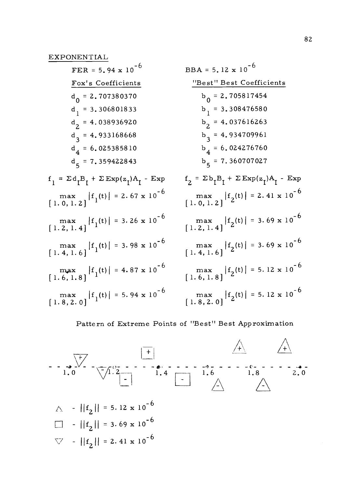| $FER = 5.94 \times 10^{-6}$                                                  | $BBA = 5.12 \times 10^{-6}$                                                                                                                                |
|------------------------------------------------------------------------------|------------------------------------------------------------------------------------------------------------------------------------------------------------|
| Fox's Coefficients                                                           | "Best" Best Coefficients                                                                                                                                   |
| $d_{0} = 2.707380370$                                                        | $b_0 = 2.705817454$                                                                                                                                        |
| $d_1 = 3.306801833$                                                          | $b_1 = 3.308476580$                                                                                                                                        |
| $d_2$ = 4.038936920                                                          | $b2 = 4.037616263$                                                                                                                                         |
| $d_3$ = 4.933168668                                                          | $b_3 = 4.934709961$                                                                                                                                        |
| $d_4 = 6.025385810$                                                          | $b_4 = 6.024276760$                                                                                                                                        |
| $d_{5}$ = 7.359422843                                                        | $b5 = 7.360707027$                                                                                                                                         |
| $f_1 = \Sigma d_t B_t + \Sigma Exp(z_t)A_t - Exp(t_t)$                       | $f_2 = \Sigma b_T B_T + \Sigma Exp(z_T)A_T - Exp$                                                                                                          |
| $\max$ [1. 0, 1. 2] $ f_1(t)  = 2.67 \times 10^{-6}$                         | $\begin{array}{c} \n\max \\ \left[ 1.0, 1.2 \right] \n\end{array} \left  f_2(t) \right  = 2.41 \times 10^{-6}$                                             |
| $\max$ $\left[1.2, 1.4\right]$ $\left\{f_1(t)\right\} = 3.26 \times 10^{-6}$ | $\max_{[1.2, 1.4]}  f_2(t)  = 3.69 \times 10^{-6}$                                                                                                         |
|                                                                              | $\begin{array}{c} \n\text{max} \\ \left[1.4, 1.6\right]\n\end{array}$ $\begin{array}{c} \n\text{max} \\ \left[2\right] = 3.69 \times 10^{-6}\n\end{array}$ |
| $\max$ $\left[1.6, 1.8\right]$ $\left f_1(t)\right  = 4.87 \times 10^{-6}$   | $\max$ [1.6, 1.8] $ f_2(t)  = 5.12 \times 10^{-6}$                                                                                                         |
| $\max$ [1.8, 2.0] $ f_1(t)  = 5.94 \times 10^{-6}$                           | $\begin{array}{c} \max\limits_{[1.\,8,\,2.\,0]}  f_2(t)  = 5.12 \ge 10^{-6} \end{array}$                                                                   |

# Pattern of Extreme Points of "Best" Best Approximation

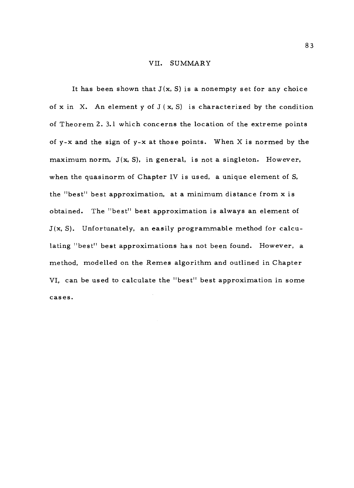#### VII. SUMMARY

It has been shown that  $J(x, S)$  is a nonempty set for any choice of x in X. An element y of  $J(x, S)$  is characterized by the condition of Theorem 2. 3.1 which concerns the location of the extreme points of y-x and the sign of y-x at those points. When X is normed by the maximum norm,  $J(x, S)$ , in general, is not a singleton. However, when the quasinorm of Chapter IV is used, a unique element of S, the "best" best approximation, at a minimum distance from x is obtained. The "best" best approximation is always an element of  $J(x, S)$ . Unfortunately, an easily programmable method for calculating "best" best approximations has not been found. However, a method, modelled on the Remes algorithm and outlined in Chapter VI, can be used to calculate the "best" best approximation in some cases.